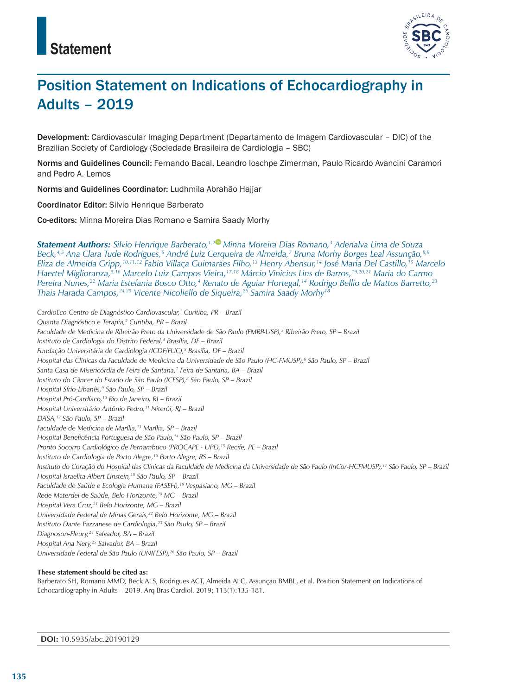

# Position Statement on Indications of Echocardiography in Adults – 2019

Development: Cardiovascular Imaging Department (Departamento de Imagem Cardiovascular – DIC) of the Brazilian Society of Cardiology (Sociedade Brasileira de Cardiologia – SBC)

Norms and Guidelines Council: Fernando Bacal, Leandro Ioschpe Zimerman, Paulo Ricardo Avancini Caramori and Pedro A. Lemos

Norms and Guidelines Coordinator: Ludhmila Abrahão Hajjar

Coordinator Editor: Silvio Henrique Barberato

Co-editors: Minna Moreira Dias Romano e Samira Saady Morhy

*Statement Authors: Silvio Henrique Barberato,1,2 Minna Moreira Dias Romano,3 Adenalva Lima de Souza Beck,4,5 Ana Clara Tude Rodrigues,6 André Luiz Cerqueira de Almeida,7 Bruna Morhy Borges Leal Assunção,8,9 Eliza de Almeida Gripp,10,11,12 Fabio Villaça Guimarães Filho,13 Henry Abensur,14 José Maria Del Castillo,15 Marcelo Haertel Miglioranza,5,16 Marcelo Luiz Campos Vieira,17,18 Márcio Vinicius Lins de Barros,19,20,21 Maria do Carmo Pereira Nunes,22 Maria Estefania Bosco Otto,4 Renato de Aguiar Hortegal,14 Rodrigo Bellio de Mattos Barretto,23 Thais Harada Campos,24,25 Vicente Nicoliello de Siqueira,26 Samira Saady Morhy18*

*CardioEco-Centro de Diagnóstico Cardiovascular,1 Curitiba, PR – Brazil Quanta Diagnóstico e Terapia,2 Curitiba, PR – Brazil Faculdade de Medicina de Ribeirão Preto da Universidade de São Paulo (FMRP-USP),3 Ribeirão Preto, SP – Brazil Instituto de Cardiologia do Distrito Federal,4 Brasília, DF – Brazil Fundação Universitária de Cardiologia (ICDF/FUC),5 Brasília, DF – Brazil Hospital das Clínicas da Faculdade de Medicina da Universidade de São Paulo (HC-FMUSP),6 São Paulo, SP – Brazil Santa Casa de Misericórdia de Feira de Santana,7 Feira de Santana, BA – Brazil Instituto do Câncer do Estado de São Paulo (ICESP),8 São Paulo, SP – Brazil Hospital Sírio-Libanês,9 São Paulo, SP – Brazil Hospital Pró-Cardíaco,10 Rio de Janeiro, RJ – Brazil Hospital Universitário Antônio Pedro,11 Niterói, RJ – Brazil DASA,12 São Paulo, SP – Brazil Faculdade de Medicina de Marília,13 Marília, SP – Brazil Hospital Beneficência Portuguesa de São Paulo,14 São Paulo, SP – Brazil Pronto Socorro Cardiológico de Pernambuco (PROCAPE - UPE),15 Recife, PE – Brazil Instituto de Cardiologia de Porto Alegre,16 Porto Alegre, RS – Brazil Instituto do Coração do Hospital das Clínicas da Faculdade de Medicina da Universidade de São Paulo (InCor-HCFMUSP),17 São Paulo, SP – Brazil Hospital Israelita Albert Einstein,18 São Paulo, SP – Brazil Faculdade de Saúde e Ecologia Humana (FASEH),19 Vespasiano, MG – Brazil Rede Materdei de Saúde, Belo Horizonte,20 MG – Brazil Hospital Vera Cruz,21 Belo Horizonte, MG – Brazil Universidade Federal de Minas Gerais,22 Belo Horizonte, MG – Brazil Instituto Dante Pazzanese de Cardiologia,23 São Paulo, SP – Brazil Diagnoson-Fleury,24 Salvador, BA – Brazil Hospital Ana Nery,25 Salvador, BA – Brazil Universidade Federal de São Paulo (UNIFESP),26 São Paulo, SP – Brazil*

**These statement should be cited as:** Barberato SH, Romano MMD, Beck ALS, Rodrigues ACT, Almeida ALC, Assunção BMBL, et al. Position Statement on Indications of Echocardiography in Adults – 2019. Arq Bras Cardiol. 2019; 113(1):135-181.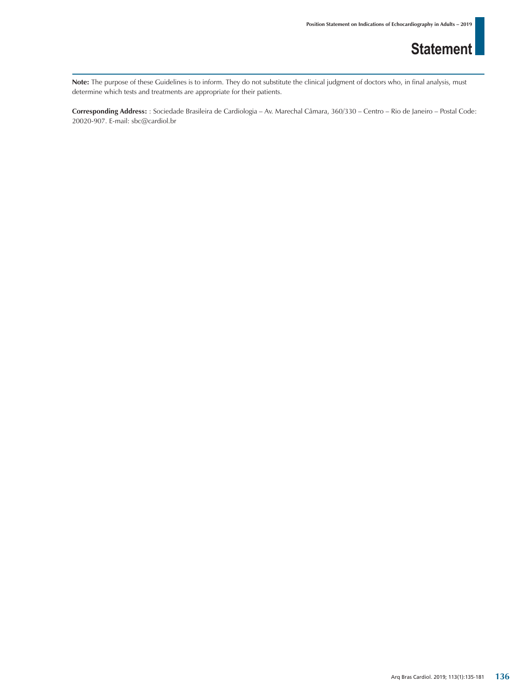Note: The purpose of these Guidelines is to inform. They do not substitute the clinical judgment of doctors who, in final analysis, must determine which tests and treatments are appropriate for their patients.

**Corresponding Address:** : Sociedade Brasileira de Cardiologia – Av. Marechal Câmara, 360/330 – Centro – Rio de Janeiro – Postal Code: 20020-907. E-mail: sbc@cardiol.br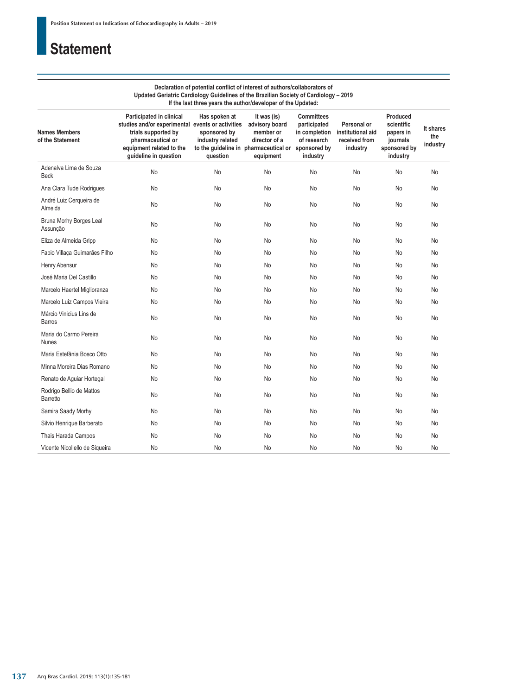### **Declaration of potential conflict of interest of authors/collaborators of Updated Geriatric Cardiology Guidelines of the Brazilian Society of Cardiology – 2019 If the last three years the author/developer of the Updated:**

| <b>Names Members</b><br>of the Statement    | Participated in clinical<br>studies and/or experimental events or activities<br>trials supported by<br>pharmaceutical or<br>equipment related to the<br>guideline in question | Has spoken at<br>sponsored by<br>industry related<br>question | It was (is)<br>advisory board<br>member or<br>director of a<br>to the quideline in pharmaceutical or sponsored by<br>equipment | <b>Committees</b><br>participated<br>in completion<br>of research<br>industry | Personal or<br>institutional aid<br>received from<br>industry | Produced<br>scientific<br>papers in<br>journals<br>sponsored by<br>industry | It shares<br>the<br>industry |
|---------------------------------------------|-------------------------------------------------------------------------------------------------------------------------------------------------------------------------------|---------------------------------------------------------------|--------------------------------------------------------------------------------------------------------------------------------|-------------------------------------------------------------------------------|---------------------------------------------------------------|-----------------------------------------------------------------------------|------------------------------|
| Adenalva Lima de Souza<br><b>Beck</b>       | No                                                                                                                                                                            | No                                                            | No                                                                                                                             | No                                                                            | No                                                            | No                                                                          | No                           |
| Ana Clara Tude Rodrigues                    | No                                                                                                                                                                            | No                                                            | No                                                                                                                             | No                                                                            | No                                                            | No                                                                          | No                           |
| André Luiz Cerqueira de<br>Almeida          | No                                                                                                                                                                            | No                                                            | No                                                                                                                             | No                                                                            | No                                                            | <b>No</b>                                                                   | No                           |
| Bruna Morhy Borges Leal<br>Assunção         | No                                                                                                                                                                            | No                                                            | No                                                                                                                             | No                                                                            | No                                                            | No                                                                          | No                           |
| Eliza de Almeida Gripp                      | No                                                                                                                                                                            | No                                                            | No                                                                                                                             | No                                                                            | No                                                            | No                                                                          | No                           |
| Fabio Villaça Guimarães Filho               | No                                                                                                                                                                            | No                                                            | <b>No</b>                                                                                                                      | No                                                                            | No                                                            | No                                                                          | No                           |
| Henry Abensur                               | No                                                                                                                                                                            | No                                                            | <b>No</b>                                                                                                                      | No                                                                            | <b>No</b>                                                     | <b>No</b>                                                                   | No                           |
| José Maria Del Castillo                     | No                                                                                                                                                                            | No                                                            | <b>No</b>                                                                                                                      | No                                                                            | No                                                            | <b>No</b>                                                                   | No                           |
| Marcelo Haertel Miglioranza                 | No                                                                                                                                                                            | No                                                            | No                                                                                                                             | No                                                                            | No                                                            | No                                                                          | No                           |
| Marcelo Luiz Campos Vieira                  | No                                                                                                                                                                            | No                                                            | No                                                                                                                             | No                                                                            | No                                                            | No                                                                          | No                           |
| Márcio Vinicius Lins de<br>Barros           | No                                                                                                                                                                            | No                                                            | <b>No</b>                                                                                                                      | No                                                                            | No                                                            | No                                                                          | No                           |
| Maria do Carmo Pereira<br><b>Nunes</b>      | No                                                                                                                                                                            | No                                                            | <b>No</b>                                                                                                                      | No                                                                            | No                                                            | <b>No</b>                                                                   | No                           |
| Maria Estefânia Bosco Otto                  | No                                                                                                                                                                            | No                                                            | No                                                                                                                             | No                                                                            | No                                                            | No                                                                          | No                           |
| Minna Moreira Dias Romano                   | No                                                                                                                                                                            | No                                                            | No                                                                                                                             | No                                                                            | No                                                            | No                                                                          | No                           |
| Renato de Aguiar Hortegal                   | No                                                                                                                                                                            | No                                                            | <b>No</b>                                                                                                                      | No                                                                            | No                                                            | <b>No</b>                                                                   | No                           |
| Rodrigo Bellio de Mattos<br><b>Barretto</b> | No                                                                                                                                                                            | <b>No</b>                                                     | <b>No</b>                                                                                                                      | No                                                                            | <b>No</b>                                                     | <b>No</b>                                                                   | No                           |
| Samira Saady Morhy                          | No                                                                                                                                                                            | No                                                            | No                                                                                                                             | No                                                                            | No                                                            | No                                                                          | No                           |
| Silvio Henrique Barberato                   | No                                                                                                                                                                            | <b>No</b>                                                     | <b>No</b>                                                                                                                      | No                                                                            | <b>No</b>                                                     | No                                                                          | No                           |
| Thais Harada Campos                         | No                                                                                                                                                                            | No                                                            | No                                                                                                                             | No                                                                            | No                                                            | No                                                                          | No                           |
| Vicente Nicoliello de Sigueira              | No                                                                                                                                                                            | No                                                            | No                                                                                                                             | No                                                                            | No                                                            | No                                                                          | No                           |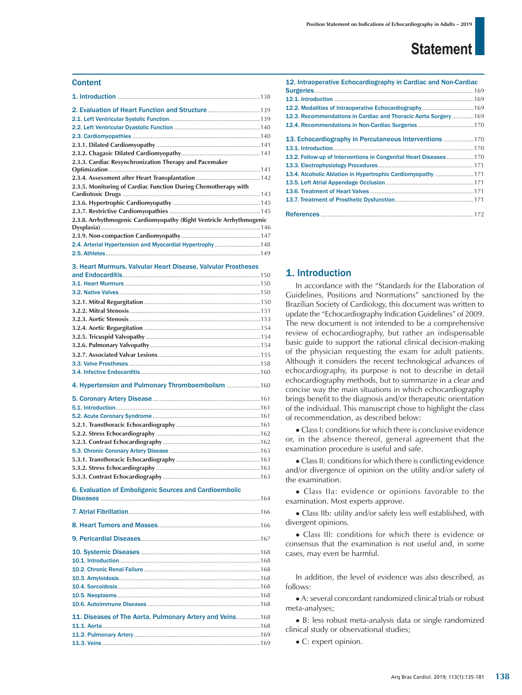### **Content**

| 2.3.3. Cardiac Resynchronization Therapy and Pacemaker               |  |
|----------------------------------------------------------------------|--|
|                                                                      |  |
|                                                                      |  |
| 2.3.5. Monitoring of Cardiac Function During Chemotherapy with       |  |
|                                                                      |  |
|                                                                      |  |
|                                                                      |  |
| 2.3.8. Arrhythmogenic Cardiomyopathy (Right Ventricle Arrhythmogenic |  |
|                                                                      |  |
|                                                                      |  |
| 2.4. Arterial Hypertension and Myocardial Hypertrophy148             |  |
|                                                                      |  |

3. Heart Murmurs, Valvular Heart Disease, Valvular Prostheses

| 6. Evaluation of Emboligenic Sources and Cardioembolic |  |
|--------------------------------------------------------|--|

5.3. Chronic Coronary Artery Disease ......................................................163

| 11. Diseases of The Aorta, Pulmonary Artery and Veins 168 |  |
|-----------------------------------------------------------|--|
|                                                           |  |
|                                                           |  |
|                                                           |  |

| 12. Intraoperative Echocardiography in Cardiac and Non-Cardiac    |
|-------------------------------------------------------------------|
|                                                                   |
|                                                                   |
| 12.2. Modalities of Intraoperative Echocardiography 169           |
| 12.3. Recommendations in Cardiac and Thoracic Aorta Surgery169    |
|                                                                   |
|                                                                   |
|                                                                   |
|                                                                   |
| 13.2. Follow-up of Interventions in Congenital Heart Diseases 170 |
|                                                                   |
| 171.4. Alcoholic Ablation in Hypertrophic Cardiomyopathy  171     |
|                                                                   |
|                                                                   |
|                                                                   |
|                                                                   |
|                                                                   |
|                                                                   |

### 1. Introduction

In accordance with the "Standards for the Elaboration of Guidelines, Positions and Normations" sanctioned by the Brazilian Society of Cardiology, this document was written to update the "Echocardiography Indication Guidelines" of 2009. The new document is not intended to be a comprehensive review of echocardiography, but rather an indispensable basic guide to support the rational clinical decision-making of the physician requesting the exam for adult patients. Although it considers the recent technological advances of echocardiography, its purpose is not to describe in detail echocardiography methods, but to summarize in a clear and concise way the main situations in which echocardiography brings benefit to the diagnosis and/or therapeutic orientation of the individual. This manuscript chose to highlight the class of recommendation, as described below:

• Class I: conditions for which there is conclusive evidence or, in the absence thereof, general agreement that the examination procedure is useful and safe.

• Class II: conditions for which there is conflicting evidence and/or divergence of opinion on the utility and/or safety of the examination.

• Class IIa: evidence or opinions favorable to the examination. Most experts approve.

● Class IIb: utility and/or safety less well established, with divergent opinions.

● Class III: conditions for which there is evidence or consensus that the examination is not useful and, in some cases, may even be harmful.

In addition, the level of evidence was also described, as follows:

● A: several concordant randomized clinical trials or robust meta-analyses;

● B: less robust meta-analysis data or single randomized clinical study or observational studies;

• C: expert opinion.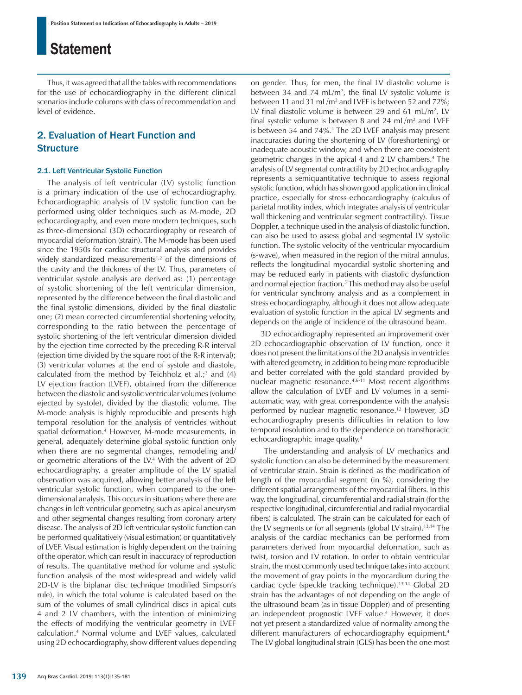Thus, it was agreed that all the tables with recommendations for the use of echocardiography in the different clinical scenarios include columns with class of recommendation and level of evidence.

### 2. Evaluation of Heart Function and **Structure**

### 2.1. Left Ventricular Systolic Function

The analysis of left ventricular (LV) systolic function is a primary indication of the use of echocardiography. Echocardiographic analysis of LV systolic function can be performed using older techniques such as M-mode, 2D echocardiography, and even more modern techniques, such as three-dimensional (3D) echocardiography or research of myocardial deformation (strain). The M-mode has been used since the 1950s for cardiac structural analysis and provides widely standardized measurements<sup>1,2</sup> of the dimensions of the cavity and the thickness of the LV. Thus, parameters of ventricular systole analysis are derived as: (1) percentage of systolic shortening of the left ventricular dimension, represented by the difference between the final diastolic and the final systolic dimensions, divided by the final diastolic one; (2) mean corrected circumferential shortening velocity, corresponding to the ratio between the percentage of systolic shortening of the left ventricular dimension divided by the ejection time corrected by the preceding R-R interval (ejection time divided by the square root of the R-R interval); (3) ventricular volumes at the end of systole and diastole, calculated from the method by Teichholz et al.;<sup>3</sup> and  $(4)$ LV ejection fraction (LVEF), obtained from the difference between the diastolic and systolic ventricular volumes (volume ejected by systole), divided by the diastolic volume. The M-mode analysis is highly reproducible and presents high temporal resolution for the analysis of ventricles without spatial deformation.4 However, M-mode measurements, in general, adequately determine global systolic function only when there are no segmental changes, remodeling and/ or geometric alterations of the LV.4 With the advent of 2D echocardiography, a greater amplitude of the LV spatial observation was acquired, allowing better analysis of the left ventricular systolic function, when compared to the onedimensional analysis. This occurs in situations where there are changes in left ventricular geometry, such as apical aneurysm and other segmental changes resulting from coronary artery disease. The analysis of 2D left ventricular systolic function can be performed qualitatively (visual estimation) or quantitatively of LVEF. Visual estimation is highly dependent on the training of the operator, which can result in inaccuracy of reproduction of results. The quantitative method for volume and systolic function analysis of the most widespread and widely valid 2D-LV is the biplanar disc technique (modified Simpson's rule), in which the total volume is calculated based on the sum of the volumes of small cylindrical discs in apical cuts 4 and 2 LV chambers, with the intention of minimizing the effects of modifying the ventricular geometry in LVEF calculation.4 Normal volume and LVEF values, calculated using 2D echocardiography, show different values depending

between 34 and 74 mL/m<sup>2</sup>, the final LV systolic volume is between 11 and 31 mL/m2 and LVEF is between 52 and 72%; LV final diastolic volume is between 29 and 61 mL/m<sup>2</sup>, LV final systolic volume is between 8 and 24 mL/ $m<sup>2</sup>$  and LVEF is between 54 and 74%.4 The 2D LVEF analysis may present inaccuracies during the shortening of LV (foreshortening) or inadequate acoustic window, and when there are coexistent geometric changes in the apical 4 and 2 LV chambers.4 The analysis of LV segmental contractility by 2D echocardiography represents a semiquantitative technique to assess regional systolic function, which has shown good application in clinical practice, especially for stress echocardiography (calculus of parietal motility index, which integrates analysis of ventricular wall thickening and ventricular segment contractility). Tissue Doppler, a technique used in the analysis of diastolic function, can also be used to assess global and segmental LV systolic function. The systolic velocity of the ventricular myocardium (s-wave), when measured in the region of the mitral annulus, reflects the longitudinal myocardial systolic shortening and may be reduced early in patients with diastolic dysfunction and normal ejection fraction.<sup>5</sup> This method may also be useful for ventricular synchrony analysis and as a complement in stress echocardiography, although it does not allow adequate evaluation of systolic function in the apical LV segments and depends on the angle of incidence of the ultrasound beam.

on gender. Thus, for men, the final LV diastolic volume is

3D echocardiography represented an improvement over 2D echocardiographic observation of LV function, once it does not present the limitations of the 2D analysis in ventricles with altered geometry, in addition to being more reproducible and better correlated with the gold standard provided by nuclear magnetic resonance.4,6-11 Most recent algorithms allow the calculation of LVEF and LV volumes in a semiautomatic way, with great correspondence with the analysis performed by nuclear magnetic resonance.<sup>12</sup> However, 3D echocardiography presents difficulties in relation to low temporal resolution and to the dependence on transthoracic echocardiographic image quality.4

 The understanding and analysis of LV mechanics and systolic function can also be determined by the measurement of ventricular strain. Strain is defined as the modification of length of the myocardial segment (in %), considering the different spatial arrangements of the myocardial fibers. In this way, the longitudinal, circumferential and radial strain (for the respective longitudinal, circumferential and radial myocardial fibers) is calculated. The strain can be calculated for each of the LV segments or for all segments (global LV strain).<sup>13,14</sup> The analysis of the cardiac mechanics can be performed from parameters derived from myocardial deformation, such as twist, torsion and LV rotation. In order to obtain ventricular strain, the most commonly used technique takes into account the movement of gray points in the myocardium during the cardiac cycle (speckle tracking technique).13,14 Global 2D strain has the advantages of not depending on the angle of the ultrasound beam (as in tissue Doppler) and of presenting an independent prognostic LVEF value.<sup>4</sup> However, it does not yet present a standardized value of normality among the different manufacturers of echocardiography equipment.<sup>4</sup> The LV global longitudinal strain (GLS) has been the one most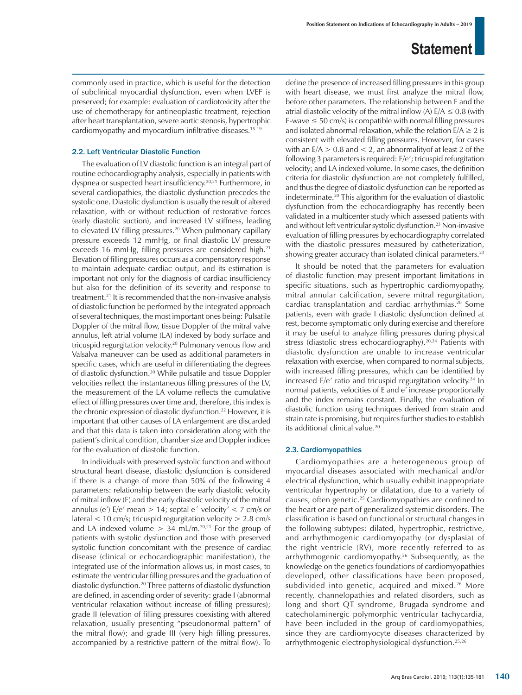commonly used in practice, which is useful for the detection of subclinical myocardial dysfunction, even when LVEF is preserved; for example: evaluation of cardiotoxicity after the use of chemotherapy for antineoplastic treatment, rejection after heart transplantation, severe aortic stenosis, hypertrophic cardiomyopathy and myocardium infiltrative diseases.15-19

### 2.2. Left Ventricular Diastolic Function

The evaluation of LV diastolic function is an integral part of routine echocardiography analysis, especially in patients with dyspnea or suspected heart insufficiency.20,21 Furthermore, in several cardiopathies, the diastolic dysfunction precedes the systolic one. Diastolic dysfunction is usually the result of altered relaxation, with or without reduction of restorative forces (early diastolic suction), and increased LV stiffness, leading to elevated LV filling pressures.<sup>20</sup> When pulmonary capillary pressure exceeds 12 mmHg, or final diastolic LV pressure exceeds 16 mmHg, filling pressures are considered high.<sup>21</sup> Elevation of filling pressures occurs as a compensatory response to maintain adequate cardiac output, and its estimation is important not only for the diagnosis of cardiac insufficiency but also for the definition of its severity and response to treatment.21 It is recommended that the non-invasive analysis of diastolic function be performed by the integrated approach of several techniques, the most important ones being: Pulsatile Doppler of the mitral flow, tissue Doppler of the mitral valve annulus, left atrial volume (LA) indexed by body surface and tricuspid regurgitation velocity.20 Pulmonary venous flow and Valsalva maneuver can be used as additional parameters in specific cases, which are useful in differentiating the degrees of diastolic dysfunction.20 While pulsatile and tissue Doppler velocities reflect the instantaneous filling pressures of the LV, the measurement of the LA volume reflects the cumulative effect of filling pressures over time and, therefore, this index is the chronic expression of diastolic dysfunction.<sup>22</sup> However, it is important that other causes of LA enlargement are discarded and that this data is taken into consideration along with the patient's clinical condition, chamber size and Doppler indices for the evaluation of diastolic function.

In individuals with preserved systolic function and without structural heart disease, diastolic dysfunction is considered if there is a change of more than 50% of the following 4 parameters: relationship between the early diastolic velocity of mitral inflow (E) and the early diastolic velocity of the mitral annulus (e')  $E/e'$  mean  $> 14$ ; septal e' velocity' < 7 cm/s or lateral  $<$  10 cm/s; tricuspid regurgitation velocity  $>$  2.8 cm/s and LA indexed volume  $> 34$  mL/m.<sup>20,21</sup> For the group of patients with systolic dysfunction and those with preserved systolic function concomitant with the presence of cardiac disease (clinical or echocardiographic manifestation), the integrated use of the information allows us, in most cases, to estimate the ventricular filling pressures and the graduation of diastolic dysfunction.20 Three patterns of diastolic dysfunction are defined, in ascending order of severity: grade I (abnormal ventricular relaxation without increase of filling pressures); grade II (elevation of filling pressures coexisting with altered relaxation, usually presenting "pseudonormal pattern" of the mitral flow); and grade III (very high filling pressures, accompanied by a restrictive pattern of the mitral flow). To define the presence of increased filling pressures in this group with heart disease, we must first analyze the mitral flow, before other parameters. The relationship between E and the atrial diastolic velocity of the mitral inflow (A)  $E/A \leq 0.8$  (with E-wave  $\leq 50$  cm/s) is compatible with normal filling pressures and isolated abnormal relaxation, while the relation  $E/A \ge 2$  is consistent with elevated filling pressures. However, for cases with an  $E/A > 0.8$  and  $\lt 2$ , an abnormality of at least 2 of the following 3 parameters is required: E/e'; tricuspid refurgitation velocity; and LA indexed volume. In some cases, the definition criteria for diastolic dysfunction are not completely fulfilled, and thus the degree of diastolic dysfunction can be reported as indeterminate.20 This algorithm for the evaluation of diastolic dysfunction from the echocardiography has recently been validated in a multicenter study which assessed patients with and without left ventricular systolic dysfunction.<sup>23</sup> Non-invasive evaluation of filling pressures by echocardiography correlated with the diastolic pressures measured by catheterization, showing greater accuracy than isolated clinical parameters.<sup>23</sup>

It should be noted that the parameters for evaluation of diastolic function may present important limitations in specific situations, such as hypertrophic cardiomyopathy, mitral annular calcification, severe mitral regurgitation, cardiac transplantation and cardiac arrhythmias.<sup>20</sup> Some patients, even with grade I diastolic dysfunction defined at rest, become symptomatic only during exercise and therefore it may be useful to analyze filling pressures during physical stress (diastolic stress echocardiography).<sup>20,24</sup> Patients with diastolic dysfunction are unable to increase ventricular relaxation with exercise, when compared to normal subjects, with increased filling pressures, which can be identified by increased E/e' ratio and tricuspid regurgitation velocity.<sup>24</sup> In normal patients, velocities of E and e' increase proportionally and the index remains constant. Finally, the evaluation of diastolic function using techniques derived from strain and strain rate is promising, but requires further studies to establish its additional clinical value.<sup>20</sup>

### 2.3. Cardiomyopathies

Cardiomyopathies are a heterogeneous group of myocardial diseases associated with mechanical and/or electrical dysfunction, which usually exhibit inappropriate ventricular hypertrophy or dilatation, due to a variety of causes, often genetic.25 Cardiomyopathies are confined to the heart or are part of generalized systemic disorders. The classification is based on functional or structural changes in the following subtypes: dilated, hypertrophic, restrictive, and arrhythmogenic cardiomyopathy (or dysplasia) of the right ventricle (RV), more recently referred to as arrhythmogenic cardiomyopathy.26 Subsequently, as the knowledge on the genetics foundations of cardiomyopathies developed, other classifications have been proposed, subdivided into genetic, acquired and mixed.<sup>26</sup> More recently, channelopathies and related disorders, such as long and short QT syndrome, Brugada syndrome and catecholaminergic polymorphic ventricular tachycardia, have been included in the group of cardiomyopathies, since they are cardiomyocyte diseases characterized by arrhythmogenic electrophysiological dysfunction.25,26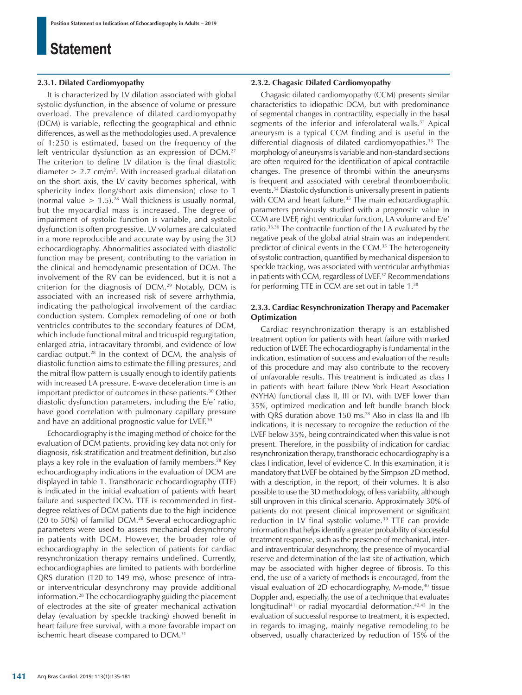### **2.3.1. Dilated Cardiomyopathy**

It is characterized by LV dilation associated with global systolic dysfunction, in the absence of volume or pressure overload. The prevalence of dilated cardiomyopathy (DCM) is variable, reflecting the geographical and ethnic differences, as well as the methodologies used. A prevalence of 1:250 is estimated, based on the frequency of the left ventricular dysfunction as an expression of DCM.<sup>27</sup> The criterion to define LV dilation is the final diastolic diameter  $> 2.7$  cm/m<sup>2</sup>. With increased gradual dilatation on the short axis, the LV cavity becomes spherical, with sphericity index (long/short axis dimension) close to 1 (normal value  $> 1.5$ ).<sup>28</sup> Wall thickness is usually normal, but the myocardial mass is increased. The degree of impairment of systolic function is variable, and systolic dysfunction is often progressive. LV volumes are calculated in a more reproducible and accurate way by using the 3D echocardiography. Abnormalities associated with diastolic function may be present, contributing to the variation in the clinical and hemodynamic presentation of DCM. The involvement of the RV can be evidenced, but it is not a criterion for the diagnosis of DCM.<sup>29</sup> Notably, DCM is associated with an increased risk of severe arrhythmia, indicating the pathological involvement of the cardiac conduction system. Complex remodeling of one or both ventricles contributes to the secondary features of DCM, which include functional mitral and tricuspid regurgitation, enlarged atria, intracavitary thrombi, and evidence of low cardiac output.28 In the context of DCM, the analysis of diastolic function aims to estimate the filling pressures; and the mitral flow pattern is usually enough to identify patients with increased LA pressure. E-wave deceleration time is an important predictor of outcomes in these patients.<sup>30</sup> Other diastolic dysfunction parameters, including the E/e' ratio, have good correlation with pulmonary capillary pressure and have an additional prognostic value for LVEF.<sup>30</sup>

Echocardiography is the imaging method of choice for the evaluation of DCM patients, providing key data not only for diagnosis, risk stratification and treatment definition, but also plays a key role in the evaluation of family members.28 Key echocardiography indications in the evaluation of DCM are displayed in table 1. Transthoracic echocardiography (TTE) is indicated in the initial evaluation of patients with heart failure and suspected DCM. TTE is recommended in firstdegree relatives of DCM patients due to the high incidence (20 to 50%) of familial DCM.28 Several echocardiographic parameters were used to assess mechanical desynchrony in patients with DCM. However, the broader role of echocardiography in the selection of patients for cardiac resynchronization therapy remains undefined. Currently, echocardiographies are limited to patients with borderline QRS duration (120 to 149 ms), whose presence of intraor interventricular desynchrony may provide additional information.28 The echocardiography guiding the placement of electrodes at the site of greater mechanical activation delay (evaluation by speckle tracking) showed benefit in heart failure free survival, with a more favorable impact on ischemic heart disease compared to DCM.<sup>31</sup>

### **2.3.2. Chagasic Dilated Cardiomyopathy**

Chagasic dilated cardiomyopathy (CCM) presents similar characteristics to idiopathic DCM, but with predominance of segmental changes in contractility, especially in the basal segments of the inferior and inferolateral walls.<sup>32</sup> Apical aneurysm is a typical CCM finding and is useful in the differential diagnosis of dilated cardiomyopathies.<sup>33</sup> The morphology of aneurysms is variable and non-standard sections are often required for the identification of apical contractile changes. The presence of thrombi within the aneurysms is frequent and associated with cerebral thromboembolic events.34 Diastolic dysfunction is universally present in patients with CCM and heart failure.<sup>35</sup> The main echocardiographic parameters previously studied with a prognostic value in CCM are LVEF, right ventricular function, LA volume and E/e' ratio.33,36 The contractile function of the LA evaluated by the negative peak of the global atrial strain was an independent predictor of clinical events in the CCM.<sup>35</sup> The heterogeneity of systolic contraction, quantified by mechanical dispersion to speckle tracking, was associated with ventricular arrhythmias in patients with CCM, regardless of LVEF.37 Recommendations for performing TTE in CCM are set out in table 1.38

### **2.3.3. Cardiac Resynchronization Therapy and Pacemaker Optimization**

Cardiac resynchronization therapy is an established treatment option for patients with heart failure with marked reduction of LVEF. The echocardiography is fundamental in the indication, estimation of success and evaluation of the results of this procedure and may also contribute to the recovery of unfavorable results. This treatment is indicated as class I in patients with heart failure (New York Heart Association (NYHA) functional class II, III or IV), with LVEF lower than 35%, optimized medication and left bundle branch block with QRS duration above 150 ms.<sup>28</sup> Also in class IIa and IIb indications, it is necessary to recognize the reduction of the LVEF below 35%, being contraindicated when this value is not present. Therefore, in the possibility of indication for cardiac resynchronization therapy, transthoracic echocardiography is a class I indication, level of evidence C. In this examination, it is mandatory that LVEF be obtained by the Simpson 2D method, with a description, in the report, of their volumes. It is also possible to use the 3D methodology, of less variability, although still unproven in this clinical scenario. Approximately 30% of patients do not present clinical improvement or significant reduction in LV final systolic volume.<sup>39</sup> TTE can provide information that helps identify a greater probability of successful treatment response, such as the presence of mechanical, interand intraventricular desynchrony, the presence of myocardial reserve and determination of the last site of activation, which may be associated with higher degree of fibrosis. To this end, the use of a variety of methods is encouraged, from the visual evaluation of 2D echocardiography, M-mode,<sup>40</sup> tissue Doppler and, especially, the use of a technique that evaluates longitudinal<sup>41</sup> or radial myocardial deformation.<sup>42,43</sup> In the evaluation of successful response to treatment, it is expected, in regards to imaging, mainly negative remodeling to be observed, usually characterized by reduction of 15% of the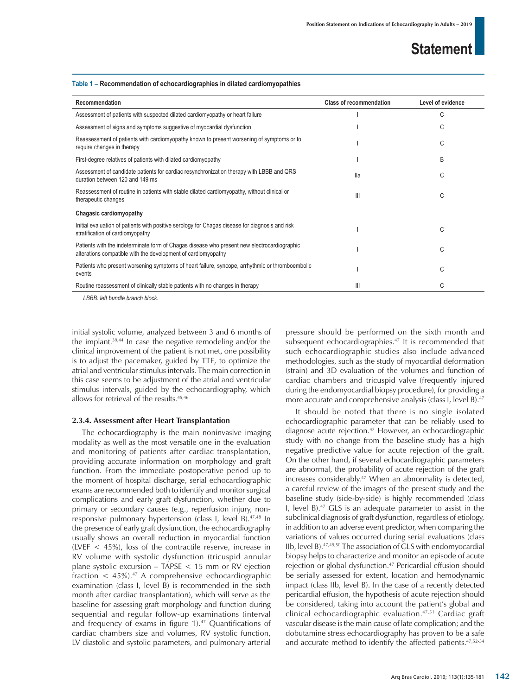#### **Table 1 – Recommendation of echocardiographies in dilated cardiomyopathies**

| Recommendation                                                                                                                                               | <b>Class of recommendation</b> | Level of evidence |
|--------------------------------------------------------------------------------------------------------------------------------------------------------------|--------------------------------|-------------------|
| Assessment of patients with suspected dilated cardiomyopathy or heart failure                                                                                |                                | С                 |
| Assessment of signs and symptoms suggestive of myocardial dysfunction                                                                                        |                                | С                 |
| Reassessment of patients with cardiomyopathy known to present worsening of symptoms or to<br>require changes in therapy                                      |                                | С                 |
| First-degree relatives of patients with dilated cardiomyopathy                                                                                               |                                | B                 |
| Assessment of candidate patients for cardiac resynchronization therapy with LBBB and QRS<br>duration between 120 and 149 ms                                  | lla                            | C                 |
| Reassessment of routine in patients with stable dilated cardiomyopathy, without clinical or<br>therapeutic changes                                           | Ш                              | С                 |
| Chagasic cardiomyopathy                                                                                                                                      |                                |                   |
| Initial evaluation of patients with positive serology for Chagas disease for diagnosis and risk<br>stratification of cardiomyopathy                          |                                | C                 |
| Patients with the indeterminate form of Chagas disease who present new electrocardiographic<br>alterations compatible with the development of cardiomyopathy |                                | C                 |
| Patients who present worsening symptoms of heart failure, syncope, arrhythmic or thromboembolic<br>events                                                    |                                | С                 |
| Routine reassessment of clinically stable patients with no changes in therapy                                                                                | Ш                              | С                 |

*LBBB: left bundle branch block.*

initial systolic volume, analyzed between 3 and 6 months of the implant.39,44 In case the negative remodeling and/or the clinical improvement of the patient is not met, one possibility is to adjust the pacemaker, guided by TTE, to optimize the atrial and ventricular stimulus intervals. The main correction in this case seems to be adjustment of the atrial and ventricular stimulus intervals, guided by the echocardiography, which allows for retrieval of the results.45,46

### **2.3.4. Assessment after Heart Transplantation**

The echocardiography is the main noninvasive imaging modality as well as the most versatile one in the evaluation and monitoring of patients after cardiac transplantation, providing accurate information on morphology and graft function. From the immediate postoperative period up to the moment of hospital discharge, serial echocardiographic exams are recommended both to identify and monitor surgical complications and early graft dysfunction, whether due to primary or secondary causes (e.g., reperfusion injury, nonresponsive pulmonary hypertension (class I, level B).<sup>47,48</sup> In the presence of early graft dysfunction, the echocardiography usually shows an overall reduction in myocardial function (LVEF < 45%), loss of the contractile reserve, increase in RV volume with systolic dysfunction (tricuspid annular plane systolic excursion – TAPSE < 15 mm or RV ejection fraction  $\langle 45\% \rangle$ .<sup>47</sup> A comprehensive echocardiographic examination (class I, level B) is recommended in the sixth month after cardiac transplantation), which will serve as the baseline for assessing graft morphology and function during sequential and regular follow-up examinations (interval and frequency of exams in figure  $1$ ).<sup>47</sup> Quantifications of cardiac chambers size and volumes, RV systolic function, LV diastolic and systolic parameters, and pulmonary arterial pressure should be performed on the sixth month and subsequent echocardiographies.<sup>47</sup> It is recommended that such echocardiographic studies also include advanced methodologies, such as the study of myocardial deformation (strain) and 3D evaluation of the volumes and function of cardiac chambers and tricuspid valve (frequently injured during the endomyocardial biopsy procedure), for providing a more accurate and comprehensive analysis (class I, level B).<sup>47</sup>

It should be noted that there is no single isolated echocardiographic parameter that can be reliably used to diagnose acute rejection.<sup>47</sup> However, an echocardiographic study with no change from the baseline study has a high negative predictive value for acute rejection of the graft. On the other hand, if several echocardiographic parameters are abnormal, the probability of acute rejection of the graft increases considerably.47 When an abnormality is detected, a careful review of the images of the present study and the baseline study (side-by-side) is highly recommended (class I, level B).47 GLS is an adequate parameter to assist in the subclinical diagnosis of graft dysfunction, regardless of etiology, in addition to an adverse event predictor, when comparing the variations of values occurred during serial evaluations (class IIb, level B).47,49,50 The association of GLS with endomyocardial biopsy helps to characterize and monitor an episode of acute rejection or global dysfunction.<sup>47</sup> Pericardial effusion should be serially assessed for extent, location and hemodynamic impact (class IIb, level B). In the case of a recently detected pericardial effusion, the hypothesis of acute rejection should be considered, taking into account the patient's global and clinical echocardiographic evaluation.47,51 Cardiac graft vascular disease is the main cause of late complication; and the dobutamine stress echocardiography has proven to be a safe and accurate method to identify the affected patients.47,52-54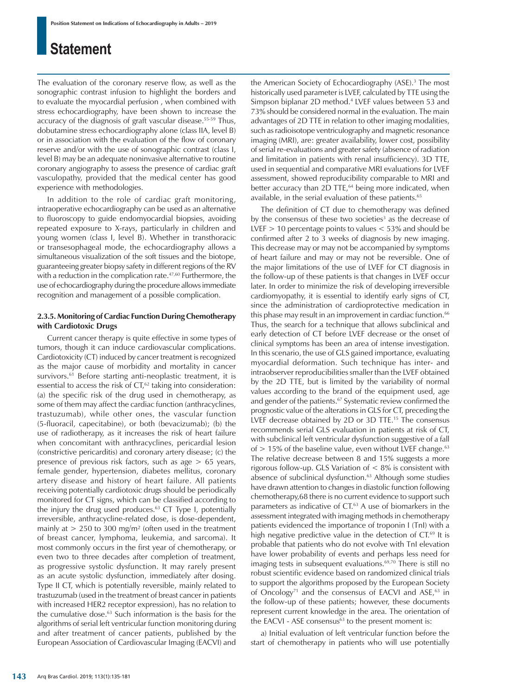The evaluation of the coronary reserve flow, as well as the sonographic contrast infusion to highlight the borders and to evaluate the myocardial perfusion , when combined with stress echocardiography, have been shown to increase the accuracy of the diagnosis of graft vascular disease.<sup>55-59</sup> Thus, dobutamine stress echocardiography alone (class IIA, level B) or in association with the evaluation of the flow of coronary reserve and/or with the use of sonographic contrast (class I, level B) may be an adequate noninvasive alternative to routine coronary angiography to assess the presence of cardiac graft vasculopathy, provided that the medical center has good experience with methodologies.

In addition to the role of cardiac graft monitoring, intraoperative echocardiography can be used as an alternative to fluoroscopy to guide endomyocardial biopsies, avoiding repeated exposure to X-rays, particularly in children and young women (class I, level B). Whether in transthoracic or transesophageal mode, the echocardiography allows a simultaneous visualization of the soft tissues and the biotope, guaranteeing greater biopsy safety in different regions of the RV with a reduction in the complication rate.<sup>47,60</sup> Furthermore, the use of echocardiography during the procedure allows immediate recognition and management of a possible complication.

### **2.3.5. Monitoring of Cardiac Function During Chemotherapy with Cardiotoxic Drugs**

Current cancer therapy is quite effective in some types of tumors, though it can induce cardiovascular complications. Cardiotoxicity (CT) induced by cancer treatment is recognized as the major cause of morbidity and mortality in cancer survivors.<sup>61</sup> Before starting anti-neoplastic treatment, it is essential to access the risk of  $CT<sub>62</sub>$  taking into consideration: (a) the specific risk of the drug used in chemotherapy, as some of them may affect the cardiac function (anthracyclines, trastuzumab), while other ones, the vascular function (5-fluoracil, capecitabine), or both (bevacizumab); (b) the use of radiotherapy, as it increases the risk of heart failure when concomitant with anthracyclines, pericardial lesion (constrictive pericarditis) and coronary artery disease; (c) the presence of previous risk factors, such as age > 65 years, female gender, hypertension, diabetes mellitus, coronary artery disease and history of heart failure. All patients receiving potentially cardiotoxic drugs should be periodically monitored for CT signs, which can be classified according to the injury the drug used produces. $63$  CT Type I, potentially irreversible, anthracycline-related dose, is dose-dependent, mainly at  $> 250$  to 300 mg/m<sup>2</sup> (often used in the treatment of breast cancer, lymphoma, leukemia, and sarcoma). It most commonly occurs in the first year of chemotherapy, or even two to three decades after completion of treatment, as progressive systolic dysfunction. It may rarely present as an acute systolic dysfunction, immediately after dosing. Type II CT, which is potentially reversible, mainly related to trastuzumab (used in the treatment of breast cancer in patients with increased HER2 receptor expression), has no relation to the cumulative dose.63 Such information is the basis for the algorithms of serial left ventricular function monitoring during and after treatment of cancer patients, published by the European Association of Cardiovascular Imaging (EACVI) and

the American Society of Echocardiography (ASE).<sup>3</sup> The most historically used parameter is LVEF, calculated by TTE using the Simpson biplanar 2D method.4 LVEF values between 53 and 73% should be considered normal in the evaluation. The main advantages of 2D TTE in relation to other imaging modalities, such as radioisotope ventriculography and magnetic resonance imaging (MRI), are: greater availability, lower cost, possibility of serial re-evaluations and greater safety (absence of radiation and limitation in patients with renal insufficiency). 3D TTE, used in sequential and comparative MRI evaluations for LVEF assessment, showed reproducibility comparable to MRI and better accuracy than 2D TTE,<sup>64</sup> being more indicated, when available, in the serial evaluation of these patients.<sup>65</sup>

The definition of CT due to chemotherapy was defined by the consensus of these two societies<sup>3</sup> as the decrease of LVEF  $> 10$  percentage points to values  $< 53\%$  and should be confirmed after 2 to 3 weeks of diagnosis by new imaging. This decrease may or may not be accompanied by symptoms of heart failure and may or may not be reversible. One of the major limitations of the use of LVEF for CT diagnosis in the follow-up of these patients is that changes in LVEF occur later. In order to minimize the risk of developing irreversible cardiomyopathy, it is essential to identify early signs of CT, since the administration of cardioprotective medication in this phase may result in an improvement in cardiac function.<sup>66</sup> Thus, the search for a technique that allows subclinical and early detection of CT before LVEF decrease or the onset of clinical symptoms has been an area of intense investigation. In this scenario, the use of GLS gained importance, evaluating myocardial deformation. Such technique has inter- and intraobserver reproducibilities smaller than the LVEF obtained by the 2D TTE, but is limited by the variability of normal values according to the brand of the equipment used, age and gender of the patients.<sup>67</sup> Systematic review confirmed the prognostic value of the alterations in GLS for CT, preceding the LVEF decrease obtained by 2D or 3D TTE.15 The consensus recommends serial GLS evaluation in patients at risk of CT, with subclinical left ventricular dysfunction suggestive of a fall of  $> 15\%$  of the baseline value, even without LVEF change.<sup>63</sup> The relative decrease between 8 and 15% suggests a more rigorous follow-up. GLS Variation of < 8% is consistent with absence of subclinical dysfunction.<sup>63</sup> Although some studies have drawn attention to changes in diastolic function following chemotherapy,68 there is no current evidence to support such parameters as indicative of CT.<sup>63</sup> A use of biomarkers in the assessment integrated with imaging methods in chemotherapy patients evidenced the importance of troponin I (TnI) with a high negative predictive value in the detection of CT.<sup>69</sup> It is probable that patients who do not evolve with TnI elevation have lower probability of events and perhaps less need for imaging tests in subsequent evaluations.<sup>69,70</sup> There is still no robust scientific evidence based on randomized clinical trials to support the algorithms proposed by the European Society of Oncology<sup>71</sup> and the consensus of EACVI and ASE,<sup>63</sup> in the follow-up of these patients; however, these documents represent current knowledge in the area. The orientation of the EACVI - ASE consensus $63$  to the present moment is:

a) Initial evaluation of left ventricular function before the start of chemotherapy in patients who will use potentially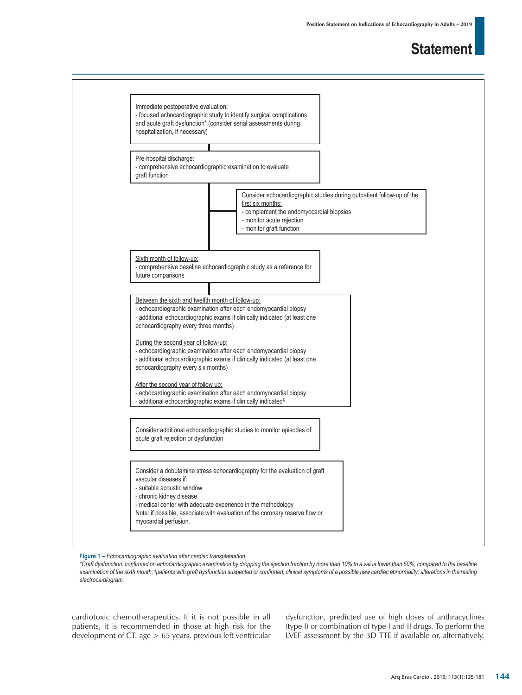

**Figure 1 –** *Echocardiographic evaluation after cardiac transplantation.*

*\*Graft dysfunction: confirmed on echocardiographic examination by dropping the ejection fraction by more than 10% to a value lower than 50%, compared to the baseline examination of the sixth month; § patients with graft dysfunction suspected or confirmed; clinical symptoms of a possible new cardiac abnormality; alterations in the resting electrocardiogram.*

cardiotoxic chemotherapeutics. If it is not possible in all patients, it is recommended in those at high risk for the development of CT: age > 65 years, previous left ventricular dysfunction, predicted use of high doses of anthracyclines (type I) or combination of type I and II drugs. To perform the LVEF assessment by the 3D TTE if available or, alternatively,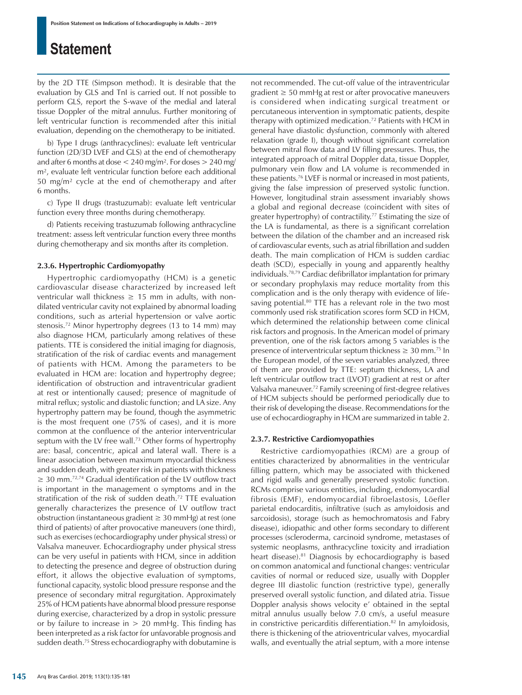by the 2D TTE (Simpson method). It is desirable that the evaluation by GLS and TnI is carried out. If not possible to perform GLS, report the S-wave of the medial and lateral tissue Doppler of the mitral annulus. Further monitoring of left ventricular function is recommended after this initial evaluation, depending on the chemotherapy to be initiated.

b) Type I drugs (anthracyclines): evaluate left ventricular function (2D/3D LVEF and GLS) at the end of chemotherapy and after 6 months at dose  $<$  240 mg/m<sup>2</sup>. For doses  $>$  240 mg/ m², evaluate left ventricular function before each additional 50 mg/m² cycle at the end of chemotherapy and after 6 months.

c) Type II drugs (trastuzumab): evaluate left ventricular function every three months during chemotherapy.

d) Patients receiving trastuzumab following anthracycline treatment: assess left ventricular function every three months during chemotherapy and six months after its completion.

### **2.3.6. Hypertrophic Cardiomyopathy**

Hypertrophic cardiomyopathy (HCM) is a genetic cardiovascular disease characterized by increased left ventricular wall thickness  $\geq$  15 mm in adults, with nondilated ventricular cavity not explained by abnormal loading conditions, such as arterial hypertension or valve aortic stenosis.72 Minor hypertrophy degrees (13 to 14 mm) may also diagnose HCM, particularly among relatives of these patients. TTE is considered the initial imaging for diagnosis, stratification of the risk of cardiac events and management of patients with HCM. Among the parameters to be evaluated in HCM are: location and hypertrophy degree; identification of obstruction and intraventricular gradient at rest or intentionally caused; presence of magnitude of mitral reflux; systolic and diastolic function; and LA size. Any hypertrophy pattern may be found, though the asymmetric is the most frequent one (75% of cases), and it is more common at the confluence of the anterior interventricular septum with the LV free wall.<sup>73</sup> Other forms of hypertrophy are: basal, concentric, apical and lateral wall. There is a linear association between maximum myocardial thickness and sudden death, with greater risk in patients with thickness ≥ 30 mm.72,74 Gradual identification of the LV outflow tract is important in the management o symptoms and in the stratification of the risk of sudden death.<sup>72</sup> TTE evaluation generally characterizes the presence of LV outflow tract obstruction (instantaneous gradient ≥ 30 mmHg) at rest (one third of patients) of after provocative maneuvers (one third), such as exercises (echocardiography under physical stress) or Valsalva maneuver. Echocardiography under physical stress can be very useful in patients with HCM, since in addition to detecting the presence and degree of obstruction during effort, it allows the objective evaluation of symptoms, functional capacity, systolic blood pressure response and the presence of secondary mitral regurgitation. Approximately 25% of HCM patients have abnormal blood pressure response during exercise, characterized by a drop in systolic pressure or by failure to increase in  $> 20$  mmHg. This finding has been interpreted as a risk factor for unfavorable prognosis and sudden death.75 Stress echocardiography with dobutamine is not recommended. The cut-off value of the intraventricular  $gradient \geq 50$  mmHg at rest or after provocative maneuvers is considered when indicating surgical treatment or percutaneous intervention in symptomatic patients, despite therapy with optimized medication.<sup>72</sup> Patients with HCM in general have diastolic dysfunction, commonly with altered relaxation (grade I), though without significant correlation between mitral flow data and LV filling pressures. Thus, the integrated approach of mitral Doppler data, tissue Doppler, pulmonary vein flow and LA volume is recommended in these patients.76 LVEF is normal or increased in most patients, giving the false impression of preserved systolic function. However, longitudinal strain assessment invariably shows a global and regional decrease (coincident with sites of greater hypertrophy) of contractility.<sup>77</sup> Estimating the size of the LA is fundamental, as there is a significant correlation between the dilation of the chamber and an increased risk of cardiovascular events, such as atrial fibrillation and sudden death. The main complication of HCM is sudden cardiac death (SCD), especially in young and apparently healthy individuals.78,79 Cardiac defibrillator implantation for primary or secondary prophylaxis may reduce mortality from this complication and is the only therapy with evidence of lifesaving potential.<sup>80</sup> TTE has a relevant role in the two most commonly used risk stratification scores form SCD in HCM, which determined the relationship between come clinical risk factors and prognosis. In the American model of primary prevention, one of the risk factors among 5 variables is the presence of interventricular septum thickness  $\geq 30$  mm.<sup>75</sup> In the European model, of the seven variables analyzed, three of them are provided by TTE: septum thickness, LA and left ventricular outflow tract (LVOT) gradient at rest or after Valsalva maneuver.72 Family screening of first-degree relatives of HCM subjects should be performed periodically due to their risk of developing the disease. Recommendations for the use of echocardiography in HCM are summarized in table 2.

### **2.3.7. Restrictive Cardiomyopathies**

Restrictive cardiomyopathies (RCM) are a group of entities characterized by abnormalities in the ventricular filling pattern, which may be associated with thickened and rigid walls and generally preserved systolic function. RCMs comprise various entities, including, endomyocardial fibrosis (EMF), endomyocardial fibroelastosis, Löefler parietal endocarditis, infiltrative (such as amyloidosis and sarcoidosis), storage (such as hemochromatosis and Fabry disease), idiopathic and other forms secondary to different processes (scleroderma, carcinoid syndrome, metastases of systemic neoplasms, anthracycline toxicity and irradiation heart disease).<sup>81</sup> Diagnosis by echocardiography is based on common anatomical and functional changes: ventricular cavities of normal or reduced size, usually with Doppler degree III diastolic function (restrictive type), generally preserved overall systolic function, and dilated atria. Tissue Doppler analysis shows velocity e' obtained in the septal mitral annulus usually below 7.0 cm/s, a useful measure in constrictive pericarditis differentiation.<sup>82</sup> In amyloidosis, there is thickening of the atrioventricular valves, myocardial walls, and eventually the atrial septum, with a more intense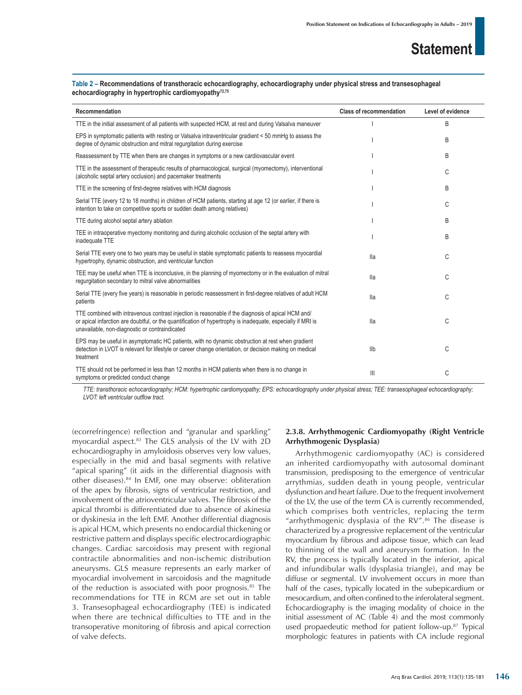### **Table 2 – Recommendations of transthoracic echocardiography, echocardiography under physical stress and transesophageal**  echocardiography in hypertrophic cardiomyopathy<sup>72,75</sup>

| Recommendation                                                                                                                                                                                                                                                      | <b>Class of recommendation</b> | Level of evidence |
|---------------------------------------------------------------------------------------------------------------------------------------------------------------------------------------------------------------------------------------------------------------------|--------------------------------|-------------------|
| TTE in the initial assessment of all patients with suspected HCM, at rest and during Valsalva maneuver                                                                                                                                                              |                                | B                 |
| EPS in symptomatic patients with resting or Valsalva intraventricular gradient < 50 mmHg to assess the<br>degree of dynamic obstruction and mitral regurgitation during exercise                                                                                    |                                | B                 |
| Reassessment by TTE when there are changes in symptoms or a new cardiovascular event                                                                                                                                                                                |                                | B                 |
| TTE in the assessment of therapeutic results of pharmacological, surgical (myomectomy), interventional<br>(alcoholic septal artery occlusion) and pacemaker treatments                                                                                              |                                | C                 |
| TTE in the screening of first-degree relatives with HCM diagnosis                                                                                                                                                                                                   |                                | B                 |
| Serial TTE (every 12 to 18 months) in children of HCM patients, starting at age 12 (or earlier, if there is<br>intention to take on competitive sports or sudden death among relatives)                                                                             |                                | C                 |
| TTE during alcohol septal artery ablation                                                                                                                                                                                                                           |                                | B                 |
| TEE in intraoperative myectomy monitoring and during alcoholic occlusion of the septal artery with<br>inadequate TTE                                                                                                                                                |                                | B                 |
| Serial TTE every one to two years may be useful in stable symptomatic patients to reassess myocardial<br>hypertrophy, dynamic obstruction, and ventricular function                                                                                                 | lla                            | C                 |
| TEE may be useful when TTE is inconclusive, in the planning of myomectomy or in the evaluation of mitral<br>requrgitation secondary to mitral valve abnormalities                                                                                                   | lla                            | C                 |
| Serial TTE (every five years) is reasonable in periodic reassessment in first-degree relatives of adult HCM<br>patients                                                                                                                                             | lla                            | C                 |
| TTE combined with intravenous contrast injection is reasonable if the diagnosis of apical HCM and/<br>or apical infarction are doubtful, or the quantification of hypertrophy is inadequate, especially if MRI is<br>unavailable, non-diagnostic or contraindicated | lla                            | C                 |
| EPS may be useful in asymptomatic HC patients, with no dynamic obstruction at rest when gradient<br>detection in LVOT is relevant for lifestyle or career change orientation, or decision making on medical<br>treatment                                            | <b>IIb</b>                     | C                 |
| TTE should not be performed in less than 12 months in HCM patients when there is no change in<br>symptoms or predicted conduct change                                                                                                                               | Ш                              | C                 |

*TTE: transthoracic echocardiography; HCM: hypertrophic cardiomyopathy; EPS: echocardiography under physical stress; TEE: transesophageal echocardiography; LVOT: left ventricular outflow tract.*

(ecorrefringence) reflection and "granular and sparkling" myocardial aspect.<sup>83</sup> The GLS analysis of the LV with 2D echocardiography in amyloidosis observes very low values, especially in the mid and basal segments with relative "apical sparing" (it aids in the differential diagnosis with other diseases).84 In EMF, one may observe: obliteration of the apex by fibrosis, signs of ventricular restriction, and involvement of the atrioventricular valves. The fibrosis of the apical thrombi is differentiated due to absence of akinesia or dyskinesia in the left EMF. Another differential diagnosis is apical HCM, which presents no endocardial thickening or restrictive pattern and displays specific electrocardiographic changes. Cardiac sarcoidosis may present with regional contractile abnormalities and non-ischemic distribution aneurysms. GLS measure represents an early marker of myocardial involvement in sarcoidosis and the magnitude of the reduction is associated with poor prognosis.<sup>85</sup> The recommendations for TTE in RCM are set out in table 3. Transesophageal echocardiography (TEE) is indicated when there are technical difficulties to TTE and in the transoperative monitoring of fibrosis and apical correction of valve defects.

### **2.3.8. Arrhythmogenic Cardiomyopathy (Right Ventricle Arrhythmogenic Dysplasia)**

Arrhythmogenic cardiomyopathy (AC) is considered an inherited cardiomyopathy with autosomal dominant transmission, predisposing to the emergence of ventricular arrythmias, sudden death in young people, ventricular dysfunction and heart failure. Due to the frequent involvement of the LV, the use of the term CA is currently recommended, which comprises both ventricles, replacing the term "arrhythmogenic dysplasia of the  $RV''$ .<sup>86</sup> The disease is characterized by a progressive replacement of the ventricular myocardium by fibrous and adipose tissue, which can lead to thinning of the wall and aneurysm formation. In the RV, the process is typically located in the inferior, apical and infundibular walls (dysplasia triangle), and may be diffuse or segmental. LV involvement occurs in more than half of the cases, typically located in the subepicardium or mesocardium, and often confined to the inferolateral segment. Echocardiography is the imaging modality of choice in the initial assessment of AC (Table 4) and the most commonly used propaedeutic method for patient follow-up.<sup>87</sup> Typical morphologic features in patients with CA include regional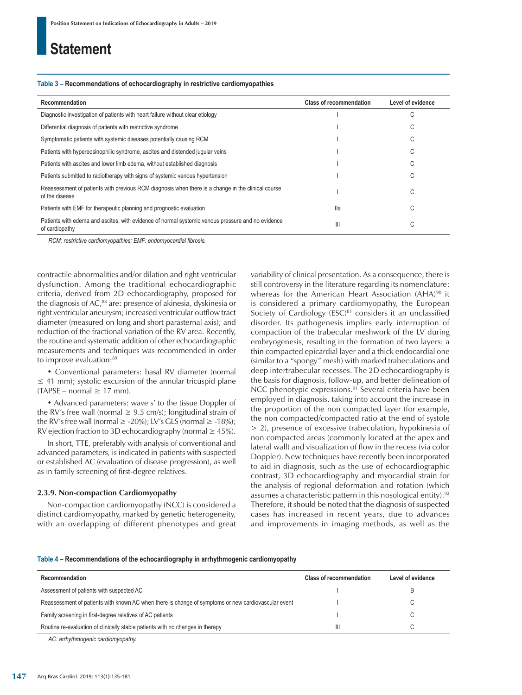#### **Table 3 – Recommendations of echocardiography in restrictive cardiomyopathies**

| Recommendation                                                                                                       | <b>Class of recommendation</b> | Level of evidence |  |
|----------------------------------------------------------------------------------------------------------------------|--------------------------------|-------------------|--|
| Diagnostic investigation of patients with heart failure without clear etiology                                       |                                | C                 |  |
| Differential diagnosis of patients with restrictive syndrome                                                         |                                | С                 |  |
| Symptomatic patients with systemic diseases potentially causing RCM                                                  |                                | С                 |  |
| Patients with hypereosinophilic syndrome, ascites and distended jugular veins                                        |                                | С                 |  |
| Patients with ascites and lower limb edema, without established diagnosis                                            |                                | U                 |  |
| Patients submitted to radiotherapy with signs of systemic venous hypertension                                        |                                | С                 |  |
| Reassessment of patients with previous RCM diagnosis when there is a change in the clinical course<br>of the disease |                                | C                 |  |
| Patients with EMF for therapeutic planning and prognostic evaluation                                                 | lla                            | C                 |  |
| Patients with edema and ascites, with evidence of normal systemic venous pressure and no evidence<br>of cardiopathy  | Ш                              | C                 |  |

*RCM: restrictive cardiomyopathies; EMF: endomyocardial fibrosis.*

contractile abnormalities and/or dilation and right ventricular dysfunction. Among the traditional echocardiographic criteria, derived from 2D echocardiography, proposed for the diagnosis of AC,<sup>88</sup> are: presence of akinesia, dyskinesia or right ventricular aneurysm; increased ventricular outflow tract diameter (measured on long and short parasternal axis); and reduction of the fractional variation of the RV area. Recently, the routine and systematic addition of other echocardiographic measurements and techniques was recommended in order to improve evaluation:<sup>89</sup>

• Conventional parameters: basal RV diameter (normal  $\leq$  41 mm); systolic excursion of the annular tricuspid plane  $(TAPSE – normal \geq 17$  mm).

• Advanced parameters: wave s' to the tissue Doppler of the RV's free wall (normal  $\geq$  9.5 cm/s); longitudinal strain of the RV's free wall (normal  $\ge$  -20%); LV's GLS (normal  $\ge$  -18%); RV ejection fraction to 3D echocardiography (normal  $\geq$  45%).

In short, TTE, preferably with analysis of conventional and advanced parameters, is indicated in patients with suspected or established AC (evaluation of disease progression), as well as in family screening of first-degree relatives.

### **2.3.9. Non-compaction Cardiomyopathy**

Non-compaction cardiomyopathy (NCC) is considered a distinct cardiomyopathy, marked by genetic heterogeneity, with an overlapping of different phenotypes and great variability of clinical presentation. As a consequence, there is still controversy in the literature regarding its nomenclature: whereas for the American Heart Association (AHA)<sup>90</sup> it is considered a primary cardiomyopathy, the European Society of Cardiology  $(ESC)^{81}$  considers it an unclassified disorder. Its pathogenesis implies early interruption of compaction of the trabecular meshwork of the LV during embryogenesis, resulting in the formation of two layers: a thin compacted epicardial layer and a thick endocardial one (similar to a "spongy" mesh) with marked trabeculations and deep intertrabecular recesses. The 2D echocardiography is the basis for diagnosis, follow-up, and better delineation of NCC phenotypic expressions.91 Several criteria have been employed in diagnosis, taking into account the increase in the proportion of the non compacted layer (for example, the non compacted/compacted ratio at the end of systole > 2), presence of excessive trabeculation, hypokinesia of non compacted areas (commonly located at the apex and lateral wall) and visualization of flow in the recess (via color Doppler). New techniques have recently been incorporated to aid in diagnosis, such as the use of echocardiographic contrast, 3D echocardiography and myocardial strain for the analysis of regional deformation and rotation (which assumes a characteristic pattern in this nosological entity).<sup>92</sup> Therefore, it should be noted that the diagnosis of suspected cases has increased in recent years, due to advances and improvements in imaging methods, as well as the

#### **Table 4 – Recommendations of the echocardiography in arrhythmogenic cardiomyopathy**

| Recommendation                                                                                      | <b>Class of recommendation</b> | Level of evidence |
|-----------------------------------------------------------------------------------------------------|--------------------------------|-------------------|
| Assessment of patients with suspected AC                                                            |                                |                   |
| Reassessment of patients with known AC when there is change of symptoms or new cardiovascular event |                                |                   |
| Family screening in first-degree relatives of AC patients                                           |                                |                   |
| Routine re-evaluation of clinically stable patients with no changes in therapy                      | Ш                              |                   |

*AC: arrhythmogenic cardiomyopathy.*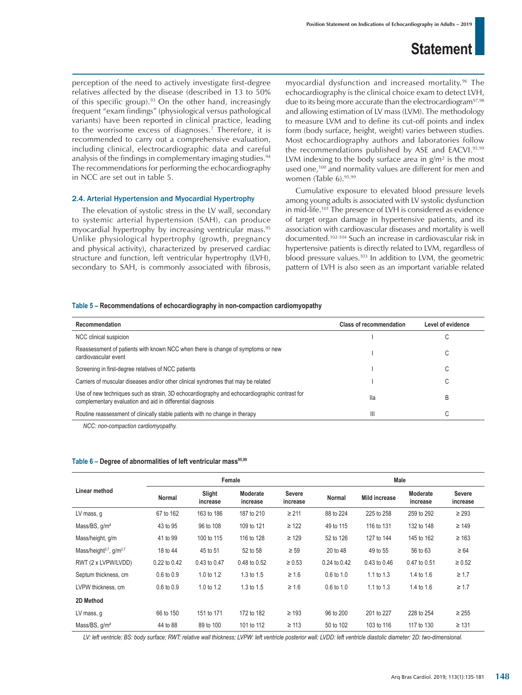perception of the need to actively investigate first-degree relatives affected by the disease (described in 13 to 50% of this specific group). $93$  On the other hand, increasingly frequent "exam findings" (physiological versus pathological variants) have been reported in clinical practice, leading to the worrisome excess of diagnoses.<sup>7</sup> Therefore, it is recommended to carry out a comprehensive evaluation, including clinical, electrocardiographic data and careful analysis of the findings in complementary imaging studies.<sup>94</sup> The recommendations for performing the echocardiography in NCC are set out in table 5.

### 2.4. Arterial Hypertension and Myocardial Hypertrophy

The elevation of systolic stress in the LV wall, secondary to systemic arterial hypertension (SAH), can produce myocardial hypertrophy by increasing ventricular mass.<sup>95</sup> Unlike physiological hypertrophy (growth, pregnancy and physical activity), characterized by preserved cardiac structure and function, left ventricular hypertrophy (LVH), secondary to SAH, is commonly associated with fibrosis,

myocardial dysfunction and increased mortality.96 The echocardiography is the clinical choice exam to detect LVH, due to its being more accurate than the electrocardiogram<sup>97,98</sup> and allowing estimation of LV mass (LVM). The methodology to measure LVM and to define its cut-off points and index form (body surface, height, weight) varies between studies. Most echocardiography authors and laboratories follow the recommendations published by ASE and EACVI.95,99 LVM indexing to the body surface area in  $g/m^2$  is the most used one,<sup>100</sup> and normality values are different for men and women (Table 6).<sup>95,99</sup>

Cumulative exposure to elevated blood pressure levels among young adults is associated with LV systolic dysfunction in mid-life.101 The presence of LVH is considered as evidence of target organ damage in hypertensive patients, and its association with cardiovascular diseases and mortality is well documented.102-104 Such an increase in cardiovascular risk in hypertensive patients is directly related to LVM, regardless of blood pressure values.103 In addition to LVM, the geometric pattern of LVH is also seen as an important variable related

#### **Table 5 – Recommendations of echocardiography in non-compaction cardiomyopathy**

| Recommendation                                                                                                                                             | <b>Class of recommendation</b> | Level of evidence |
|------------------------------------------------------------------------------------------------------------------------------------------------------------|--------------------------------|-------------------|
| NCC clinical suspicion                                                                                                                                     |                                |                   |
| Reassessment of patients with known NCC when there is change of symptoms or new<br>cardiovascular event                                                    |                                | C                 |
| Screening in first-degree relatives of NCC patients                                                                                                        |                                | C                 |
| Carriers of muscular diseases and/or other clinical syndromes that may be related                                                                          |                                |                   |
| Use of new techniques such as strain, 3D echocardiography and echocardiographic contrast for<br>complementary evaluation and aid in differential diagnosis | lla                            | B                 |
| Routine reassessment of clinically stable patients with no change in therapy                                                                               | $\mathsf{III}$                 |                   |

*NCC: non-compaction cardiomyopathy.*

#### Table 6 – Degree of abnormalities of left ventricular mass<sup>95,99</sup>

|                                                 | Female                |                    |                      |                           |                       | Male          |                      |                           |  |
|-------------------------------------------------|-----------------------|--------------------|----------------------|---------------------------|-----------------------|---------------|----------------------|---------------------------|--|
| Linear method                                   | <b>Normal</b>         | Slight<br>increase | Moderate<br>increase | <b>Severe</b><br>increase | <b>Normal</b>         | Mild increase | Moderate<br>increase | <b>Severe</b><br>increase |  |
| LV mass, q                                      | 67 to 162             | 163 to 186         | 187 to 210           | $\geq 211$                | 88 to 224             | 225 to 258    | 259 to 292           | $\geq$ 293                |  |
| Mass/BS, g/m <sup>2</sup>                       | 43 to 95              | 96 to 108          | 109 to 121           | $\geq$ 122                | 49 to 115             | 116 to 131    | 132 to 148           | $\geq 149$                |  |
| Mass/height, g/m                                | 41 to 99              | 100 to 115         | 116 to 128           | $\geq 129$                | 52 to 126             | 127 to 144    | 145 to 162           | $\geq 163$                |  |
| Mass/height <sup>2,7</sup> , g/m <sup>2,7</sup> | 18 to 44              | 45 to 51           | 52 to 58             | $\geq 59$                 | 20 to 48              | 49 to 55      | 56 to 63             | $\geq 64$                 |  |
| RWT (2 x LVPW/LVDD)                             | 0.22 to 0.42          | 0.43 to 0.47       | 0.48 to 0.52         | $\ge 0.53$                | 0.24 to 0.42          | 0.43 to 0.46  | 0.47 to 0.51         | $\geq 0.52$               |  |
| Septum thickness, cm                            | $0.6 \text{ to } 0.9$ | 1.0 to 1.2         | 1.3 to 1.5           | $\geq 1.6$                | $0.6 \text{ to } 1.0$ | 1.1 to $1.3$  | 1.4 to 1.6           | $\geq 1.7$                |  |
| LVPW thickness, cm                              | 0.6 to 0.9            | 1.0 to 1.2         | 1.3 to 1.5           | $\geq 1.6$                | $0.6 \text{ to } 1.0$ | 1.1 to 1.3    | 1.4 to 1.6           | $\geq 1.7$                |  |
| 2D Method                                       |                       |                    |                      |                           |                       |               |                      |                           |  |
| LV mass, g                                      | 66 to 150             | 151 to 171         | 172 to 182           | $\geq$ 193                | 96 to 200             | 201 to 227    | 228 to 254           | $\geq$ 255                |  |
| Mass/BS, q/m <sup>2</sup>                       | 44 to 88              | 89 to 100          | 101 to 112           | $\geq 113$                | 50 to 102             | 103 to 116    | 117 to 130           | $\geq 131$                |  |

*LV: left ventricle; BS: body surface; RWT: relative wall thickness; LVPW: left ventricle posterior wall; LVDD: left ventricle diastolic diameter; 2D: two-dimensional.*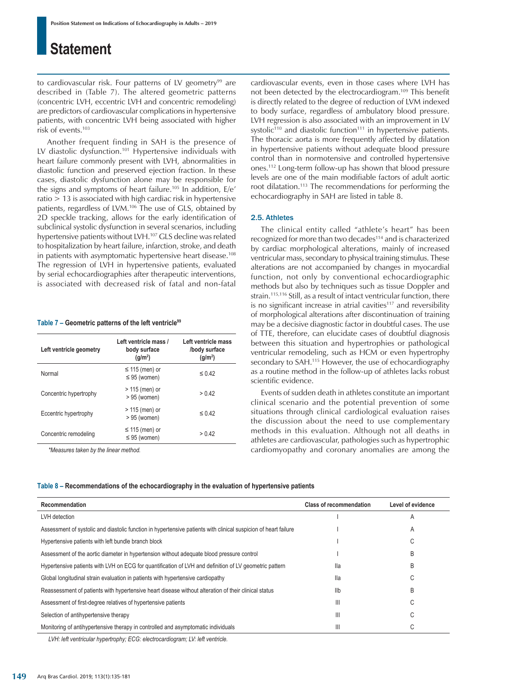to cardiovascular risk. Four patterns of LV geometry<sup>99</sup> are described in (Table 7). The altered geometric patterns (concentric LVH, eccentric LVH and concentric remodeling) are predictors of cardiovascular complications in hypertensive patients, with concentric LVH being associated with higher risk of events.103

Another frequent finding in SAH is the presence of LV diastolic dysfunction.101 Hypertensive individuals with heart failure commonly present with LVH, abnormalities in diastolic function and preserved ejection fraction. In these cases, diastolic dysfunction alone may be responsible for the signs and symptoms of heart failure.105 In addition, E/e'  $ratio$   $>$  13 is associated with high cardiac risk in hypertensive patients, regardless of LVM.106 The use of GLS, obtained by 2D speckle tracking, allows for the early identification of subclinical systolic dysfunction in several scenarios, including hypertensive patients without LVH.107 GLS decline was related to hospitalization by heart failure, infarction, stroke, and death in patients with asymptomatic hypertensive heart disease.<sup>108</sup> The regression of LVH in hypertensive patients, evaluated by serial echocardiographies after therapeutic interventions, is associated with decreased risk of fatal and non-fatal

#### Table 7 – Geometric patterns of the left ventricle<sup>99</sup>

| Left ventricle geometry | Left ventricle mass /<br>body surface<br>(q/m <sup>2</sup> ) | Left ventricle mass<br>/body surface<br>(q/m <sup>2</sup> ) |
|-------------------------|--------------------------------------------------------------|-------------------------------------------------------------|
| Normal                  | $\leq$ 115 (men) or<br>$\leq$ 95 (women)                     | $\leq$ 0.42                                                 |
| Concentric hypertrophy  | $>$ 115 (men) or<br>$> 95$ (women)                           | > 0.42                                                      |
| Eccentric hypertrophy   | > 115 (men) or<br>$> 95$ (women)                             | $\leq 0.42$                                                 |
| Concentric remodeling   | $\leq$ 115 (men) or<br>$\leq$ 95 (women)                     | > 0.42                                                      |

*\*Measures taken by the linear method.*

cardiovascular events, even in those cases where LVH has not been detected by the electrocardiogram.109 This benefit is directly related to the degree of reduction of LVM indexed to body surface, regardless of ambulatory blood pressure. LVH regression is also associated with an improvement in LV systolic $110$  and diastolic function $111$  in hypertensive patients. The thoracic aorta is more frequently affected by dilatation in hypertensive patients without adequate blood pressure control than in normotensive and controlled hypertensive ones.112 Long-term follow-up has shown that blood pressure levels are one of the main modifiable factors of adult aortic root dilatation.113 The recommendations for performing the echocardiography in SAH are listed in table 8.

### 2.5. Athletes

The clinical entity called "athlete's heart" has been recognized for more than two decades<sup>114</sup> and is characterized by cardiac morphological alterations, mainly of increased ventricular mass, secondary to physical training stimulus. These alterations are not accompanied by changes in myocardial function, not only by conventional echocardiographic methods but also by techniques such as tissue Doppler and strain.<sup>115,116</sup> Still, as a result of intact ventricular function, there is no significant increase in atrial cavities<sup>117</sup> and reversibility of morphological alterations after discontinuation of training may be a decisive diagnostic factor in doubtful cases. The use of TTE, therefore, can elucidate cases of doubtful diagnosis between this situation and hypertrophies or pathological ventricular remodeling, such as HCM or even hypertrophy secondary to SAH.<sup>115</sup> However, the use of echocardiography as a routine method in the follow-up of athletes lacks robust scientific evidence.

Events of sudden death in athletes constitute an important clinical scenario and the potential prevention of some situations through clinical cardiological evaluation raises the discussion about the need to use complementary methods in this evaluation. Although not all deaths in athletes are cardiovascular, pathologies such as hypertrophic cardiomyopathy and coronary anomalies are among the

#### **Table 8 – Recommendations of the echocardiography in the evaluation of hypertensive patients**

| Recommendation                                                                                                  | <b>Class of recommendation</b> | Level of evidence |
|-----------------------------------------------------------------------------------------------------------------|--------------------------------|-------------------|
| LVH detection                                                                                                   |                                | Α                 |
| Assessment of systolic and diastolic function in hypertensive patients with clinical suspicion of heart failure |                                | A                 |
| Hypertensive patients with left bundle branch block                                                             |                                | U                 |
| Assessment of the aortic diameter in hypertension without adequate blood pressure control                       |                                | R                 |
| Hypertensive patients with LVH on ECG for quantification of LVH and definition of LV geometric pattern          | lla                            | B                 |
| Global longitudinal strain evaluation in patients with hypertensive cardiopathy                                 | lla                            | U                 |
| Reassessment of patients with hypertensive heart disease without alteration of their clinical status            | Ilb                            | B                 |
| Assessment of first-degree relatives of hypertensive patients                                                   | Ш                              | U                 |
| Selection of antihypertensive therapy                                                                           | Ш                              | U                 |
| Monitoring of antihypertensive therapy in controlled and asymptomatic individuals                               | Ш                              | U                 |

*LVH: left ventricular hypertrophy; ECG: electrocardiogram; LV: left ventricle.*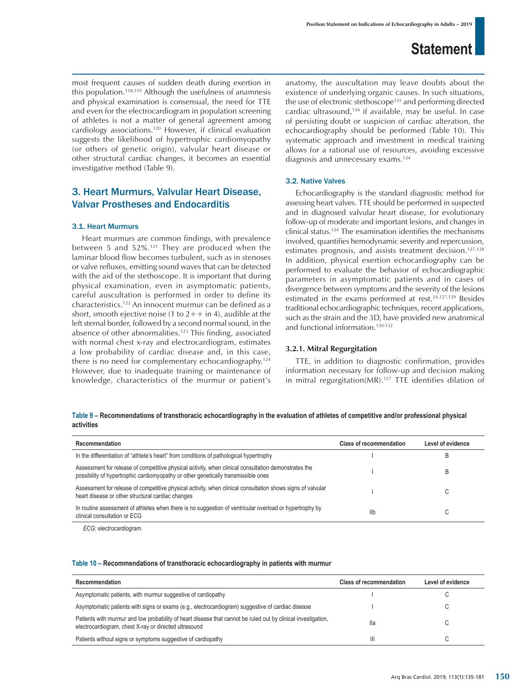most frequent causes of sudden death during exertion in this population.118,119 Although the usefulness of anamnesis and physical examination is consensual, the need for TTE and even for the electrocardiogram in population screening of athletes is not a matter of general agreement among cardiology associations.120 However, if clinical evaluation suggests the likelihood of hypertrophic cardiomyopathy (or others of genetic origin), valvular heart disease or other structural cardiac changes, it becomes an essential investigative method (Table 9).

### 3. Heart Murmurs, Valvular Heart Disease, Valvar Prostheses and Endocarditis

#### 3.1. Heart Murmurs

Heart murmurs are common findings, with prevalence between 5 and 52%.121 They are produced when the laminar blood flow becomes turbulent, such as in stenoses or valve refluxes, emitting sound waves that can be detected with the aid of the stethoscope. It is important that during physical examination, even in asymptomatic patients, careful auscultation is performed in order to define its characteristics.122 An innocent murmur can be defined as a short, smooth ejective noise (1 to  $2++$  in 4), audible at the left sternal border, followed by a second normal sound, in the absence of other abnormalities.<sup>123</sup> This finding, associated with normal chest x-ray and electrocardiogram, estimates a low probability of cardiac disease and, in this case, there is no need for complementary echocardiography.124 However, due to inadequate training or maintenance of knowledge, characteristics of the murmur or patient's anatomy, the auscultation may leave doubts about the existence of underlying organic causes. In such situations, the use of electronic stethoscope<sup>125</sup> and performing directed cardiac ultrasound,<sup>126</sup> if available, may be useful. In case of persisting doubt or suspicion of cardiac alteration, the echocardiography should be performed (Table 10). This systematic approach and investment in medical training allows for a rational use of resources, avoiding excessive diagnosis and unnecessary exams.124

### 3.2. Native Valves

Echocardiography is the standard diagnostic method for assessing heart valves. TTE should be performed in suspected and in diagnosed valvular heart disease, for evolutionary follow-up of moderate and important lesions, and changes in clinical status.124 The examination identifies the mechanisms involved, quantifies hemodynamic severity and repercussion, estimates prognosis, and assists treatment decision.<sup>127,128</sup> In addition, physical exertion echocardiography can be performed to evaluate the behavior of echocardiographic parameters in asymptomatic patients and in cases of divergence between symptoms and the severity of the lesions estimated in the exams performed at rest.<sup>24,127,129</sup> Besides traditional echocardiographic techniques, recent applications, such as the strain and the 3D, have provided new anatomical and functional information.<sup>130-132</sup>

### **3.2.1. Mitral Regurgitation**

TTE, in addition to diagnostic confirmation, provides information necessary for follow-up and decision making in mitral regurgitation(MR).<sup>127</sup> TTE identifies dilation of

**Table 9 – Recommendations of transthoracic echocardiography in the evaluation of athletes of competitive and/or professional physical activities**

| Recommendation                                                                                                                                                                             | <b>Class of recommendation</b> | Level of evidence |
|--------------------------------------------------------------------------------------------------------------------------------------------------------------------------------------------|--------------------------------|-------------------|
| In the differentiation of "athlete's heart" from conditions of pathological hypertrophy                                                                                                    |                                | B                 |
| Assessment for release of competitive physical activity, when clinical consultation demonstrates the<br>possibility of hypertrophic cardiomyopathy or other genetically transmissible ones |                                | B                 |
| Assessment for release of competitive physical activity, when clinical consultation shows signs of valvular<br>heart disease or other structural cardiac changes                           |                                | U                 |
| In routine assessment of athletes when there is no suggestion of ventricular overload or hypertrophy by<br>clinical consultation or ECG                                                    | Ilb                            | U                 |
|                                                                                                                                                                                            |                                |                   |

*ECG: electrocardiogram.*

| Table 10 - Recommendations of transthoracic echocardiography in patients with murmur |  |  |  |  |  |
|--------------------------------------------------------------------------------------|--|--|--|--|--|
|--------------------------------------------------------------------------------------|--|--|--|--|--|

| Recommendation                                                                                                                                                         | <b>Class of recommendation</b> | Level of evidence |
|------------------------------------------------------------------------------------------------------------------------------------------------------------------------|--------------------------------|-------------------|
| Asymptomatic patients, with murmur suggestive of cardiopathy                                                                                                           |                                |                   |
| Asymptomatic patients with signs or exams (e.g., electrocardiogram) suggestive of cardiac disease                                                                      |                                |                   |
| Patients with murmur and low probability of heart disease that cannot be ruled out by clinical investigation,<br>electrocardiogram, chest X-ray or directed ultrasound | lla                            |                   |
| Patients without signs or symptoms suggestive of cardiopathy                                                                                                           |                                |                   |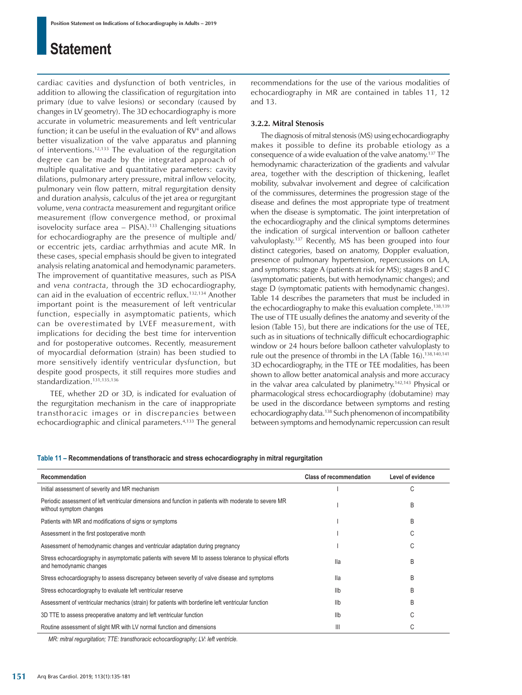cardiac cavities and dysfunction of both ventricles, in addition to allowing the classification of regurgitation into primary (due to valve lesions) or secondary (caused by changes in LV geometry). The 3D echocardiography is more accurate in volumetric measurements and left ventricular function; it can be useful in the evaluation of RV<sup>4</sup> and allows better visualization of the valve apparatus and planning of interventions.<sup>12,133</sup> The evaluation of the regurgitation degree can be made by the integrated approach of multiple qualitative and quantitative parameters: cavity dilations, pulmonary artery pressure, mitral inflow velocity, pulmonary vein flow pattern, mitral regurgitation density and duration analysis, calculus of the jet area or regurgitant volume, *vena contracta* measurement and regurgitant orifice measurement (flow convergence method, or proximal isovelocity surface area – PISA).133 Challenging situations for echocardiography are the presence of multiple and/ or eccentric jets, cardiac arrhythmias and acute MR. In these cases, special emphasis should be given to integrated analysis relating anatomical and hemodynamic parameters. The improvement of quantitative measures, such as PISA and *vena contracta*, through the 3D echocardiography, can aid in the evaluation of eccentric reflux.132,134 Another important point is the measurement of left ventricular function, especially in asymptomatic patients, which can be overestimated by LVEF measurement, with implications for deciding the best time for intervention and for postoperative outcomes. Recently, measurement of myocardial deformation (strain) has been studied to more sensitively identify ventricular dysfunction, but despite good prospects, it still requires more studies and standardization.<sup>131,135,136</sup>

 TEE, whether 2D or 3D, is indicated for evaluation of the regurgitation mechanism in the care of inappropriate transthoracic images or in discrepancies between echocardiographic and clinical parameters.<sup>4,133</sup> The general recommendations for the use of the various modalities of echocardiography in MR are contained in tables 11, 12 and 13.

### **3.2.2. Mitral Stenosis**

The diagnosis of mitral stenosis (MS) using echocardiography makes it possible to define its probable etiology as a consequence of a wide evaluation of the valve anatomy.137 The hemodynamic characterization of the gradients and valvular area, together with the description of thickening, leaflet mobility, subvalvar involvement and degree of calcification of the commissures, determines the progression stage of the disease and defines the most appropriate type of treatment when the disease is symptomatic. The joint interpretation of the echocardiography and the clinical symptoms determines the indication of surgical intervention or balloon catheter valvuloplasty.137 Recently, MS has been grouped into four distinct categories, based on anatomy, Doppler evaluation, presence of pulmonary hypertension, repercussions on LA, and symptoms: stage A (patients at risk for MS); stages B and C (asymptomatic patients, but with hemodynamic changes); and stage D (symptomatic patients with hemodynamic changes). Table 14 describes the parameters that must be included in the echocardiography to make this evaluation complete.<sup>138,139</sup> The use of TTE usually defines the anatomy and severity of the lesion (Table 15), but there are indications for the use of TEE, such as in situations of technically difficult echocardiographic window or 24 hours before balloon catheter valvuloplasty to rule out the presence of thrombi in the LA (Table 16).138,140,141 3D echocardiography, in the TTE or TEE modalities, has been shown to allow better anatomical analysis and more accuracy in the valvar area calculated by planimetry.<sup>142,143</sup> Physical or pharmacological stress echocardiography (dobutamine) may be used in the discordance between symptoms and resting echocardiography data.138 Such phenomenon of incompatibility between symptoms and hemodynamic repercussion can result

### **Table 11 – Recommendations of transthoracic and stress echocardiography in mitral regurgitation**

| Recommendation                                                                                                                     | <b>Class of recommendation</b> | Level of evidence |
|------------------------------------------------------------------------------------------------------------------------------------|--------------------------------|-------------------|
| Initial assessment of severity and MR mechanism                                                                                    |                                | C                 |
| Periodic assessment of left ventricular dimensions and function in patients with moderate to severe MR<br>without symptom changes  |                                | B                 |
| Patients with MR and modifications of signs or symptoms                                                                            |                                | B                 |
| Assessment in the first postoperative month                                                                                        |                                | C                 |
| Assessment of hemodynamic changes and ventricular adaptation during pregnancy                                                      |                                | C                 |
| Stress echocardiography in asymptomatic patients with severe MI to assess tolerance to physical efforts<br>and hemodynamic changes | lla                            | B                 |
| Stress echocardiography to assess discrepancy between severity of valve disease and symptoms                                       | lla                            | B                 |
| Stress echocardiography to evaluate left ventricular reserve                                                                       | Ilb                            | B                 |
| Assessment of ventricular mechanics (strain) for patients with borderline left ventricular function                                | Ilb                            | B                 |
| 3D TTE to assess preoperative anatomy and left ventricular function                                                                | Ilb                            | C                 |
| Routine assessment of slight MR with LV normal function and dimensions                                                             | $\mathbf{III}$                 | C                 |

*MR: mitral regurgitation; TTE: transthoracic echocardiography; LV: left ventricle.*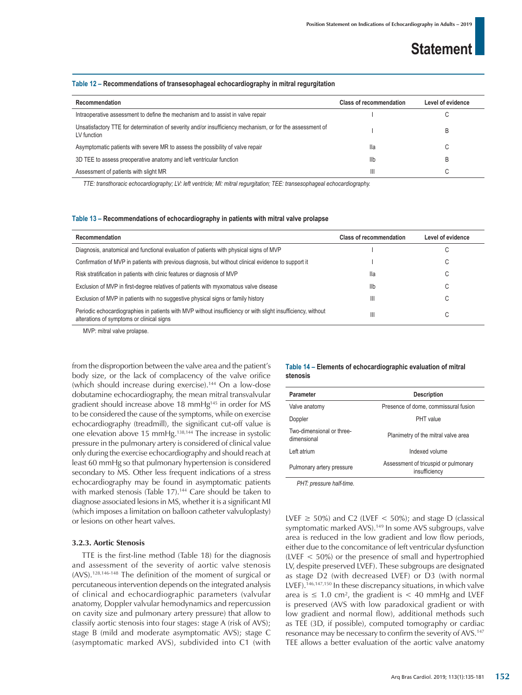#### **Table 12 – Recommendations of transesophageal echocardiography in mitral regurgitation**

| Recommendation                                                                                                           | <b>Class of recommendation</b> | Level of evidence |
|--------------------------------------------------------------------------------------------------------------------------|--------------------------------|-------------------|
| Intraoperative assessment to define the mechanism and to assist in valve repair                                          |                                |                   |
| Unsatisfactory TTE for determination of severity and/or insufficiency mechanism, or for the assessment of<br>LV function |                                | R                 |
| Asymptomatic patients with severe MR to assess the possibility of valve repair                                           | lla                            |                   |
| 3D TEE to assess preoperative anatomy and left ventricular function                                                      | Ilb                            |                   |
| Assessment of patients with slight MR                                                                                    | $\mathbb{I}$                   |                   |

*TTE: transthoracic echocardiography; LV: left ventricle; MI: mitral regurgitation; TEE: transesophageal echocardiography.*

#### **Table 13 – Recommendations of echocardiography in patients with mitral valve prolapse**

| Recommendation                                                                                                                                            | Class of recommendation | Level of evidence |
|-----------------------------------------------------------------------------------------------------------------------------------------------------------|-------------------------|-------------------|
| Diagnosis, anatomical and functional evaluation of patients with physical signs of MVP                                                                    |                         | ◡                 |
| Confirmation of MVP in patients with previous diagnosis, but without clinical evidence to support it                                                      |                         | U                 |
| Risk stratification in patients with clinic features or diagnosis of MVP                                                                                  | lla                     | ◡                 |
| Exclusion of MVP in first-degree relatives of patients with myxomatous valve disease                                                                      | llb                     | U                 |
| Exclusion of MVP in patients with no suggestive physical signs or family history                                                                          | Ш                       | ⌒<br>U            |
| Periodic echocardiographies in patients with MVP without insufficiency or with slight insufficiency, without<br>alterations of symptoms or clinical signs | Ш                       | $\sim$<br>U       |

MVP: mitral valve prolapse.

from the disproportion between the valve area and the patient's body size, or the lack of complacency of the valve orifice (which should increase during exercise).144 On a low-dose dobutamine echocardiography, the mean mitral transvalvular gradient should increase above 18 mmHg145 in order for MS to be considered the cause of the symptoms, while on exercise echocardiography (treadmill), the significant cut-off value is one elevation above 15 mmHg.138,144 The increase in systolic pressure in the pulmonary artery is considered of clinical value only during the exercise echocardiography and should reach at least 60 mmHg so that pulmonary hypertension is considered secondary to MS. Other less frequent indications of a stress echocardiography may be found in asymptomatic patients with marked stenosis (Table 17).<sup>144</sup> Care should be taken to diagnose associated lesions in MS, whether it is a significant MI (which imposes a limitation on balloon catheter valvuloplasty) or lesions on other heart valves.

### **3.2.3. Aortic Stenosis**

TTE is the first-line method (Table 18) for the diagnosis and assessment of the severity of aortic valve stenosis (AVS).128,146-148 The definition of the moment of surgical or percutaneous intervention depends on the integrated analysis of clinical and echocardiographic parameters (valvular anatomy, Doppler valvular hemodynamics and repercussion on cavity size and pulmonary artery pressure) that allow to classify aortic stenosis into four stages: stage A (risk of AVS); stage B (mild and moderate asymptomatic AVS); stage C (asymptomatic marked AVS), subdivided into C1 (with

### **Table 14 – Elements of echocardiographic evaluation of mitral stenosis**

| <b>Parameter</b>                         | <b>Description</b>                                    |
|------------------------------------------|-------------------------------------------------------|
| Valve anatomy                            | Presence of dome, commissural fusion                  |
| Doppler                                  | PHT value                                             |
| Two-dimensional or three-<br>dimensional | Planimetry of the mitral valve area                   |
| Left atrium                              | Indexed volume                                        |
| Pulmonary artery pressure                | Assessment of tricuspid or pulmonary<br>insufficiency |
| $DUT$ arongura holf time                 |                                                       |

*PHT: pressure half-time.*

LVEF  $\geq$  50%) and C2 (LVEF  $\lt$  50%); and stage D (classical symptomatic marked AVS).<sup>149</sup> In some AVS subgroups, valve area is reduced in the low gradient and low flow periods, either due to the concomitance of left ventricular dysfunction (LVEF < 50%) or the presence of small and hypertrophied LV, despite preserved LVEF). These subgroups are designated as stage D2 (with decreased LVEF) or D3 (with normal LVEF).<sup>146,147,150</sup> In these discrepancy situations, in which valve area is  $\leq 1.0$  cm<sup>2</sup>, the gradient is  $< 40$  mmHg and LVEF is preserved (AVS with low paradoxical gradient or with low gradient and normal flow), additional methods such as TEE (3D, if possible), computed tomography or cardiac resonance may be necessary to confirm the severity of AVS.147 TEE allows a better evaluation of the aortic valve anatomy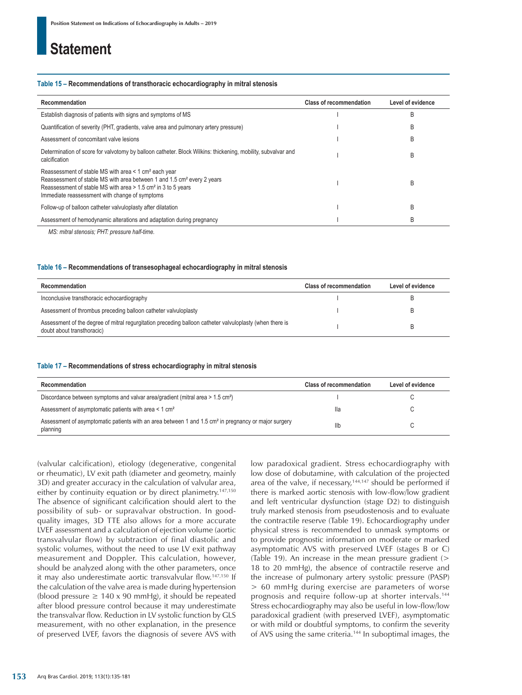#### **Table 15 – Recommendations of transthoracic echocardiography in mitral stenosis**

| Recommendation                                                                                                                                                                                                                                                                            | <b>Class of recommendation</b> | Level of evidence |
|-------------------------------------------------------------------------------------------------------------------------------------------------------------------------------------------------------------------------------------------------------------------------------------------|--------------------------------|-------------------|
| Establish diagnosis of patients with signs and symptoms of MS                                                                                                                                                                                                                             |                                | B                 |
| Quantification of severity (PHT, gradients, valve area and pulmonary artery pressure)                                                                                                                                                                                                     |                                | B                 |
| Assessment of concomitant valve lesions                                                                                                                                                                                                                                                   |                                | B                 |
| Determination of score for valvotomy by balloon catheter. Block Wilkins: thickening, mobility, subvalvar and<br>calcification                                                                                                                                                             |                                | B                 |
| Reassessment of stable MS with area < 1 cm <sup>2</sup> each year<br>Reassessment of stable MS with area between 1 and 1.5 cm <sup>2</sup> every 2 years<br>Reassessment of stable MS with area $> 1.5$ cm <sup>2</sup> in 3 to 5 years<br>Immediate reassessment with change of symptoms |                                | B                 |
| Follow-up of balloon catheter valvuloplasty after dilatation                                                                                                                                                                                                                              |                                | B                 |
| Assessment of hemodynamic alterations and adaptation during pregnancy                                                                                                                                                                                                                     |                                | B                 |

*MS: mitral stenosis; PHT: pressure half-time.*

#### **Table 16 – Recommendations of transesophageal echocardiography in mitral stenosis**

| Recommendation                                                                                                                         | <b>Class of recommendation</b> | Level of evidence |
|----------------------------------------------------------------------------------------------------------------------------------------|--------------------------------|-------------------|
| Inconclusive transthoracic echocardiography                                                                                            |                                |                   |
| Assessment of thrombus preceding balloon catheter valvuloplasty                                                                        |                                |                   |
| Assessment of the degree of mitral regurgitation preceding balloon catheter valvuloplasty (when there is<br>doubt about transthoracic) |                                |                   |

#### **Table 17 – Recommendations of stress echocardiography in mitral stenosis**

| Recommendation                                                                                                               | <b>Class of recommendation</b> | Level of evidence |
|------------------------------------------------------------------------------------------------------------------------------|--------------------------------|-------------------|
| Discordance between symptoms and valvar area/gradient (mitral area > 1.5 cm <sup>2</sup> )                                   |                                |                   |
| Assessment of asymptomatic patients with area < 1 cm <sup>2</sup>                                                            | lla                            | ◡                 |
| Assessment of asymptomatic patients with an area between 1 and 1.5 cm <sup>2</sup> in pregnancy or major surgery<br>planning | Ilb                            |                   |

(valvular calcification), etiology (degenerative, congenital or rheumatic), LV exit path (diameter and geometry, mainly 3D) and greater accuracy in the calculation of valvular area, either by continuity equation or by direct planimetry.<sup>147,150</sup> The absence of significant calcification should alert to the possibility of sub- or supravalvar obstruction. In goodquality images, 3D TTE also allows for a more accurate LVEF assessment and a calculation of ejection volume (aortic transvalvular flow) by subtraction of final diastolic and systolic volumes, without the need to use LV exit pathway measurement and Doppler. This calculation, however, should be analyzed along with the other parameters, once it may also underestimate aortic transvalvular flow.147,150 If the calculation of the valve area is made during hypertension (blood pressure  $\geq 140 \times 90$  mmHg), it should be repeated after blood pressure control because it may underestimate the transvalvar flow. Reduction in LV systolic function by GLS measurement, with no other explanation, in the presence of preserved LVEF, favors the diagnosis of severe AVS with low paradoxical gradient. Stress echocardiography with low dose of dobutamine, with calculation of the projected area of the valve, if necessary,<sup>144,147</sup> should be performed if there is marked aortic stenosis with low-flow/low gradient and left ventricular dysfunction (stage D2) to distinguish truly marked stenosis from pseudostenosis and to evaluate the contractile reserve (Table 19). Echocardiography under physical stress is recommended to unmask symptoms or to provide prognostic information on moderate or marked asymptomatic AVS with preserved LVEF (stages B or C) (Table 19). An increase in the mean pressure gradient (> 18 to 20 mmHg), the absence of contractile reserve and the increase of pulmonary artery systolic pressure (PASP) > 60 mmHg during exercise are parameters of worse prognosis and require follow-up at shorter intervals.144 Stress echocardiography may also be useful in low-flow/low paradoxical gradient (with preserved LVEF), asymptomatic or with mild or doubtful symptoms, to confirm the severity of AVS using the same criteria.144 In suboptimal images, the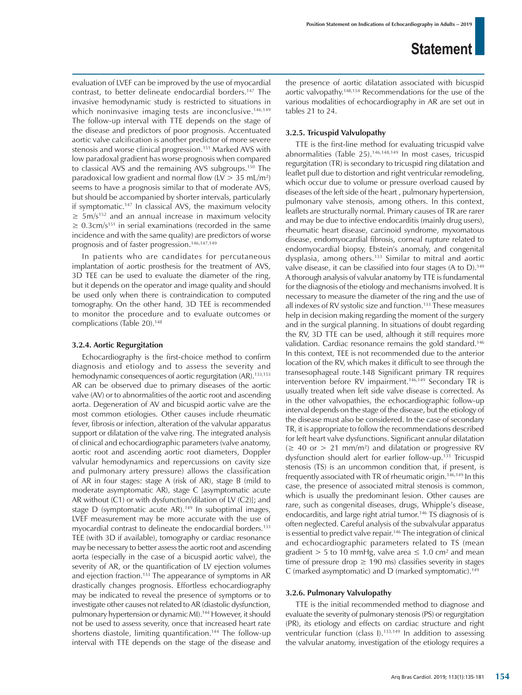evaluation of LVEF can be improved by the use of myocardial contrast, to better delineate endocardial borders.147 The invasive hemodynamic study is restricted to situations in which noninvasive imaging tests are inconclusive.<sup>146,149</sup> The follow-up interval with TTE depends on the stage of the disease and predictors of poor prognosis. Accentuated aortic valve calcification is another predictor of more severe stenosis and worse clinical progression.151 Marked AVS with low paradoxal gradient has worse prognosis when compared to classical AVS and the remaining AVS subgroups.150 The paradoxical low gradient and normal flow (LV > 35 mL/m2 ) seems to have a prognosis similar to that of moderate AVS, but should be accompanied by shorter intervals, particularly if symptomatic.147 In classical AVS, the maximum velocity  $\geq$  5m/s<sup>152</sup> and an annual increase in maximum velocity  $\geq$  0.3cm/s<sup>151</sup> in serial examinations (recorded in the same incidence and with the same quality) are predictors of worse prognosis and of faster progression.146,147,149

In patients who are candidates for percutaneous implantation of aortic prosthesis for the treatment of AVS, 3D TEE can be used to evaluate the diameter of the ring, but it depends on the operator and image quality and should be used only when there is contraindication to computed tomography. On the other hand, 3D TEE is recommended to monitor the procedure and to evaluate outcomes or complications (Table 20).<sup>148</sup>

### **3.2.4. Aortic Regurgitation**

Echocardiography is the first-choice method to confirm diagnosis and etiology and to assess the severity and hemodynamic consequences of aortic regurgitation (AR).<sup>133,153</sup> AR can be observed due to primary diseases of the aortic valve (AV) or to abnormalities of the aortic root and ascending aorta. Degeneration of AV and bicuspid aortic valve are the most common etiologies. Other causes include rheumatic fever, fibrosis or infection, alteration of the valvular apparatus support or dilatation of the valve ring. The integrated analysis of clinical and echocardiographic parameters (valve anatomy, aortic root and ascending aortic root diameters, Doppler valvular hemodynamics and repercussions on cavity size and pulmonary artery pressure) allows the classification of AR in four stages: stage A (risk of AR), stage B (mild to moderate asymptomatic AR), stage C [asymptomatic acute AR without (C1) or with dysfunction/dilation of LV (C2)]; and stage D (symptomatic acute AR).<sup>149</sup> In suboptimal images, LVEF measurement may be more accurate with the use of myocardial contrast to delineate the endocardial borders.133 TEE (with 3D if available), tomography or cardiac resonance may be necessary to better assess the aortic root and ascending aorta (especially in the case of a bicuspid aortic valve), the severity of AR, or the quantification of LV ejection volumes and ejection fraction.<sup>133</sup> The appearance of symptoms in AR drastically changes prognosis. Effortless echocardiography may be indicated to reveal the presence of symptoms or to investigate other causes not related to AR (diastolic dysfunction, pulmonary hypertension or dynamic MI).144 However, it should not be used to assess severity, once that increased heart rate shortens diastole, limiting quantification.<sup>144</sup> The follow-up interval with TTE depends on the stage of the disease and the presence of aortic dilatation associated with bicuspid aortic valvopathy.148,154 Recommendations for the use of the various modalities of echocardiography in AR are set out in tables 21 to 24.

### **3.2.5. Tricuspid Valvulopathy**

TTE is the first-line method for evaluating tricuspid valve abnormalities (Table 25).146,148,149 In most cases, tricuspid regurgitation (TR) is secondary to tricuspid ring dilatation and leaflet pull due to distortion and right ventricular remodeling, which occur due to volume or pressure overload caused by diseases of the left side of the heart , pulmonary hypertension, pulmonary valve stenosis, among others. In this context, leaflets are structurally normal. Primary causes of TR are rarer and may be due to infective endocarditis (mainly drug users), rheumatic heart disease, carcinoid syndrome, myxomatous disease, endomyocardial fibrosis, corneal rupture related to endomyocardial biopsy, Ebstein's anomaly, and congenital dysplasia, among others.133 Similar to mitral and aortic valve disease, it can be classified into four stages (A to D).<sup>149</sup> A thorough analysis of valvular anatomy by TTE is fundamental for the diagnosis of the etiology and mechanisms involved. It is necessary to measure the diameter of the ring and the use of all indexes of RV systolic size and function.<sup>133</sup> These measures help in decision making regarding the moment of the surgery and in the surgical planning. In situations of doubt regarding the RV, 3D TTE can be used, although it still requires more validation. Cardiac resonance remains the gold standard.146 In this context, TEE is not recommended due to the anterior location of the RV, which makes it difficult to see through the transesophageal route.148 Significant primary TR requires intervention before RV impairment.<sup>146,149</sup> Secondary TR is usually treated when left side valve disease is corrected. As in the other valvopathies, the echocardiographic follow-up interval depends on the stage of the disease, but the etiology of the disease must also be considered. In the case of secondary TR, it is appropriate to follow the recommendations described for left heart valve dysfunctions. Significant annular dilatation  $(\geq 40 \text{ or } > 21 \text{ mm/m}^2)$  and dilatation or progressive RV dysfunction should alert for earlier follow-up.<sup>133</sup> Tricuspid stenosis (TS) is an uncommon condition that, if present, is frequently associated with TR of rheumatic origin.<sup>146,149</sup> In this case, the presence of associated mitral stenosis is common, which is usually the predominant lesion. Other causes are rare, such as congenital diseases, drugs, Whipple's disease, endocarditis, and large right atrial tumor.<sup>146</sup> TS diagnosis of is often neglected. Careful analysis of the subvalvular apparatus is essential to predict valve repair.<sup>146</sup> The integration of clinical and echocardiographic parameters related to TS (mean gradient  $> 5$  to 10 mmHg, valve area  $\leq 1.0$  cm<sup>2</sup> and mean time of pressure drop  $\geq$  190 ms) classifies severity in stages C (marked asymptomatic) and D (marked symptomatic).149

### **3.2.6. Pulmonary Valvulopathy**

TTE is the initial recommended method to diagnose and evaluate the severity of pulmonary stenosis (PS) or regurgitation (PR), its etiology and effects on cardiac structure and right ventricular function (class I).<sup>133,149</sup> In addition to assessing the valvular anatomy, investigation of the etiology requires a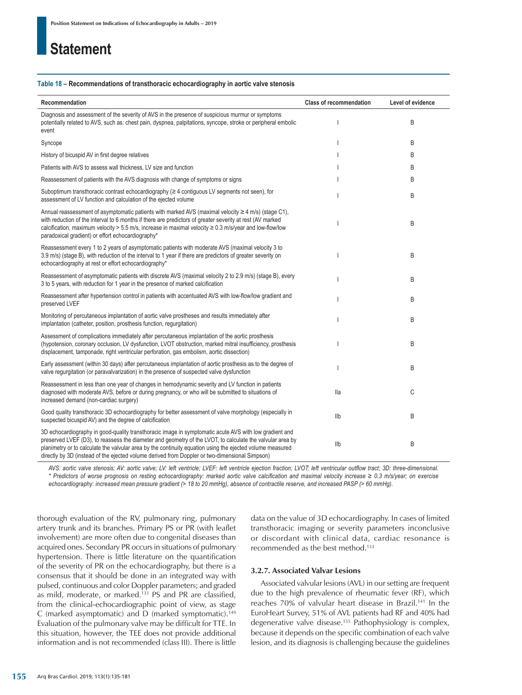#### **Table 18 – Recommendations of transthoracic echocardiography in aortic valve stenosis**

| Recommendation                                                                                                                                                                                                                                                                                                                                                                                                                     | <b>Class of recommendation</b> | Level of evidence |
|------------------------------------------------------------------------------------------------------------------------------------------------------------------------------------------------------------------------------------------------------------------------------------------------------------------------------------------------------------------------------------------------------------------------------------|--------------------------------|-------------------|
| Diagnosis and assessment of the severity of AVS in the presence of suspicious murmur or symptoms<br>potentially related to AVS, such as: chest pain, dyspnea, palpitations, syncope, stroke or peripheral embolic<br>event                                                                                                                                                                                                         |                                | B                 |
| Syncope                                                                                                                                                                                                                                                                                                                                                                                                                            |                                | B                 |
| History of bicuspid AV in first degree relatives                                                                                                                                                                                                                                                                                                                                                                                   |                                | B                 |
| Patients with AVS to assess wall thickness, LV size and function                                                                                                                                                                                                                                                                                                                                                                   |                                | B                 |
| Reassessment of patients with the AVS diagnosis with change of symptoms or signs                                                                                                                                                                                                                                                                                                                                                   |                                | B                 |
| Suboptimum transthoracic contrast echocardiography ( $\geq 4$ contiguous LV segments not seen), for<br>assessment of LV function and calculation of the ejected volume                                                                                                                                                                                                                                                             |                                | B                 |
| Annual reassessment of asymptomatic patients with marked AVS (maximal velocity $\geq 4$ m/s) (stage C1),<br>with reduction of the interval to 6 months if there are predictors of greater severity at rest (AV marked<br>calcification, maximum velocity > 5.5 m/s, increase in maximal velocity ≥ 0.3 m/s/year and low-flow/low<br>paradoxical gradient) or effort echocardiography*                                              |                                | B                 |
| Reassessment every 1 to 2 years of asymptomatic patients with moderate AVS (maximal velocity 3 to<br>3.9 m/s) (stage B), with reduction of the interval to 1 year if there are predictors of greater severity on<br>echocardiography at rest or effort echocardiography*                                                                                                                                                           |                                | B                 |
| Reassessment of asymptomatic patients with discrete AVS (maximal velocity 2 to 2.9 m/s) (stage B), every<br>3 to 5 years, with reduction for 1 year in the presence of marked calcification                                                                                                                                                                                                                                        |                                | B                 |
| Reassessment after hypertension control in patients with accentuated AVS with low-flow/low gradient and<br>preserved LVEF                                                                                                                                                                                                                                                                                                          |                                | B                 |
| Monitoring of percutaneous implantation of aortic valve prostheses and results immediately after<br>implantation (catheter, position, prosthesis function, regurgitation)                                                                                                                                                                                                                                                          |                                | B                 |
| Assessment of complications immediately after percutaneous implantation of the aortic prosthesis<br>(hypotension, coronary occlusion, LV dysfunction, LVOT obstruction, marked mitral insufficiency, prosthesis<br>displacement, tamponade, right ventricular perforation, gas embolism, aortic dissection)                                                                                                                        |                                | B                 |
| Early assessment (within 30 days) after percutaneous implantation of aortic prosthesis as to the degree of<br>valve regurgitation (or paravalvarization) in the presence of suspected valve dysfunction                                                                                                                                                                                                                            |                                | B                 |
| Reassessment in less than one year of changes in hemodynamic severity and LV function in patients<br>diagnosed with moderate AVS, before or during pregnancy, or who will be submitted to situations of<br>increased demand (non-cardiac surgery)                                                                                                                                                                                  | lla                            | C                 |
| Good quality transthoracic 3D echocardiography for better assessment of valve morphology (especially in<br>suspected bicuspid AV) and the degree of calcification                                                                                                                                                                                                                                                                  | Ilb                            | B                 |
| 3D echocardiography in good-quality transthoracic image in symptomatic acute AVS with low gradient and<br>preserved LVEF (D3), to reassess the diameter and geometry of the LVOT, to calculate the valvular area by<br>planimetry or to calculate the valvular area by the continuity equation using the ejected volume measured<br>directly by 3D (instead of the ejected volume derived from Doppler or two-dimensional Simpson) | Ilb                            | B                 |

*AVS: aortic valve stenosis; AV: aortic valve; LV: left ventricle; LVEF: left ventricle ejection fraction; LVOT: left ventricular outflow tract; 3D: three-dimensional. \* Predictors of worse prognosis on resting echocardiography: marked aortic valve calcification and maximal velocity increase ≥ 0.3 m/s/year; on exercise echocardiography: increased mean pressure gradient (> 18 to 20 mmHg), absence of contractile reserve, and increased PASP (> 60 mmHg).*

thorough evaluation of the RV, pulmonary ring, pulmonary artery trunk and its branches. Primary PS or PR (with leaflet involvement) are more often due to congenital diseases than acquired ones. Secondary PR occurs in situations of pulmonary hypertension. There is little literature on the quantification of the severity of PR on the echocardiography, but there is a consensus that it should be done in an integrated way with pulsed, continuous and color Doppler parameters; and graded as mild, moderate, or marked.133 PS and PR are classified, from the clinical-echocardiographic point of view, as stage C (marked asymptomatic) and D (marked symptomatic).149 Evaluation of the pulmonary valve may be difficult for TTE. In this situation, however, the TEE does not provide additional information and is not recommended (class III). There is little data on the value of 3D echocardiography. In cases of limited transthoracic imaging or severity parameters inconclusive or discordant with clinical data, cardiac resonance is recommended as the best method.133

### **3.2.7. Associated Valvar Lesions**

Associated valvular lesions (AVL) in our setting are frequent due to the high prevalence of rheumatic fever (RF), which reaches 70% of valvular heart disease in Brazil.141 In the EuroHeart Survey, 51% of AVL patients had RF and 40% had degenerative valve disease.155 Pathophysiology is complex, because it depends on the specific combination of each valve lesion, and its diagnosis is challenging because the guidelines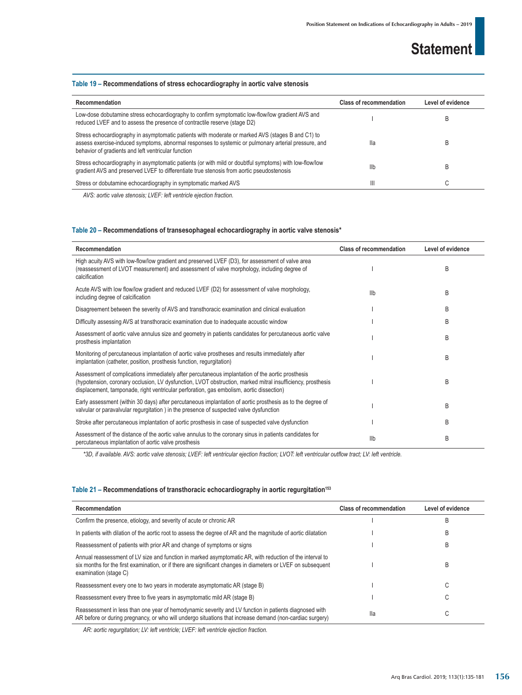### **Table 19 – Recommendations of stress echocardiography in aortic valve stenosis**

| Recommendation                                                                                                                                                                                                                                                   | <b>Class of recommendation</b> | Level of evidence |  |
|------------------------------------------------------------------------------------------------------------------------------------------------------------------------------------------------------------------------------------------------------------------|--------------------------------|-------------------|--|
| Low-dose dobutamine stress echocardiography to confirm symptomatic low-flow/low gradient AVS and<br>reduced LVEF and to assess the presence of contractile reserve (stage D2)                                                                                    |                                | B                 |  |
| Stress echocardiography in asymptomatic patients with moderate or marked AVS (stages B and C1) to<br>assess exercise-induced symptoms, abnormal responses to systemic or pulmonary arterial pressure, and<br>behavior of gradients and left ventricular function | lla                            |                   |  |
| Stress echocardiography in asymptomatic patients (or with mild or doubtful symptoms) with low-flow/low<br>gradient AVS and preserved LVEF to differentiate true stenosis from aortic pseudostenosis                                                              | Ilb                            |                   |  |
| Stress or dobutamine echocardiography in symptomatic marked AVS                                                                                                                                                                                                  | Ш                              | ⌒                 |  |
| AUC condictional proposation INEE, Influential problem frontion                                                                                                                                                                                                  |                                |                   |  |

*AVS: aortic valve stenosis; LVEF: left ventricle ejection fraction.*

### **Table 20 – Recommendations of transesophageal echocardiography in aortic valve stenosis\***

| Recommendation                                                                                                                                                                                                                                                                                              | <b>Class of recommendation</b> | Level of evidence |
|-------------------------------------------------------------------------------------------------------------------------------------------------------------------------------------------------------------------------------------------------------------------------------------------------------------|--------------------------------|-------------------|
| High acuity AVS with low-flow/low gradient and preserved LVEF (D3), for assessment of valve area<br>(reassessment of LVOT measurement) and assessment of valve morphology, including degree of<br>calcification                                                                                             |                                | B                 |
| Acute AVS with low flow/low gradient and reduced LVEF (D2) for assessment of valve morphology,<br>including degree of calcification                                                                                                                                                                         | Ilb                            | B                 |
| Disagreement between the severity of AVS and transthoracic examination and clinical evaluation                                                                                                                                                                                                              |                                | B                 |
| Difficulty assessing AVS at transthoracic examination due to inadequate acoustic window                                                                                                                                                                                                                     |                                | B                 |
| Assessment of aortic valve annulus size and geometry in patients candidates for percutaneous aortic valve<br>prosthesis implantation                                                                                                                                                                        |                                | B                 |
| Monitoring of percutaneous implantation of aortic valve prostheses and results immediately after<br>implantation (catheter, position, prosthesis function, requrgitation)                                                                                                                                   |                                | B                 |
| Assessment of complications immediately after percutaneous implantation of the aortic prosthesis<br>(hypotension, coronary occlusion, LV dysfunction, LVOT obstruction, marked mitral insufficiency, prosthesis<br>displacement, tamponade, right ventricular perforation, gas embolism, aortic dissection) |                                | B                 |
| Early assessment (within 30 days) after percutaneous implantation of aortic prosthesis as to the degree of<br>valvular or paravalvular regurgitation) in the presence of suspected valve dysfunction                                                                                                        |                                | B                 |
| Stroke after percutaneous implantation of aortic prosthesis in case of suspected valve dysfunction                                                                                                                                                                                                          |                                | B                 |
| Assessment of the distance of the aortic valve annulus to the coronary sinus in patients candidates for<br>percutaneous implantation of aortic valve prosthesis                                                                                                                                             | Ilb                            | B                 |

*\*3D, if available. AVS: aortic valve stenosis; LVEF: left ventricular ejection fraction; LVOT: left ventricular outflow tract; LV: left ventricle.*

### Table 21 – Recommendations of transthoracic echocardiography in aortic regurgitation<sup>153</sup>

| Recommendation                                                                                                                                                                                                                                    | <b>Class of recommendation</b> | Level of evidence |
|---------------------------------------------------------------------------------------------------------------------------------------------------------------------------------------------------------------------------------------------------|--------------------------------|-------------------|
| Confirm the presence, etiology, and severity of acute or chronic AR                                                                                                                                                                               |                                | B                 |
| In patients with dilation of the aortic root to assess the degree of AR and the magnitude of aortic dilatation                                                                                                                                    |                                | B                 |
| Reassessment of patients with prior AR and change of symptoms or signs                                                                                                                                                                            |                                | B                 |
| Annual reassessment of LV size and function in marked asymptomatic AR, with reduction of the interval to<br>six months for the first examination, or if there are significant changes in diameters or LVEF on subsequent<br>examination (stage C) |                                | B                 |
| Reassessment every one to two years in moderate asymptomatic AR (stage B)                                                                                                                                                                         |                                | U                 |
| Reassessment every three to five years in asymptomatic mild AR (stage B)                                                                                                                                                                          |                                |                   |
| Reassessment in less than one year of hemodynamic severity and LV function in patients diagnosed with<br>AR before or during pregnancy, or who will undergo situations that increase demand (non-cardiac surgery)                                 | lla                            | U                 |

*AR: aortic regurgitation; LV: left ventricle; LVEF: left ventricle ejection fraction.*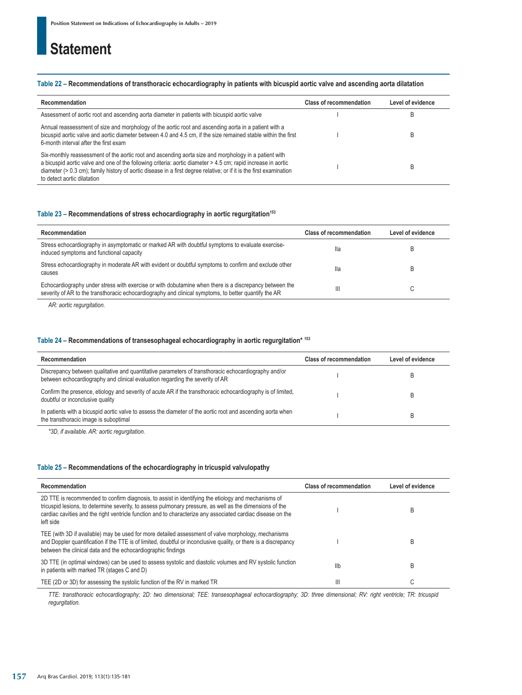### **Table 22 – Recommendations of transthoracic echocardiography in patients with bicuspid aortic valve and ascending aorta dilatation**

| Recommendation                                                                                                                                                                                                                                                                                                                                                                 | <b>Class of recommendation</b> | Level of evidence |
|--------------------------------------------------------------------------------------------------------------------------------------------------------------------------------------------------------------------------------------------------------------------------------------------------------------------------------------------------------------------------------|--------------------------------|-------------------|
| Assessment of aortic root and ascending aorta diameter in patients with bicuspid aortic valve                                                                                                                                                                                                                                                                                  |                                |                   |
| Annual reassessment of size and morphology of the aortic root and ascending aorta in a patient with a<br>bicuspid aortic valve and aortic diameter between 4.0 and 4.5 cm, if the size remained stable within the first<br>6-month interval after the first exam                                                                                                               |                                |                   |
| Six-monthly reassessment of the aortic root and ascending aorta size and morphology in a patient with<br>a bicuspid aortic valve and one of the following criteria: aortic diameter > 4.5 cm; rapid increase in aortic<br>diameter $(> 0.3$ cm); family history of aortic disease in a first degree relative; or if it is the first examination<br>to detect aortic dilatation |                                |                   |

### Table 23 - Recommendations of stress echocardiography in aortic regurgitation<sup>153</sup>

| Recommendation                                                                                                                                                                                                  | <b>Class of recommendation</b> | Level of evidence |
|-----------------------------------------------------------------------------------------------------------------------------------------------------------------------------------------------------------------|--------------------------------|-------------------|
| Stress echocardiography in asymptomatic or marked AR with doubtful symptoms to evaluate exercise-<br>induced symptoms and functional capacity                                                                   | lla                            | B                 |
| Stress echocardiography in moderate AR with evident or doubtful symptoms to confirm and exclude other<br>causes                                                                                                 | lla                            | B                 |
| Echocardiography under stress with exercise or with dobutamine when there is a discrepancy between the<br>severity of AR to the transthoracic echocardiography and clinical symptoms, to better quantify the AR | Ш                              | U                 |

*AR: aortic regurgitation.*

### **Table 24 – Recommendations of transesophageal echocardiography in aortic regurgitation\* 153**

| Recommendation                                                                                                                                                                        | <b>Class of recommendation</b> | Level of evidence |
|---------------------------------------------------------------------------------------------------------------------------------------------------------------------------------------|--------------------------------|-------------------|
| Discrepancy between qualitative and quantitative parameters of transthoracic echocardiography and/or<br>between echocardiography and clinical evaluation regarding the severity of AR |                                |                   |
| Confirm the presence, etiology and severity of acute AR if the transthoracic echocardiography is of limited,<br>doubtful or inconclusive quality                                      |                                |                   |
| In patients with a bicuspid aortic valve to assess the diameter of the aortic root and ascending aorta when<br>the transthoracic image is suboptimal                                  |                                |                   |

*\*3D, if available. AR: aortic regurgitation.*

### **Table 25 – Recommendations of the echocardiography in tricuspid valvulopathy**

| Recommendation                                                                                                                                                                                                                                                                                                                              | <b>Class of recommendation</b> | Level of evidence |
|---------------------------------------------------------------------------------------------------------------------------------------------------------------------------------------------------------------------------------------------------------------------------------------------------------------------------------------------|--------------------------------|-------------------|
| 2D TTE is recommended to confirm diagnosis, to assist in identifying the etiology and mechanisms of<br>tricuspid lesions, to determine severity, to assess pulmonary pressure, as well as the dimensions of the<br>cardiac cavities and the right ventricle function and to characterize any associated cardiac disease on the<br>left side |                                | B                 |
| TEE (with 3D if available) may be used for more detailed assessment of valve morphology, mechanisms<br>and Doppler quantification if the TTE is of limited, doubtful or inconclusive quality, or there is a discrepancy<br>between the clinical data and the echocardiographic findings                                                     |                                | B                 |
| 3D TTE (in optimal windows) can be used to assess systolic and diastolic volumes and RV systolic function<br>in patients with marked TR (stages C and D)                                                                                                                                                                                    | Ilb                            | B                 |
| TEE (2D or 3D) for assessing the systolic function of the RV in marked TR                                                                                                                                                                                                                                                                   | Ш                              | ⌒<br>U            |

*TTE: transthoracic echocardiography; 2D: two dimensional; TEE: transesophageal echocardiography; 3D: three dimensional; RV: right ventricle; TR: tricuspid regurgitation.*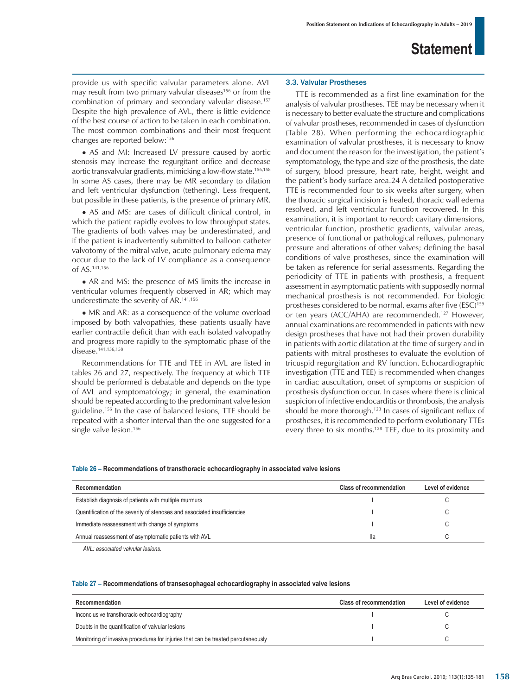provide us with specific valvular parameters alone. AVL may result from two primary valvular diseases<sup>156</sup> or from the combination of primary and secondary valvular disease.157 Despite the high prevalence of AVL, there is little evidence of the best course of action to be taken in each combination. The most common combinations and their most frequent changes are reported below:156

• AS and MI: Increased LV pressure caused by aortic stenosis may increase the regurgitant orifice and decrease aortic transvalvular gradients, mimicking a low-flow state.156,158 In some AS cases, there may be MR secondary to dilation and left ventricular dysfunction (tethering). Less frequent, but possible in these patients, is the presence of primary MR.

• AS and MS: are cases of difficult clinical control, in which the patient rapidly evolves to low throughput states. The gradients of both valves may be underestimated, and if the patient is inadvertently submitted to balloon catheter valvotomy of the mitral valve, acute pulmonary edema may occur due to the lack of LV compliance as a consequence of AS.141,156

• AR and MS: the presence of MS limits the increase in ventricular volumes frequently observed in AR; which may underestimate the severity of AR.141,156

• MR and AR: as a consequence of the volume overload imposed by both valvopathies, these patients usually have earlier contractile deficit than with each isolated valvopathy and progress more rapidly to the symptomatic phase of the disease.<sup>141,156,158</sup>

Recommendations for TTE and TEE in AVL are listed in tables 26 and 27, respectively. The frequency at which TTE should be performed is debatable and depends on the type of AVL and symptomatology; in general, the examination should be repeated according to the predominant valve lesion guideline.156 In the case of balanced lesions, TTE should be repeated with a shorter interval than the one suggested for a single valve lesion.<sup>156</sup>

### 3.3. Valvular Prostheses

TTE is recommended as a first line examination for the analysis of valvular prostheses. TEE may be necessary when it is necessary to better evaluate the structure and complications of valvular prostheses, recommended in cases of dysfunction (Table 28). When performing the echocardiographic examination of valvular prostheses, it is necessary to know and document the reason for the investigation, the patient's symptomatology, the type and size of the prosthesis, the date of surgery, blood pressure, heart rate, height, weight and the patient's body surface area.24 A detailed postoperative TTE is recommended four to six weeks after surgery, when the thoracic surgical incision is healed, thoracic wall edema resolved, and left ventricular function recovered. In this examination, it is important to record: cavitary dimensions, ventricular function, prosthetic gradients, valvular areas, presence of functional or pathological refluxes, pulmonary pressure and alterations of other valves; defining the basal conditions of valve prostheses, since the examination will be taken as reference for serial assessments. Regarding the periodicity of TTE in patients with prosthesis, a frequent assessment in asymptomatic patients with supposedly normal mechanical prosthesis is not recommended. For biologic prostheses considered to be normal, exams after five (ESC)<sup>159</sup> or ten years (ACC/AHA) are recommended).<sup>127</sup> However, annual examinations are recommended in patients with new design prostheses that have not had their proven durability in patients with aortic dilatation at the time of surgery and in patients with mitral prostheses to evaluate the evolution of tricuspid regurgitation and RV function. Echocardiographic investigation (TTE and TEE) is recommended when changes in cardiac auscultation, onset of symptoms or suspicion of prosthesis dysfunction occur. In cases where there is clinical suspicion of infective endocarditis or thrombosis, the analysis should be more thorough.123 In cases of significant reflux of prostheses, it is recommended to perform evolutionary TTEs every three to six months.<sup>128</sup> TEE, due to its proximity and

### **Table 26 – Recommendations of transthoracic echocardiography in associated valve lesions**

| Recommendation                                                            | <b>Class of recommendation</b> | Level of evidence |
|---------------------------------------------------------------------------|--------------------------------|-------------------|
| Establish diagnosis of patients with multiple murmurs                     |                                |                   |
| Quantification of the severity of stenoses and associated insufficiencies |                                |                   |
| Immediate reassessment with change of symptoms                            |                                |                   |
| Annual reassessment of asymptomatic patients with AVL                     | lla                            |                   |

*AVL: associated valvular lesions.*

#### **Table 27 – Recommendations of transesophageal echocardiography in associated valve lesions**

| Recommendation                                                                    | <b>Class of recommendation</b> | Level of evidence |
|-----------------------------------------------------------------------------------|--------------------------------|-------------------|
| Inconclusive transthoracic echocardiography                                       |                                |                   |
| Doubts in the quantification of valvular lesions                                  |                                |                   |
| Monitoring of invasive procedures for injuries that can be treated percutaneously |                                |                   |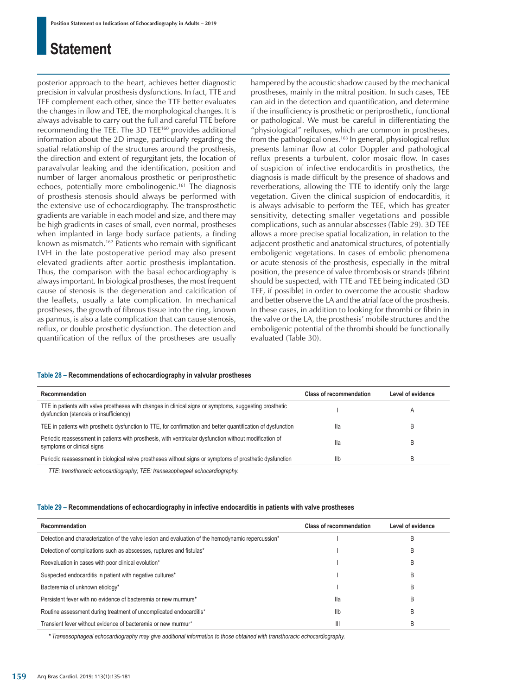posterior approach to the heart, achieves better diagnostic precision in valvular prosthesis dysfunctions. In fact, TTE and TEE complement each other, since the TTE better evaluates the changes in flow and TEE, the morphological changes. It is always advisable to carry out the full and careful TTE before recommending the TEE. The 3D TEE160 provides additional information about the 2D image, particularly regarding the spatial relationship of the structures around the prosthesis, the direction and extent of regurgitant jets, the location of paravalvular leaking and the identification, position and number of larger anomalous prosthetic or periprosthetic echoes, potentially more embolinogenic.<sup>161</sup> The diagnosis of prosthesis stenosis should always be performed with the extensive use of echocardiography. The transprosthetic gradients are variable in each model and size, and there may be high gradients in cases of small, even normal, prostheses when implanted in large body surface patients, a finding known as mismatch.162 Patients who remain with significant LVH in the late postoperative period may also present elevated gradients after aortic prosthesis implantation. Thus, the comparison with the basal echocardiography is always important. In biological prostheses, the most frequent cause of stenosis is the degeneration and calcification of the leaflets, usually a late complication. In mechanical prostheses, the growth of fibrous tissue into the ring, known as pannus, is also a late complication that can cause stenosis, reflux, or double prosthetic dysfunction. The detection and quantification of the reflux of the prostheses are usually hampered by the acoustic shadow caused by the mechanical prostheses, mainly in the mitral position. In such cases, TEE can aid in the detection and quantification, and determine if the insufficiency is prosthetic or periprosthetic, functional or pathological. We must be careful in differentiating the "physiological" refluxes, which are common in prostheses, from the pathological ones.<sup>163</sup> In general, physiological reflux presents laminar flow at color Doppler and pathological reflux presents a turbulent, color mosaic flow. In cases of suspicion of infective endocarditis in prosthetics, the diagnosis is made difficult by the presence of shadows and reverberations, allowing the TTE to identify only the large vegetation. Given the clinical suspicion of endocarditis, it is always advisable to perform the TEE, which has greater sensitivity, detecting smaller vegetations and possible complications, such as annular abscesses (Table 29). 3D TEE allows a more precise spatial localization, in relation to the adjacent prosthetic and anatomical structures, of potentially emboligenic vegetations. In cases of embolic phenomena or acute stenosis of the prosthesis, especially in the mitral position, the presence of valve thrombosis or strands (fibrin) should be suspected, with TTE and TEE being indicated (3D TEE, if possible) in order to overcome the acoustic shadow and better observe the LA and the atrial face of the prosthesis. In these cases, in addition to looking for thrombi or fibrin in the valve or the LA, the prosthesis' mobile structures and the emboligenic potential of the thrombi should be functionally evaluated (Table 30).

### **Table 28 – Recommendations of echocardiography in valvular prostheses**

| Recommendation                                                                                                                                     | <b>Class of recommendation</b> | Level of evidence |
|----------------------------------------------------------------------------------------------------------------------------------------------------|--------------------------------|-------------------|
| TTE in patients with valve prostheses with changes in clinical signs or symptoms, suggesting prosthetic<br>dysfunction (stenosis or insufficiency) |                                |                   |
| TEE in patients with prosthetic dysfunction to TTE, for confirmation and better quantification of dysfunction                                      | lla                            |                   |
| Periodic reassessment in patients with prosthesis, with ventricular dysfunction without modification of<br>symptoms or clinical signs              | lla                            |                   |
| Periodic reassessment in biological valve prostheses without signs or symptoms of prosthetic dysfunction                                           | llb                            | B                 |

*TTE: transthoracic echocardiography; TEE: transesophageal echocardiography.*

#### **Table 29 – Recommendations of echocardiography in infective endocarditis in patients with valve prostheses**

| Recommendation                                                                                     | <b>Class of recommendation</b> | Level of evidence |
|----------------------------------------------------------------------------------------------------|--------------------------------|-------------------|
| Detection and characterization of the valve lesion and evaluation of the hemodynamic repercussion* |                                | B                 |
| Detection of complications such as abscesses, ruptures and fistulas*                               |                                | B                 |
| Reevaluation in cases with poor clinical evolution*                                                |                                | B                 |
| Suspected endocarditis in patient with negative cultures*                                          |                                | B                 |
| Bacteremia of unknown etiology*                                                                    |                                | B                 |
| Persistent fever with no evidence of bacteremia or new murmurs*                                    | lla                            | B                 |
| Routine assessment during treatment of uncomplicated endocarditis*                                 | Ilb                            | B                 |
| Transient fever without evidence of bacteremia or new murmur*                                      | $\mathbf{III}$                 | B                 |

*\* Transesophageal echocardiography may give additional information to those obtained with transthoracic echocardiography.*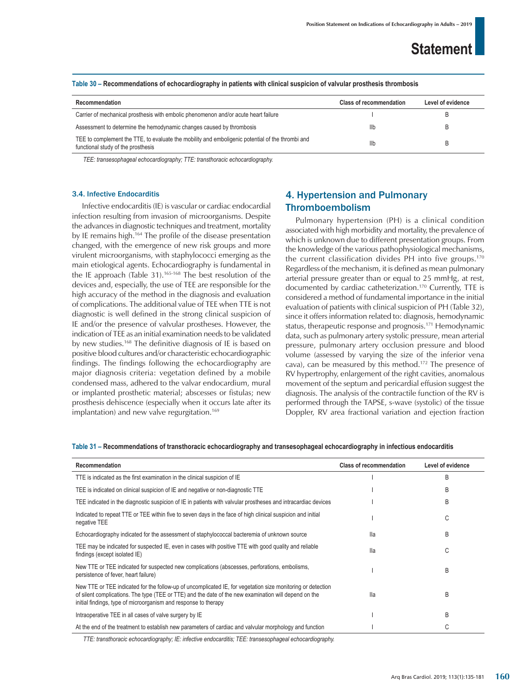| Recommendation                                                                                                                         | <b>Class of recommendation</b> | Level of evidence |
|----------------------------------------------------------------------------------------------------------------------------------------|--------------------------------|-------------------|
| Carrier of mechanical prosthesis with embolic phenomenon and/or acute heart failure                                                    |                                |                   |
| Assessment to determine the hemodynamic changes caused by thrombosis                                                                   | Ilb                            |                   |
| TEE to complement the TTE, to evaluate the mobility and emboligenic potential of the thrombi and<br>functional study of the prosthesis | Ilb                            |                   |

**Table 30 – Recommendations of echocardiography in patients with clinical suspicion of valvular prosthesis thrombosis**

*TEE: transesophageal echocardiography; TTE: transthoracic echocardiography.*

#### 3.4. Infective Endocarditis

Infective endocarditis (IE) is vascular or cardiac endocardial infection resulting from invasion of microorganisms. Despite the advances in diagnostic techniques and treatment, mortality by IE remains high.<sup>164</sup> The profile of the disease presentation changed, with the emergence of new risk groups and more virulent microorganisms, with staphylococci emerging as the main etiological agents. Echocardiography is fundamental in the IE approach (Table 31).165-168 The best resolution of the devices and, especially, the use of TEE are responsible for the high accuracy of the method in the diagnosis and evaluation of complications. The additional value of TEE when TTE is not diagnostic is well defined in the strong clinical suspicion of IE and/or the presence of valvular prostheses. However, the indication of TEE as an initial examination needs to be validated by new studies.168 The definitive diagnosis of IE is based on positive blood cultures and/or characteristic echocardiographic findings. The findings following the echocardiography are major diagnosis criteria: vegetation defined by a mobile condensed mass, adhered to the valvar endocardium, mural or implanted prosthetic material; abscesses or fistulas; new prosthesis dehiscence (especially when it occurs late after its implantation) and new valve regurgitation.<sup>169</sup>

### 4. Hypertension and Pulmonary Thromboembolism

Pulmonary hypertension (PH) is a clinical condition associated with high morbidity and mortality, the prevalence of which is unknown due to different presentation groups. From the knowledge of the various pathophysiological mechanisms, the current classification divides PH into five groups.170 Regardless of the mechanism, it is defined as mean pulmonary arterial pressure greater than or equal to 25 mmHg, at rest, documented by cardiac catheterization.170 Currently, TTE is considered a method of fundamental importance in the initial evaluation of patients with clinical suspicion of PH (Table 32), since it offers information related to: diagnosis, hemodynamic status, therapeutic response and prognosis.171 Hemodynamic data, such as pulmonary artery systolic pressure, mean arterial pressure, pulmonary artery occlusion pressure and blood volume (assessed by varying the size of the inferior vena cava), can be measured by this method.172 The presence of RV hypertrophy, enlargement of the right cavities, anomalous movement of the septum and pericardial effusion suggest the diagnosis. The analysis of the contractile function of the RV is performed through the TAPSE, s-wave (systolic) of the tissue Doppler, RV area fractional variation and ejection fraction

| Recommendation                                                                                                                                                                                                                                                                          | <b>Class of recommendation</b> | Level of evidence |
|-----------------------------------------------------------------------------------------------------------------------------------------------------------------------------------------------------------------------------------------------------------------------------------------|--------------------------------|-------------------|
| TTE is indicated as the first examination in the clinical suspicion of IE                                                                                                                                                                                                               |                                | B                 |
| TEE is indicated on clinical suspicion of IE and negative or non-diagnostic TTE                                                                                                                                                                                                         |                                | B                 |
| TEE indicated in the diagnostic suspicion of IE in patients with valvular prostheses and intracardiac devices                                                                                                                                                                           |                                | B                 |
| Indicated to repeat TTE or TEE within five to seven days in the face of high clinical suspicion and initial<br>negative TEE                                                                                                                                                             |                                | С                 |
| Echocardiography indicated for the assessment of staphylococcal bacteremia of unknown source                                                                                                                                                                                            | lla                            | B                 |
| TEE may be indicated for suspected IE, even in cases with positive TTE with good quality and reliable<br>findings (except isolated IE)                                                                                                                                                  | lla                            | С                 |
| New TTE or TEE indicated for suspected new complications (abscesses, perforations, embolisms,<br>persistence of fever, heart failure)                                                                                                                                                   |                                | B                 |
| New TTE or TEE indicated for the follow-up of uncomplicated IE, for vegetation size monitoring or detection<br>of silent complications. The type (TEE or TTE) and the date of the new examination will depend on the<br>initial findings, type of microorganism and response to therapy | lla                            | B                 |
| Intraoperative TEE in all cases of valve surgery by IE                                                                                                                                                                                                                                  |                                | B                 |
| At the end of the treatment to establish new parameters of cardiac and valvular morphology and function                                                                                                                                                                                 |                                | C                 |

### **Table 31 – Recommendations of transthoracic echocardiography and transesophageal echocardiography in infectious endocarditis**

*TTE: transthoracic echocardiography; IE: infective endocarditis; TEE: transesophageal echocardiography.*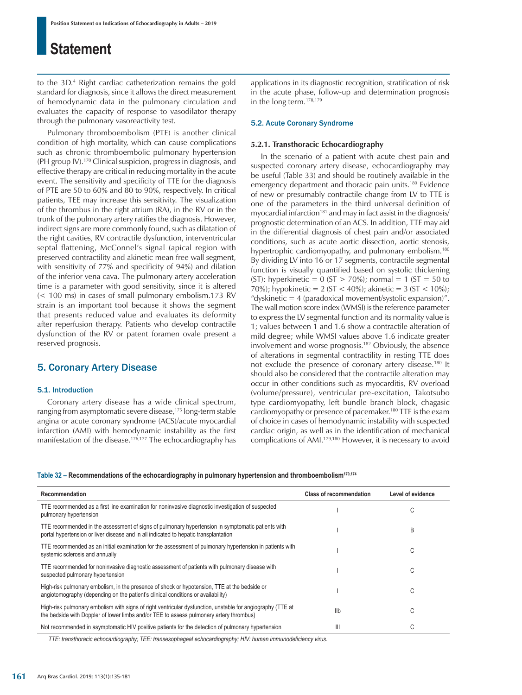to the 3D.4 Right cardiac catheterization remains the gold standard for diagnosis, since it allows the direct measurement of hemodynamic data in the pulmonary circulation and evaluates the capacity of response to vasodilator therapy through the pulmonary vasoreactivity test.

Pulmonary thromboembolism (PTE) is another clinical condition of high mortality, which can cause complications such as chronic thromboembolic pulmonary hypertension (PH group IV).170 Clinical suspicion, progress in diagnosis, and effective therapy are critical in reducing mortality in the acute event. The sensitivity and specificity of TTE for the diagnosis of PTE are 50 to 60% and 80 to 90%, respectively. In critical patients, TEE may increase this sensitivity. The visualization of the thrombus in the right atrium (RA), in the RV or in the trunk of the pulmonary artery ratifies the diagnosis. However, indirect signs are more commonly found, such as dilatation of the right cavities, RV contractile dysfunction, interventricular septal flattening, McConnel's signal (apical region with preserved contractility and akinetic mean free wall segment, with sensitivity of 77% and specificity of 94%) and dilation of the inferior vena cava. The pulmonary artery acceleration time is a parameter with good sensitivity, since it is altered (< 100 ms) in cases of small pulmonary embolism.173 RV strain is an important tool because it shows the segment that presents reduced value and evaluates its deformity after reperfusion therapy. Patients who develop contractile dysfunction of the RV or patent foramen ovale present a reserved prognosis.

### 5. Coronary Artery Disease

### 5.1. Introduction

Coronary artery disease has a wide clinical spectrum, ranging from asymptomatic severe disease,<sup>175</sup> long-term stable angina or acute coronary syndrome (ACS)/acute myocardial infarction (AMI) with hemodynamic instability as the first manifestation of the disease.<sup>176,177</sup> The echocardiography has applications in its diagnostic recognition, stratification of risk in the acute phase, follow-up and determination prognosis in the long term.178,179

### 5.2. Acute Coronary Syndrome

#### **5.2.1. Transthoracic Echocardiography**

In the scenario of a patient with acute chest pain and suspected coronary artery disease, echocardiography may be useful (Table 33) and should be routinely available in the emergency department and thoracic pain units.180 Evidence of new or presumably contractile change from LV to TTE is one of the parameters in the third universal definition of myocardial infarction<sup>181</sup> and may in fact assist in the diagnosis/ prognostic determination of an ACS. In addition, TTE may aid in the differential diagnosis of chest pain and/or associated conditions, such as acute aortic dissection, aortic stenosis, hypertrophic cardiomyopathy, and pulmonary embolism.<sup>180</sup> By dividing LV into 16 or 17 segments, contractile segmental function is visually quantified based on systolic thickening (ST): hyperkinetic =  $0$  (ST > 70%); normal =  $1$  (ST =  $50$  to 70%); hypokinetic =  $2 (ST < 40%)$ ; akinetic =  $3 (ST < 10%)$ ; "dyskinetic = 4 (paradoxical movement/systolic expansion)". The wall motion score index (WMSI) is the reference parameter to express the LV segmental function and its normality value is 1; values between 1 and 1.6 show a contractile alteration of mild degree; while WMSI values above 1.6 indicate greater involvement and worse prognosis.182 Obviously, the absence of alterations in segmental contractility in resting TTE does not exclude the presence of coronary artery disease.180 It should also be considered that the contractile alteration may occur in other conditions such as myocarditis, RV overload (volume/pressure), ventricular pre-excitation, Takotsubo type cardiomyopathy, left bundle branch block, chagasic cardiomyopathy or presence of pacemaker.180 TTE is the exam of choice in cases of hemodynamic instability with suspected cardiac origin, as well as in the identification of mechanical complications of AMI.179,180 However, it is necessary to avoid

#### **Table 32 – Recommendations of the echocardiography in pulmonary hypertension and thromboembolism170,174**

| Recommendation                                                                                                                                                                                        | <b>Class of recommendation</b> | Level of evidence |
|-------------------------------------------------------------------------------------------------------------------------------------------------------------------------------------------------------|--------------------------------|-------------------|
| TTE recommended as a first line examination for noninvasive diagnostic investigation of suspected<br>pulmonary hypertension                                                                           |                                | С                 |
| TTE recommended in the assessment of signs of pulmonary hypertension in symptomatic patients with<br>portal hypertension or liver disease and in all indicated to hepatic transplantation             |                                | B                 |
| TTE recommended as an initial examination for the assessment of pulmonary hypertension in patients with<br>systemic sclerosis and annually                                                            |                                | С                 |
| TTE recommended for noninvasive diagnostic assessment of patients with pulmonary disease with<br>suspected pulmonary hypertension                                                                     |                                | С                 |
| High-risk pulmonary embolism, in the presence of shock or hypotension, TTE at the bedside or<br>angiotomography (depending on the patient's clinical conditions or availability)                      |                                | C                 |
| High-risk pulmonary embolism with signs of right ventricular dysfunction, unstable for angiography (TTE at<br>the bedside with Doppler of lower limbs and/or TEE to assess pulmonary artery thrombus) | Ilb                            | С                 |
| Not recommended in asymptomatic HIV positive patients for the detection of pulmonary hypertension                                                                                                     | Ш                              | C                 |

*TTE: transthoracic echocardiography; TEE: transesophageal echocardiography; HIV: human immunodeficiency virus.*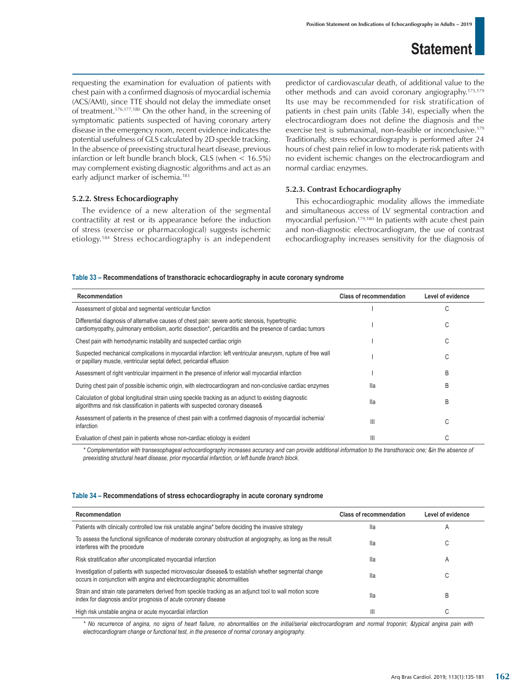requesting the examination for evaluation of patients with chest pain with a confirmed diagnosis of myocardial ischemia (ACS/AMI), since TTE should not delay the immediate onset of treatment.176,177,180 On the other hand, in the screening of symptomatic patients suspected of having coronary artery disease in the emergency room, recent evidence indicates the potential usefulness of GLS calculated by 2D speckle tracking. In the absence of preexisting structural heart disease, previous infarction or left bundle branch block, GLS (when < 16.5%) may complement existing diagnostic algorithms and act as an early adjunct marker of ischemia.<sup>183</sup>

### **5.2.2. Stress Echocardiography**

The evidence of a new alteration of the segmental contractility at rest or its appearance before the induction of stress (exercise or pharmacological) suggests ischemic etiology.184 Stress echocardiography is an independent predictor of cardiovascular death, of additional value to the other methods and can avoid coronary angiography.175,179 Its use may be recommended for risk stratification of patients in chest pain units (Table 34), especially when the electrocardiogram does not define the diagnosis and the exercise test is submaximal, non-feasible or inconclusive.179 Traditionally, stress echocardiography is performed after 24 hours of chest pain relief in low to moderate risk patients with no evident ischemic changes on the electrocardiogram and normal cardiac enzymes.

### **5.2.3. Contrast Echocardiography**

This echocardiographic modality allows the immediate and simultaneous access of LV segmental contraction and myocardial perfusion.179,180 In patients with acute chest pain and non-diagnostic electrocardiogram, the use of contrast echocardiography increases sensitivity for the diagnosis of

### **Table 33 – Recommendations of transthoracic echocardiography in acute coronary syndrome**

| Recommendation                                                                                                                                                                                              | <b>Class of recommendation</b> | Level of evidence |
|-------------------------------------------------------------------------------------------------------------------------------------------------------------------------------------------------------------|--------------------------------|-------------------|
| Assessment of global and segmental ventricular function                                                                                                                                                     |                                | C                 |
| Differential diagnosis of alternative causes of chest pain: severe aortic stenosis, hypertrophic<br>cardiomyopathy, pulmonary embolism, aortic dissection*, pericarditis and the presence of cardiac tumors |                                | C                 |
| Chest pain with hemodynamic instability and suspected cardiac origin                                                                                                                                        |                                | C                 |
| Suspected mechanical complications in myocardial infarction: left ventricular aneurysm, rupture of free wall<br>or papillary muscle, ventricular septal defect, pericardial effusion                        |                                | C                 |
| Assessment of right ventricular impairment in the presence of inferior wall myocardial infarction                                                                                                           |                                | <sub>R</sub>      |
| During chest pain of possible ischemic origin, with electrocardiogram and non-conclusive cardiac enzymes                                                                                                    | lla                            | B                 |
| Calculation of global longitudinal strain using speckle tracking as an adjunct to existing diagnostic<br>algorithms and risk classification in patients with suspected coronary disease &                   | lla                            | B                 |
| Assessment of patients in the presence of chest pain with a confirmed diagnosis of myocardial ischemia/<br>infarction                                                                                       | Ш                              | C                 |
| Evaluation of chest pain in patients whose non-cardiac etiology is evident                                                                                                                                  | $\mathsf{III}$                 |                   |

*\* Complementation with transesophageal echocardiography increases accuracy and can provide additional information to the transthoracic one; &in the absence of preexisting structural heart disease, prior myocardial infarction, or left bundle branch block.*

#### **Table 34 – Recommendations of stress echocardiography in acute coronary syndrome**

| Recommendation                                                                                                                                                                    | <b>Class of recommendation</b> | Level of evidence       |
|-----------------------------------------------------------------------------------------------------------------------------------------------------------------------------------|--------------------------------|-------------------------|
| Patients with clinically controlled low risk unstable angina* before deciding the invasive strategy                                                                               | lla                            | $\overline{\mathsf{A}}$ |
| To assess the functional significance of moderate coronary obstruction at angiography, as long as the result<br>interferes with the procedure                                     | lla                            | U                       |
| Risk stratification after uncomplicated myocardial infarction                                                                                                                     | lla                            | A                       |
| Investigation of patients with suspected microvascular disease& to establish whether segmental change<br>occurs in conjunction with angina and electrocardiographic abnormalities | lla                            | U                       |
| Strain and strain rate parameters derived from speckle tracking as an adjunct tool to wall motion score<br>index for diagnosis and/or prognosis of acute coronary disease         | lla                            | B                       |
| High risk unstable angina or acute myocardial infarction                                                                                                                          | Ш                              | $\sim$                  |

*\* No recurrence of angina, no signs of heart failure, no abnormalities on the initial/serial electrocardiogram and normal troponin; &typical angina pain with electrocardiogram change or functional test, in the presence of normal coronary angiography.*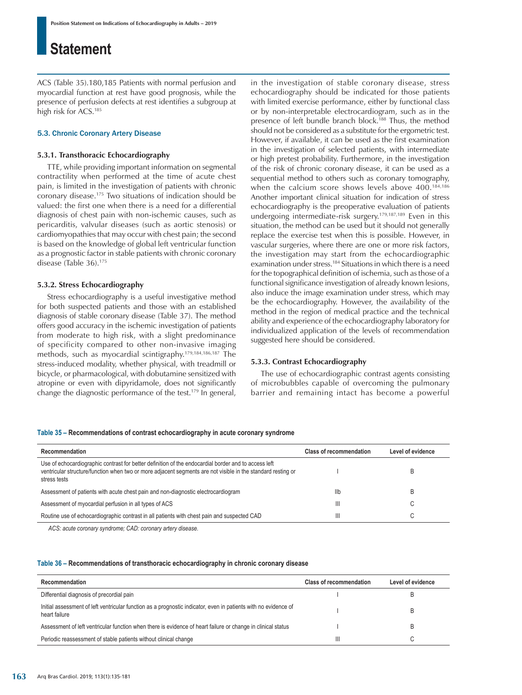ACS (Table 35).180,185 Patients with normal perfusion and myocardial function at rest have good prognosis, while the presence of perfusion defects at rest identifies a subgroup at high risk for ACS.185

### 5.3. Chronic Coronary Artery Disease

### **5.3.1. Transthoracic Echocardiography**

TTE, while providing important information on segmental contractility when performed at the time of acute chest pain, is limited in the investigation of patients with chronic coronary disease.175 Two situations of indication should be valued: the first one when there is a need for a differential diagnosis of chest pain with non-ischemic causes, such as pericarditis, valvular diseases (such as aortic stenosis) or cardiomyopathies that may occur with chest pain; the second is based on the knowledge of global left ventricular function as a prognostic factor in stable patients with chronic coronary disease (Table 36).175

### **5.3.2. Stress Echocardiography**

Stress echocardiography is a useful investigative method for both suspected patients and those with an established diagnosis of stable coronary disease (Table 37). The method offers good accuracy in the ischemic investigation of patients from moderate to high risk, with a slight predominance of specificity compared to other non-invasive imaging methods, such as myocardial scintigraphy.179,184,186,187 The stress-induced modality, whether physical, with treadmill or bicycle, or pharmacological, with dobutamine sensitized with atropine or even with dipyridamole, does not significantly change the diagnostic performance of the test.179 In general, in the investigation of stable coronary disease, stress echocardiography should be indicated for those patients with limited exercise performance, either by functional class or by non-interpretable electrocardiogram, such as in the presence of left bundle branch block.<sup>188</sup> Thus, the method should not be considered as a substitute for the ergometric test. However, if available, it can be used as the first examination in the investigation of selected patients, with intermediate or high pretest probability. Furthermore, in the investigation of the risk of chronic coronary disease, it can be used as a sequential method to others such as coronary tomography, when the calcium score shows levels above 400.<sup>184,186</sup> Another important clinical situation for indication of stress echocardiography is the preoperative evaluation of patients undergoing intermediate-risk surgery.179,187,189 Even in this situation, the method can be used but it should not generally replace the exercise test when this is possible. However, in vascular surgeries, where there are one or more risk factors, the investigation may start from the echocardiographic examination under stress.184 Situations in which there is a need for the topographical definition of ischemia, such as those of a functional significance investigation of already known lesions, also induce the image examination under stress, which may be the echocardiography. However, the availability of the method in the region of medical practice and the technical ability and experience of the echocardiography laboratory for individualized application of the levels of recommendation suggested here should be considered.

#### **5.3.3. Contrast Echocardiography**

The use of echocardiographic contrast agents consisting of microbubbles capable of overcoming the pulmonary barrier and remaining intact has become a powerful

#### **Table 35 – Recommendations of contrast echocardiography in acute coronary syndrome**

| Recommendation                                                                                                                                                                                                                       | <b>Class of recommendation</b> | Level of evidence |
|--------------------------------------------------------------------------------------------------------------------------------------------------------------------------------------------------------------------------------------|--------------------------------|-------------------|
| Use of echocardiographic contrast for better definition of the endocardial border and to access left<br>ventricular structure/function when two or more adjacent segments are not visible in the standard resting or<br>stress tests |                                |                   |
| Assessment of patients with acute chest pain and non-diagnostic electrocardiogram                                                                                                                                                    | llb                            |                   |
| Assessment of myocardial perfusion in all types of ACS                                                                                                                                                                               | $\mathbf{III}$                 |                   |
| Routine use of echocardiographic contrast in all patients with chest pain and suspected CAD                                                                                                                                          | Ш                              | С                 |

*ACS: acute coronary syndrome; CAD: coronary artery disease.*

#### **Table 36 – Recommendations of transthoracic echocardiography in chronic coronary disease**

| Recommendation                                                                                                                   | <b>Class of recommendation</b> | Level of evidence |
|----------------------------------------------------------------------------------------------------------------------------------|--------------------------------|-------------------|
| Differential diagnosis of precordial pain                                                                                        |                                |                   |
| Initial assessment of left ventricular function as a prognostic indicator, even in patients with no evidence of<br>heart failure |                                |                   |
| Assessment of left ventricular function when there is evidence of heart failure or change in clinical status                     |                                |                   |
| Periodic reassessment of stable patients without clinical change                                                                 | Ш                              |                   |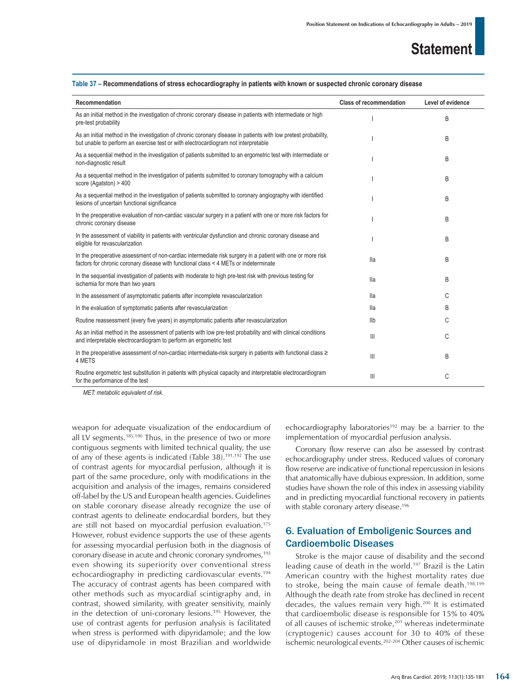| Recommendation                                                                                                                                                                                        | <b>Class of recommendation</b> | Level of evidence |
|-------------------------------------------------------------------------------------------------------------------------------------------------------------------------------------------------------|--------------------------------|-------------------|
| As an initial method in the investigation of chronic coronary disease in patients with intermediate or high<br>pre-test probability                                                                   |                                | B                 |
| As an initial method in the investigation of chronic coronary disease in patients with low pretest probability,<br>but unable to perform an exercise test or with electrocardiogram not interpretable |                                | B                 |
| As a sequential method in the investigation of patients submitted to an ergometric test with intermediate or<br>non-diagnostic result                                                                 |                                | B                 |
| As a sequential method in the investigation of patients submitted to coronary tomography with a calcium<br>score (Agatston) > 400                                                                     |                                | B                 |
| As a sequential method in the investigation of patients submitted to coronary angiography with identified<br>lesions of uncertain functional significance                                             |                                | B                 |
| In the preoperative evaluation of non-cardiac vascular surgery in a patient with one or more risk factors for<br>chronic coronary disease                                                             |                                | B                 |
| In the assessment of viability in patients with ventricular dysfunction and chronic coronary disease and<br>eligible for revascularization                                                            |                                | B                 |
| In the preoperative assessment of non-cardiac intermediate risk surgery in a patient with one or more risk<br>factors for chronic coronary disease with functional class < 4 METs or indeterminate    | lla                            | B                 |
| In the sequential investigation of patients with moderate to high pre-test risk with previous testing for<br>ischemia for more than two years                                                         | lla                            | B                 |
| In the assessment of asymptomatic patients after incomplete revascularization                                                                                                                         | lla                            | C                 |
| In the evaluation of symptomatic patients after revascularization                                                                                                                                     | lla                            | B                 |
| Routine reassessment (every five years) in asymptomatic patients after revascularization                                                                                                              | <b>IIb</b>                     | C                 |
| As an initial method in the assessment of patients with low pre-test probability and with clinical conditions<br>and interpretable electrocardiogram to perform an ergometric test                    | $\mathsf{III}$                 | C                 |
| In the preoperative assessment of non-cardiac intermediate-risk surgery in patients with functional class $\geq$<br>4 METS                                                                            | $\mathbf{III}$                 | B                 |
| Routine ergometric test substitution in patients with physical capacity and interpretable electrocardiogram<br>for the performance of the test                                                        | $\mathsf{III}$                 | C                 |

**Table 37 – Recommendations of stress echocardiography in patients with known or suspected chronic coronary disease**

*MET: metabolic equivalent of risk.*

weapon for adequate visualization of the endocardium of all LV segments.185,190 Thus, in the presence of two or more contiguous segments with limited technical quality, the use of any of these agents is indicated (Table 38).191,192 The use of contrast agents for myocardial perfusion, although it is part of the same procedure, only with modifications in the acquisition and analysis of the images, remains considered off-label by the US and European health agencies. Guidelines on stable coronary disease already recognize the use of contrast agents to delineate endocardial borders, but they are still not based on myocardial perfusion evaluation.175 However, robust evidence supports the use of these agents for assessing myocardial perfusion both in the diagnosis of coronary disease in acute and chronic coronary syndromes,<sup>193</sup> even showing its superiority over conventional stress echocardiography in predicting cardiovascular events.194 The accuracy of contrast agents has been compared with other methods such as myocardial scintigraphy and, in contrast, showed similarity, with greater sensitivity, mainly in the detection of uni-coronary lesions.<sup>195</sup> However, the use of contrast agents for perfusion analysis is facilitated when stress is performed with dipyridamole; and the low use of dipyridamole in most Brazilian and worldwide echocardiography laboratories<sup>192</sup> may be a barrier to the implementation of myocardial perfusion analysis.

Coronary flow reserve can also be assessed by contrast echocardiography under stress. Reduced values of coronary flow reserve are indicative of functional repercussion in lesions that anatomically have dubious expression. In addition, some studies have shown the role of this index in assessing viability and in predicting myocardial functional recovery in patients with stable coronary artery disease.<sup>196</sup>

### 6. Evaluation of Emboligenic Sources and Cardioembolic Diseases

Stroke is the major cause of disability and the second leading cause of death in the world.197 Brazil is the Latin American country with the highest mortality rates due to stroke, being the main cause of female death.198,199 Although the death rate from stroke has declined in recent decades, the values remain very high.200 It is estimated that cardioembolic disease is responsible for 15% to 40% of all causes of ischemic stroke,<sup>201</sup> whereas indeterminate (cryptogenic) causes account for 30 to 40% of these ischemic neurological events.202-204 Other causes of ischemic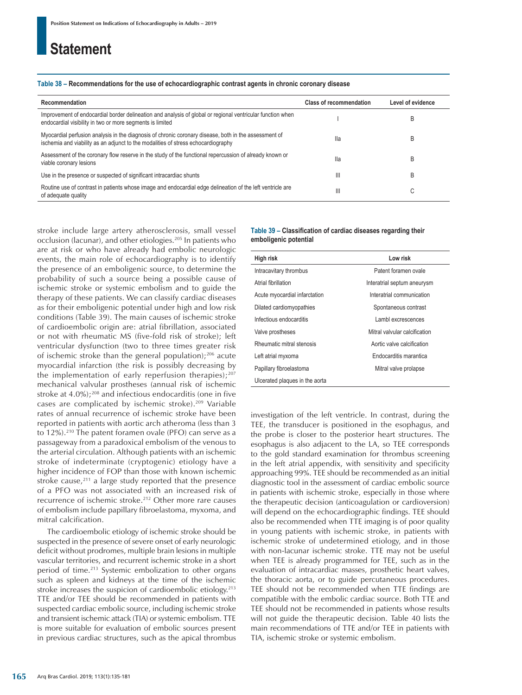#### **Table 38 – Recommendations for the use of echocardiographic contrast agents in chronic coronary disease**

| Recommendation                                                                                                                                                                             | <b>Class of recommendation</b> | Level of evidence |
|--------------------------------------------------------------------------------------------------------------------------------------------------------------------------------------------|--------------------------------|-------------------|
| Improvement of endocardial border delineation and analysis of global or regional ventricular function when<br>endocardial visibility in two or more segments is limited                    |                                | B                 |
| Myocardial perfusion analysis in the diagnosis of chronic coronary disease, both in the assessment of<br>ischemia and viability as an adjunct to the modalities of stress echocardiography | lla                            | B                 |
| Assessment of the coronary flow reserve in the study of the functional repercussion of already known or<br>viable coronary lesions                                                         | lla                            | B                 |
| Use in the presence or suspected of significant intracardiac shunts                                                                                                                        | Ш                              | B                 |
| Routine use of contrast in patients whose image and endocardial edge delineation of the left ventricle are<br>of adequate quality                                                          | Ш                              | ⌒<br>U            |

stroke include large artery atherosclerosis, small vessel occlusion (lacunar), and other etiologies.<sup>205</sup> In patients who are at risk or who have already had embolic neurologic events, the main role of echocardiography is to identify the presence of an emboligenic source, to determine the probability of such a source being a possible cause of ischemic stroke or systemic embolism and to guide the therapy of these patients. We can classify cardiac diseases as for their emboligenic potential under high and low risk conditions (Table 39). The main causes of ischemic stroke of cardioembolic origin are: atrial fibrillation, associated or not with rheumatic MS (five-fold risk of stroke); left ventricular dysfunction (two to three times greater risk of ischemic stroke than the general population);<sup>206</sup> acute myocardial infarction (the risk is possibly decreasing by the implementation of early reperfusion therapies);<sup>207</sup> mechanical valvular prostheses (annual risk of ischemic stroke at 4.0%);<sup>208</sup> and infectious endocarditis (one in five cases are complicated by ischemic stroke).209 Variable rates of annual recurrence of ischemic stroke have been reported in patients with aortic arch atheroma (less than 3 to 12%).<sup>210</sup> The patent foramen ovale (PFO) can serve as a passageway from a paradoxical embolism of the venous to the arterial circulation. Although patients with an ischemic stroke of indeterminate (cryptogenic) etiology have a higher incidence of FOP than those with known ischemic stroke cause, $2^{11}$  a large study reported that the presence of a PFO was not associated with an increased risk of recurrence of ischemic stroke.212 Other more rare causes of embolism include papillary fibroelastoma, myxoma, and mitral calcification.

The cardioembolic etiology of ischemic stroke should be suspected in the presence of severe onset of early neurologic deficit without prodromes, multiple brain lesions in multiple vascular territories, and recurrent ischemic stroke in a short period of time.213 Systemic embolization to other organs such as spleen and kidneys at the time of the ischemic stroke increases the suspicion of cardioembolic etiology.<sup>213</sup> TTE and/or TEE should be recommended in patients with suspected cardiac embolic source, including ischemic stroke and transient ischemic attack (TIA) or systemic embolism. TTE is more suitable for evaluation of embolic sources present in previous cardiac structures, such as the apical thrombus **Table 39 – Classification of cardiac diseases regarding their emboligenic potential**

| High risk                      | Low risk                      |
|--------------------------------|-------------------------------|
| Intracavitary thrombus         | Patent foramen ovale          |
| Atrial fibrillation            | Interatrial septum aneurysm   |
| Acute myocardial infarctation  | Interatrial communication     |
| Dilated cardiomyopathies       | Spontaneous contrast          |
| Infectious endocarditis        | Lambl excrescences            |
| Valve prostheses               | Mitral valvular calcification |
| Rheumatic mitral stenosis      | Aortic valve calcification    |
| Left atrial myxoma             | Endocarditis marantica        |
| Papillary fibroelastoma        | Mitral valve prolapse         |
| Ulcerated plaques in the aorta |                               |

investigation of the left ventricle. In contrast, during the TEE, the transducer is positioned in the esophagus, and the probe is closer to the posterior heart structures. The esophagus is also adjacent to the LA, so TEE corresponds to the gold standard examination for thrombus screening in the left atrial appendix, with sensitivity and specificity approaching 99%. TEE should be recommended as an initial diagnostic tool in the assessment of cardiac embolic source in patients with ischemic stroke, especially in those where the therapeutic decision (anticoagulation or cardioversion) will depend on the echocardiographic findings. TEE should also be recommended when TTE imaging is of poor quality in young patients with ischemic stroke, in patients with ischemic stroke of undetermined etiology, and in those with non-lacunar ischemic stroke. TTE may not be useful when TEE is already programmed for TEE, such as in the evaluation of intracardiac masses, prosthetic heart valves, the thoracic aorta, or to guide percutaneous procedures. TEE should not be recommended when TTE findings are compatible with the embolic cardiac source. Both TTE and TEE should not be recommended in patients whose results will not guide the therapeutic decision. Table 40 lists the main recommendations of TTE and/or TEE in patients with TIA, ischemic stroke or systemic embolism.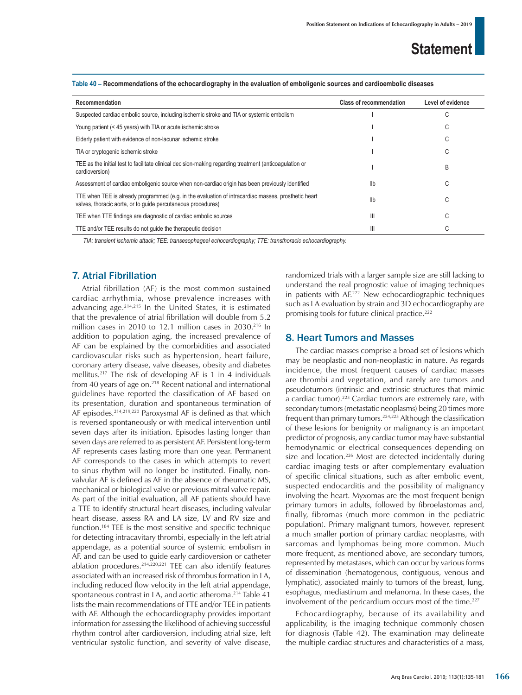| Recommendation                                                                                                                                                      | <b>Class of recommendation</b> | Level of evidence |
|---------------------------------------------------------------------------------------------------------------------------------------------------------------------|--------------------------------|-------------------|
| Suspected cardiac embolic source, including ischemic stroke and TIA or systemic embolism                                                                            |                                | ⌒<br>U            |
| Young patient (< 45 years) with TIA or acute ischemic stroke                                                                                                        |                                | U                 |
| Elderly patient with evidence of non-lacunar ischemic stroke                                                                                                        |                                | U                 |
| TIA or cryptogenic ischemic stroke                                                                                                                                  |                                | U                 |
| TEE as the initial test to facilitate clinical decision-making regarding treatment (anticoagulation or<br>cardioversion)                                            |                                | B                 |
| Assessment of cardiac emboligenic source when non-cardiac origin has been previously identified                                                                     | llb                            | ⌒<br>U            |
| TTE when TEE is already programmed (e.g. in the evaluation of intracardiac masses, prosthetic heart<br>valves, thoracic aorta, or to quide percutaneous procedures) | llb                            | ⌒<br>U            |
| TEE when TTE findings are diagnostic of cardiac embolic sources                                                                                                     | Ш                              | С                 |
| TTE and/or TEE results do not quide the therapeutic decision                                                                                                        | Ш                              |                   |

#### **Table 40 – Recommendations of the echocardiography in the evaluation of emboligenic sources and cardioembolic diseases**

*TIA: transient ischemic attack; TEE: transesophageal echocardiography; TTE: transthoracic echocardiography.*

### 7. Atrial Fibrillation

Atrial fibrillation (AF) is the most common sustained cardiac arrhythmia, whose prevalence increases with advancing age.214,215 In the United States, it is estimated that the prevalence of atrial fibrillation will double from 5.2 million cases in 2010 to 12.1 million cases in 2030.<sup>216</sup> In addition to population aging, the increased prevalence of AF can be explained by the comorbidities and associated cardiovascular risks such as hypertension, heart failure, coronary artery disease, valve diseases, obesity and diabetes mellitus.217 The risk of developing AF is 1 in 4 individuals from 40 years of age on.<sup>218</sup> Recent national and international guidelines have reported the classification of AF based on its presentation, duration and spontaneous termination of AF episodes.214,219,220 Paroxysmal AF is defined as that which is reversed spontaneously or with medical intervention until seven days after its initiation. Episodes lasting longer than seven days are referred to as persistent AF. Persistent long-term AF represents cases lasting more than one year. Permanent AF corresponds to the cases in which attempts to revert to sinus rhythm will no longer be instituted. Finally, nonvalvular AF is defined as AF in the absence of rheumatic MS, mechanical or biological valve or previous mitral valve repair. As part of the initial evaluation, all AF patients should have a TTE to identify structural heart diseases, including valvular heart disease, assess RA and LA size, LV and RV size and function.184 TEE is the most sensitive and specific technique for detecting intracavitary thrombi, especially in the left atrial appendage, as a potential source of systemic embolism in AF, and can be used to guide early cardioversion or catheter ablation procedures.214,220,221 TEE can also identify features associated with an increased risk of thrombus formation in LA, including reduced flow velocity in the left atrial appendage, spontaneous contrast in LA, and aortic atheroma.<sup>214</sup> Table 41 lists the main recommendations of TTE and/or TEE in patients with AF. Although the echocardiography provides important information for assessing the likelihood of achieving successful rhythm control after cardioversion, including atrial size, left ventricular systolic function, and severity of valve disease, randomized trials with a larger sample size are still lacking to understand the real prognostic value of imaging techniques in patients with AF.222 New echocardiographic techniques such as LA evaluation by strain and 3D echocardiography are promising tools for future clinical practice.<sup>222</sup>

### 8. Heart Tumors and Masses

The cardiac masses comprise a broad set of lesions which may be neoplastic and non-neoplastic in nature. As regards incidence, the most frequent causes of cardiac masses are thrombi and vegetation, and rarely are tumors and pseudotumors (intrinsic and extrinsic structures that mimic a cardiac tumor).223 Cardiac tumors are extremely rare, with secondary tumors (metastatic neoplasms) being 20 times more frequent than primary tumors.<sup>224,225</sup> Although the classification of these lesions for benignity or malignancy is an important predictor of prognosis, any cardiac tumor may have substantial hemodynamic or electrical consequences depending on size and location.<sup>226</sup> Most are detected incidentally during cardiac imaging tests or after complementary evaluation of specific clinical situations, such as after embolic event, suspected endocarditis and the possibility of malignancy involving the heart. Myxomas are the most frequent benign primary tumors in adults, followed by fibroelastomas and, finally, fibromas (much more common in the pediatric population). Primary malignant tumors, however, represent a much smaller portion of primary cardiac neoplasms, with sarcomas and lymphomas being more common. Much more frequent, as mentioned above, are secondary tumors, represented by metastases, which can occur by various forms of dissemination (hematogenous, contiguous, venous and lymphatic), associated mainly to tumors of the breast, lung, esophagus, mediastinum and melanoma. In these cases, the involvement of the pericardium occurs most of the time.<sup>227</sup>

Echocardiography, because of its availability and applicability, is the imaging technique commonly chosen for diagnosis (Table 42). The examination may delineate the multiple cardiac structures and characteristics of a mass,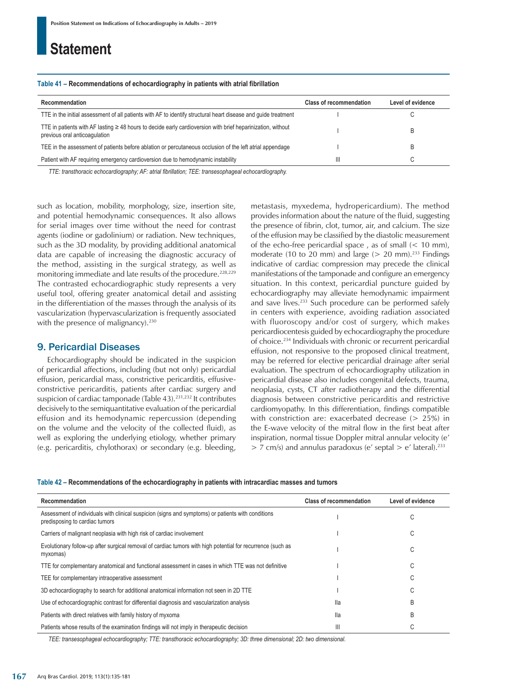#### **Table 41 – Recommendations of echocardiography in patients with atrial fibrillation**

| Recommendation                                                                                                                                    | <b>Class of recommendation</b> | Level of evidence |
|---------------------------------------------------------------------------------------------------------------------------------------------------|--------------------------------|-------------------|
| TTE in the initial assessment of all patients with AF to identify structural heart disease and guide treatment                                    |                                |                   |
| TTE in patients with AF lasting $\geq 48$ hours to decide early cardioversion with brief heparinization, without<br>previous oral anticoagulation |                                |                   |
| TEE in the assessment of patients before ablation or percutaneous occlusion of the left atrial appendage                                          |                                |                   |
| Patient with AF requiring emergency cardioversion due to hemodynamic instability                                                                  | Ш                              |                   |

*TTE: transthoracic echocardiography; AF: atrial fibrillation; TEE: transesophageal echocardiography.*

such as location, mobility, morphology, size, insertion site, and potential hemodynamic consequences. It also allows for serial images over time without the need for contrast agents (iodine or gadolinium) or radiation. New techniques, such as the 3D modality, by providing additional anatomical data are capable of increasing the diagnostic accuracy of the method, assisting in the surgical strategy, as well as monitoring immediate and late results of the procedure.<sup>228,229</sup> The contrasted echocardiographic study represents a very useful tool, offering greater anatomical detail and assisting in the differentiation of the masses through the analysis of its vascularization (hypervascularization is frequently associated with the presence of malignancy). $230$ 

### 9. Pericardial Diseases

Echocardiography should be indicated in the suspicion of pericardial affections, including (but not only) pericardial effusion, pericardial mass, constrictive pericarditis, effusiveconstrictive pericarditis, patients after cardiac surgery and suspicion of cardiac tamponade (Table 43).231,232 It contributes decisively to the semiquantitative evaluation of the pericardial effusion and its hemodynamic repercussion (depending on the volume and the velocity of the collected fluid), as well as exploring the underlying etiology, whether primary (e.g. pericarditis, chylothorax) or secondary (e.g. bleeding, metastasis, myxedema, hydropericardium). The method provides information about the nature of the fluid, suggesting the presence of fibrin, clot, tumor, air, and calcium. The size of the effusion may be classified by the diastolic measurement of the echo-free pericardial space , as of small (< 10 mm), moderate (10 to 20 mm) and large ( $> 20$  mm).<sup>233</sup> Findings indicative of cardiac compression may precede the clinical manifestations of the tamponade and configure an emergency situation. In this context, pericardial puncture guided by echocardiography may alleviate hemodynamic impairment and save lives.<sup>233</sup> Such procedure can be performed safely in centers with experience, avoiding radiation associated with fluoroscopy and/or cost of surgery, which makes pericardiocentesis guided by echocardiography the procedure of choice.234 Individuals with chronic or recurrent pericardial effusion, not responsive to the proposed clinical treatment, may be referred for elective pericardial drainage after serial evaluation. The spectrum of echocardiography utilization in pericardial disease also includes congenital defects, trauma, neoplasia, cysts, CT after radiotherapy and the differential diagnosis between constrictive pericarditis and restrictive cardiomyopathy. In this differentiation, findings compatible with constriction are: exacerbated decrease (> 25%) in the E-wave velocity of the mitral flow in the first beat after inspiration, normal tissue Doppler mitral annular velocity (e'  $>$  7 cm/s) and annulus paradoxus (e' septal  $>$  e' lateral).<sup>233</sup>

#### **Table 42 – Recommendations of the echocardiography in patients with intracardiac masses and tumors**

| Recommendation                                                                                                                       | <b>Class of recommendation</b> | Level of evidence |
|--------------------------------------------------------------------------------------------------------------------------------------|--------------------------------|-------------------|
| Assessment of individuals with clinical suspicion (signs and symptoms) or patients with conditions<br>predisposing to cardiac tumors |                                | С                 |
| Carriers of malignant neoplasia with high risk of cardiac involvement                                                                |                                | C.                |
| Evolutionary follow-up after surgical removal of cardiac tumors with high potential for recurrence (such as<br>myxomas)              |                                |                   |
| TTE for complementary anatomical and functional assessment in cases in which TTE was not definitive                                  |                                | U                 |
| TEE for complementary intraoperative assessment                                                                                      |                                |                   |
| 3D echocardiography to search for additional anatomical information not seen in 2D TTE                                               |                                |                   |
| Use of echocardiographic contrast for differential diagnosis and vascularization analysis                                            | Ila                            | B                 |
| Patients with direct relatives with family history of myxoma                                                                         | lla                            | B                 |
| Patients whose results of the examination findings will not imply in therapeutic decision                                            | Ш                              |                   |

*TEE: transesophageal echocardiography; TTE: transthoracic echocardiography; 3D: three dimensional; 2D: two dimensional.*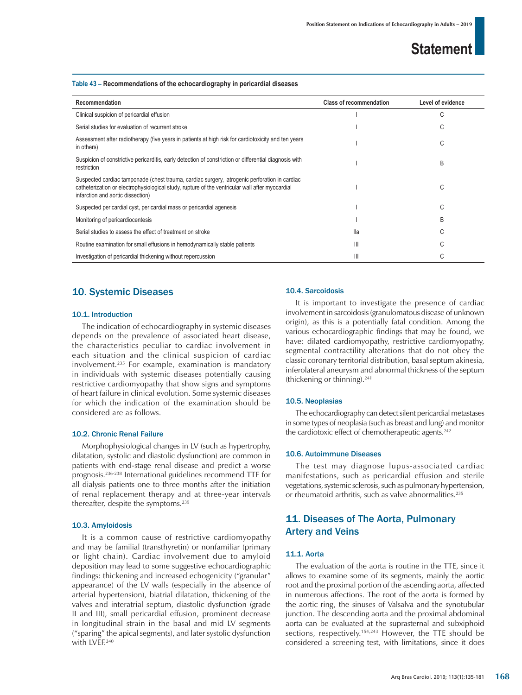#### **Table 43 – Recommendations of the echocardiography in pericardial diseases**

| Recommendation                                                                                                                                                                                                                        | <b>Class of recommendation</b> | Level of evidence |
|---------------------------------------------------------------------------------------------------------------------------------------------------------------------------------------------------------------------------------------|--------------------------------|-------------------|
| Clinical suspicion of pericardial effusion                                                                                                                                                                                            |                                | C                 |
| Serial studies for evaluation of recurrent stroke                                                                                                                                                                                     |                                | С                 |
| Assessment after radiotherapy (five years in patients at high risk for cardiotoxicity and ten years<br>in others)                                                                                                                     |                                | C                 |
| Suspicion of constrictive pericarditis, early detection of constriction or differential diagnosis with<br>restriction                                                                                                                 |                                | B                 |
| Suspected cardiac tamponade (chest trauma, cardiac surgery, iatrogenic perforation in cardiac<br>catheterization or electrophysiological study, rupture of the ventricular wall after myocardial<br>infarction and aortic dissection) |                                | C                 |
| Suspected pericardial cyst, pericardial mass or pericardial agenesis                                                                                                                                                                  |                                | C                 |
| Monitoring of pericardiocentesis                                                                                                                                                                                                      |                                | B                 |
| Serial studies to assess the effect of treatment on stroke                                                                                                                                                                            | lla                            | C                 |
| Routine examination for small effusions in hemodynamically stable patients                                                                                                                                                            | Ш                              |                   |
| Investigation of pericardial thickening without repercussion                                                                                                                                                                          | Ш                              |                   |

### 10. Systemic Diseases

### 10.1. Introduction

The indication of echocardiography in systemic diseases depends on the prevalence of associated heart disease, the characteristics peculiar to cardiac involvement in each situation and the clinical suspicion of cardiac involvement.235 For example, examination is mandatory in individuals with systemic diseases potentially causing restrictive cardiomyopathy that show signs and symptoms of heart failure in clinical evolution. Some systemic diseases for which the indication of the examination should be considered are as follows.

### 10.2. Chronic Renal Failure

Morphophysiological changes in LV (such as hypertrophy, dilatation, systolic and diastolic dysfunction) are common in patients with end-stage renal disease and predict a worse prognosis.236-238 International guidelines recommend TTE for all dialysis patients one to three months after the initiation of renal replacement therapy and at three-year intervals thereafter, despite the symptoms.<sup>239</sup>

#### 10.3. Amyloidosis

It is a common cause of restrictive cardiomyopathy and may be familial (transthyretin) or nonfamiliar (primary or light chain). Cardiac involvement due to amyloid deposition may lead to some suggestive echocardiographic findings: thickening and increased echogenicity ("granular" appearance) of the LV walls (especially in the absence of arterial hypertension), biatrial dilatation, thickening of the valves and interatrial septum, diastolic dysfunction (grade II and III), small pericardial effusion, prominent decrease in longitudinal strain in the basal and mid LV segments ("sparing" the apical segments), and later systolic dysfunction with LVEF.<sup>240</sup>

### 10.4. Sarcoidosis

It is important to investigate the presence of cardiac involvement in sarcoidosis (granulomatous disease of unknown origin), as this is a potentially fatal condition. Among the various echocardiographic findings that may be found, we have: dilated cardiomyopathy, restrictive cardiomyopathy, segmental contractility alterations that do not obey the classic coronary territorial distribution, basal septum akinesia, inferolateral aneurysm and abnormal thickness of the septum (thickening or thinning).241

#### 10.5. Neoplasias

The echocardiography can detect silent pericardial metastases in some types of neoplasia (such as breast and lung) and monitor the cardiotoxic effect of chemotherapeutic agents.<sup>242</sup>

### 10.6. Autoimmune Diseases

The test may diagnose lupus-associated cardiac manifestations, such as pericardial effusion and sterile vegetations, systemic sclerosis, such as pulmonary hypertension, or rheumatoid arthritis, such as valve abnormalities.<sup>235</sup>

### 11. Diseases of The Aorta, Pulmonary Artery and Veins

### 11.1. Aorta

The evaluation of the aorta is routine in the TTE, since it allows to examine some of its segments, mainly the aortic root and the proximal portion of the ascending aorta, affected in numerous affections. The root of the aorta is formed by the aortic ring, the sinuses of Valsalva and the synotubular junction. The descending aorta and the proximal abdominal aorta can be evaluated at the suprasternal and subxiphoid sections, respectively.154,243 However, the TTE should be considered a screening test, with limitations, since it does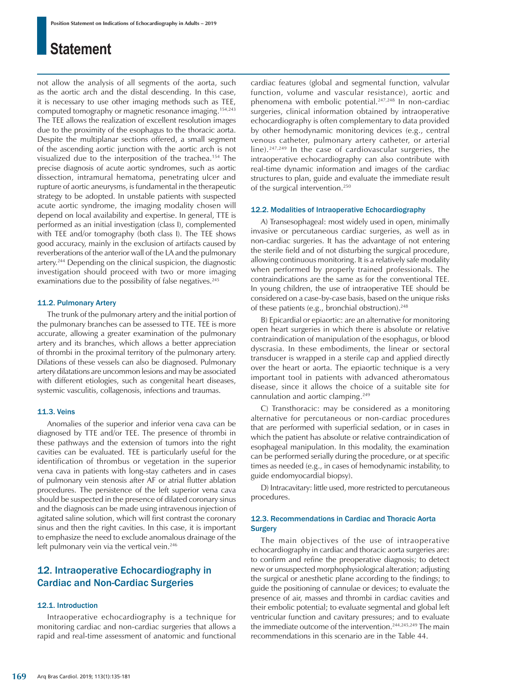not allow the analysis of all segments of the aorta, such as the aortic arch and the distal descending. In this case, it is necessary to use other imaging methods such as TEE, computed tomography or magnetic resonance imaging.154,243 The TEE allows the realization of excellent resolution images due to the proximity of the esophagus to the thoracic aorta. Despite the multiplanar sections offered, a small segment of the ascending aortic junction with the aortic arch is not visualized due to the interposition of the trachea.154 The precise diagnosis of acute aortic syndromes, such as aortic dissection, intramural hematoma, penetrating ulcer and rupture of aortic aneurysms, is fundamental in the therapeutic strategy to be adopted. In unstable patients with suspected acute aortic syndrome, the imaging modality chosen will depend on local availability and expertise. In general, TTE is performed as an initial investigation (class I), complemented with TEE and/or tomography (both class I). The TEE shows good accuracy, mainly in the exclusion of artifacts caused by reverberations of the anterior wall of the LA and the pulmonary artery.244 Depending on the clinical suspicion, the diagnostic investigation should proceed with two or more imaging examinations due to the possibility of false negatives.<sup>245</sup>

#### 11.2. Pulmonary Artery

The trunk of the pulmonary artery and the initial portion of the pulmonary branches can be assessed to TTE. TEE is more accurate, allowing a greater examination of the pulmonary artery and its branches, which allows a better appreciation of thrombi in the proximal territory of the pulmonary artery. Dilations of these vessels can also be diagnosed. Pulmonary artery dilatations are uncommon lesions and may be associated with different etiologies, such as congenital heart diseases, systemic vasculitis, collagenosis, infections and traumas.

#### 11.3. Veins

Anomalies of the superior and inferior vena cava can be diagnosed by TTE and/or TEE. The presence of thrombi in these pathways and the extension of tumors into the right cavities can be evaluated. TEE is particularly useful for the identification of thrombus or vegetation in the superior vena cava in patients with long-stay catheters and in cases of pulmonary vein stenosis after AF or atrial flutter ablation procedures. The persistence of the left superior vena cava should be suspected in the presence of dilated coronary sinus and the diagnosis can be made using intravenous injection of agitated saline solution, which will first contrast the coronary sinus and then the right cavities. In this case, it is important to emphasize the need to exclude anomalous drainage of the left pulmonary vein via the vertical vein.<sup>246</sup>

### 12. Intraoperative Echocardiography in Cardiac and Non-Cardiac Surgeries

### 12.1. Introduction

Intraoperative echocardiography is a technique for monitoring cardiac and non-cardiac surgeries that allows a rapid and real-time assessment of anatomic and functional cardiac features (global and segmental function, valvular function, volume and vascular resistance), aortic and phenomena with embolic potential.<sup>247,248</sup> In non-cardiac surgeries, clinical information obtained by intraoperative echocardiography is often complementary to data provided by other hemodynamic monitoring devices (e.g., central venous catheter, pulmonary artery catheter, or arterial line).247,249 In the case of cardiovascular surgeries, the intraoperative echocardiography can also contribute with real-time dynamic information and images of the cardiac structures to plan, guide and evaluate the immediate result of the surgical intervention.250

#### 12.2. Modalities of Intraoperative Echocardiography

A) Transesophageal: most widely used in open, minimally invasive or percutaneous cardiac surgeries, as well as in non-cardiac surgeries. It has the advantage of not entering the sterile field and of not disturbing the surgical procedure, allowing continuous monitoring. It is a relatively safe modality when performed by properly trained professionals. The contraindications are the same as for the conventional TEE. In young children, the use of intraoperative TEE should be considered on a case-by-case basis, based on the unique risks of these patients (e.g., bronchial obstruction). $248$ 

B) Epicardial or epiaortic: are an alternative for monitoring open heart surgeries in which there is absolute or relative contraindication of manipulation of the esophagus, or blood dyscrasia. In these embodiments, the linear or sectoral transducer is wrapped in a sterile cap and applied directly over the heart or aorta. The epiaortic technique is a very important tool in patients with advanced atheromatous disease, since it allows the choice of a suitable site for cannulation and aortic clamping.249

C) Transthoracic: may be considered as a monitoring alternative for percutaneous or non-cardiac procedures that are performed with superficial sedation, or in cases in which the patient has absolute or relative contraindication of esophageal manipulation. In this modality, the examination can be performed serially during the procedure, or at specific times as needed (e.g., in cases of hemodynamic instability, to guide endomyocardial biopsy).

D) Intracavitary: little used, more restricted to percutaneous procedures.

### 12.3. Recommendations in Cardiac and Thoracic Aorta **Surgery**

The main objectives of the use of intraoperative echocardiography in cardiac and thoracic aorta surgeries are: to confirm and refine the preoperative diagnosis; to detect new or unsuspected morphophysiological alteration; adjusting the surgical or anesthetic plane according to the findings; to guide the positioning of cannulae or devices; to evaluate the presence of air, masses and thrombi in cardiac cavities and their embolic potential; to evaluate segmental and global left ventricular function and cavitary pressures; and to evaluate the immediate outcome of the intervention.<sup>244,245,249</sup> The main recommendations in this scenario are in the Table 44.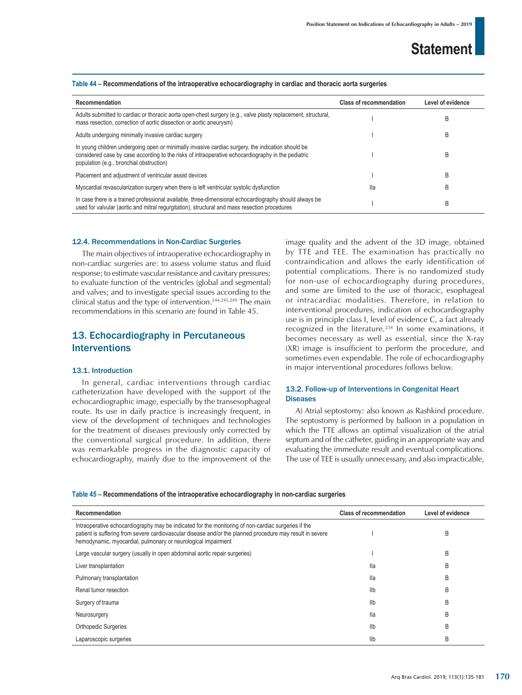| Recommendation                                                                                                                                                                                                                                      | <b>Class of recommendation</b> | Level of evidence |
|-----------------------------------------------------------------------------------------------------------------------------------------------------------------------------------------------------------------------------------------------------|--------------------------------|-------------------|
| Adults submitted to cardiac or thoracic aorta open-chest surgery (e.g., valve plasty replacement, structural,<br>mass resection, correction of aortic dissection or aortic aneurysm)                                                                |                                | B                 |
| Adults undergoing minimally invasive cardiac surgery                                                                                                                                                                                                |                                | B                 |
| In young children undergoing open or minimally invasive cardiac surgery, the indication should be<br>considered case by case according to the risks of intraoperative echocardiography in the pediatric<br>population (e.g., bronchial obstruction) |                                | B                 |
| Placement and adjustment of ventricular assist devices                                                                                                                                                                                              |                                | B                 |
| Myocardial revascularization surgery when there is left ventricular systolic dysfunction                                                                                                                                                            | lla                            | B                 |
| In case there is a trained professional available, three-dimensional echocardiography should always be<br>used for valvular (aortic and mitral regurgitation), structural and mass resection procedures                                             |                                | B                 |

#### **Table 44 – Recommendations of the intraoperative echocardiography in cardiac and thoracic aorta surgeries**

### 12.4. Recommendations in Non-Cardiac Surgeries

The main objectives of intraoperative echocardiography in non-cardiac surgeries are: to assess volume status and fluid response; to estimate vascular resistance and cavitary pressures; to evaluate function of the ventricles (global and segmental) and valves; and to investigate special issues according to the clinical status and the type of intervention.244,245,249 The main recommendations in this scenario are found in Table 45.

### 13. Echocardiography in Percutaneous Interventions

### 13.1. Introduction

In general, cardiac interventions through cardiac catheterization have developed with the support of the echocardiographic image, especially by the transesophageal route. Its use in daily practice is increasingly frequent, in view of the development of techniques and technologies for the treatment of diseases previously only corrected by the conventional surgical procedure. In addition, there was remarkable progress in the diagnostic capacity of echocardiography, mainly due to the improvement of the image quality and the advent of the 3D image, obtained by TTE and TEE. The examination has practically no contraindication and allows the early identification of potential complications. There is no randomized study for non-use of echocardiography during procedures, and some are limited to the use of thoracic, esophageal or intracardiac modalities. Therefore, in relation to interventional procedures, indication of echocardiography use is in principle class I, level of evidence C, a fact already recognized in the literature.<sup>234</sup> In some examinations, it becomes necessary as well as essential, since the X-ray (XR) image is insufficient to perform the procedure, and sometimes even expendable. The role of echocardiography in major interventional procedures follows below.

### 13.2. Follow-up of Interventions in Congenital Heart **Diseases**

A) Atrial septostomy: also known as Rashkind procedure. The septostomy is performed by balloon in a population in which the TTE allows an optimal visualization of the atrial septum and of the catheter, guiding in an appropriate way and evaluating the immediate result and eventual complications. The use of TEE is usually unnecessary, and also impracticable,

#### **Table 45 – Recommendations of the intraoperative echocardiography in non-cardiac surgeries**

| Recommendation                                                                                                                                                                                                                                                                    | <b>Class of recommendation</b> | Level of evidence |
|-----------------------------------------------------------------------------------------------------------------------------------------------------------------------------------------------------------------------------------------------------------------------------------|--------------------------------|-------------------|
| Intraoperative echocardiography may be indicated for the monitoring of non-cardiac surgeries if the<br>patient is suffering from severe cardiovascular disease and/or the planned procedure may result in severe<br>hemodynamic, myocardial, pulmonary or neurological impairment |                                | B                 |
| Large vascular surgery (usually in open abdominal aortic repair surgeries)                                                                                                                                                                                                        |                                | B                 |
| Liver transplantation                                                                                                                                                                                                                                                             | lla                            | B                 |
| Pulmonary transplantation                                                                                                                                                                                                                                                         | lla                            | B                 |
| Renal tumor resection                                                                                                                                                                                                                                                             | Ilb                            | B                 |
| Surgery of trauma                                                                                                                                                                                                                                                                 | Ilb                            | B                 |
| Neurosurgery                                                                                                                                                                                                                                                                      | lla                            | B                 |
| <b>Orthopedic Surgeries</b>                                                                                                                                                                                                                                                       | Ilb                            | B                 |
| Laparoscopic surgeries                                                                                                                                                                                                                                                            | Ilb                            | B                 |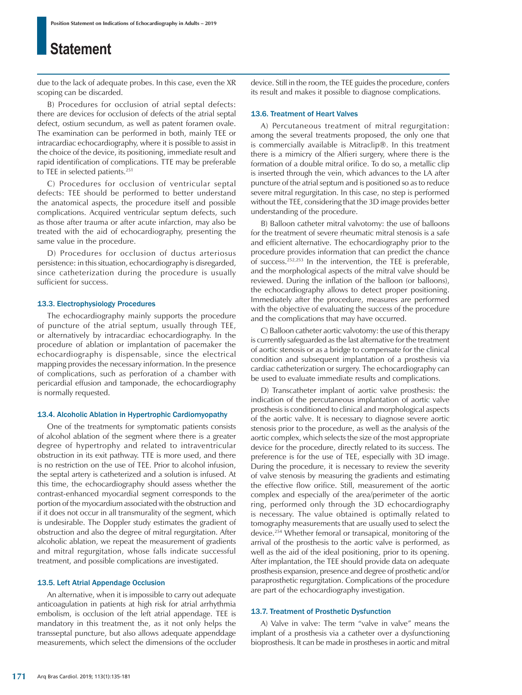due to the lack of adequate probes. In this case, even the XR scoping can be discarded.

B) Procedures for occlusion of atrial septal defects: there are devices for occlusion of defects of the atrial septal defect, ostium secundum, as well as patent foramen ovale. The examination can be performed in both, mainly TEE or intracardiac echocardiography, where it is possible to assist in the choice of the device, its positioning, immediate result and rapid identification of complications. TTE may be preferable to TEE in selected patients.<sup>251</sup>

C) Procedures for occlusion of ventricular septal defects: TEE should be performed to better understand the anatomical aspects, the procedure itself and possible complications. Acquired ventricular septum defects, such as those after trauma or after acute infarction, may also be treated with the aid of echocardiography, presenting the same value in the procedure.

D) Procedures for occlusion of ductus arteriosus persistence: in this situation, echocardiography is disregarded, since catheterization during the procedure is usually sufficient for success.

#### 13.3. Electrophysiology Procedures

The echocardiography mainly supports the procedure of puncture of the atrial septum, usually through TEE, or alternatively by intracardiac echocardiography. In the procedure of ablation or implantation of pacemaker the echocardiography is dispensable, since the electrical mapping provides the necessary information. In the presence of complications, such as perforation of a chamber with pericardial effusion and tamponade, the echocardiography is normally requested.

### 13.4. Alcoholic Ablation in Hypertrophic Cardiomyopathy

One of the treatments for symptomatic patients consists of alcohol ablation of the segment where there is a greater degree of hypertrophy and related to intraventricular obstruction in its exit pathway. TTE is more used, and there is no restriction on the use of TEE. Prior to alcohol infusion, the septal artery is catheterized and a solution is infused. At this time, the echocardiography should assess whether the contrast-enhanced myocardial segment corresponds to the portion of the myocardium associated with the obstruction and if it does not occur in all transmurality of the segment, which is undesirable. The Doppler study estimates the gradient of obstruction and also the degree of mitral regurgitation. After alcoholic ablation, we repeat the measurement of gradients and mitral regurgitation, whose falls indicate successful treatment, and possible complications are investigated.

### 13.5. Left Atrial Appendage Occlusion

An alternative, when it is impossible to carry out adequate anticoagulation in patients at high risk for atrial arrhythmia embolism, is occlusion of the left atrial appendage. TEE is mandatory in this treatment the, as it not only helps the transseptal puncture, but also allows adequate appenddage measurements, which select the dimensions of the occluder device. Still in the room, the TEE guides the procedure, confers its result and makes it possible to diagnose complications.

#### 13.6. Treatment of Heart Valves

A) Percutaneous treatment of mitral regurgitation: among the several treatments proposed, the only one that is commercially available is Mitraclip®. In this treatment there is a mimicry of the Alfieri surgery, where there is the formation of a double mitral orifice. To do so, a metallic clip is inserted through the vein, which advances to the LA after puncture of the atrial septum and is positioned so as to reduce severe mitral regurgitation. In this case, no step is performed without the TEE, considering that the 3D image provides better understanding of the procedure.

B) Balloon catheter mitral valvotomy: the use of balloons for the treatment of severe rheumatic mitral stenosis is a safe and efficient alternative. The echocardiography prior to the procedure provides information that can predict the chance of success.252,253 In the intervention, the TEE is preferable, and the morphological aspects of the mitral valve should be reviewed. During the inflation of the balloon (or balloons), the echocardiography allows to detect proper positioning. Immediately after the procedure, measures are performed with the objective of evaluating the success of the procedure and the complications that may have occurred.

C) Balloon catheter aortic valvotomy: the use of this therapy is currently safeguarded as the last alternative for the treatment of aortic stenosis or as a bridge to compensate for the clinical condition and subsequent implantation of a prosthesis via cardiac catheterization or surgery. The echocardiography can be used to evaluate immediate results and complications.

D) Transcatheter implant of aortic valve prosthesis: the indication of the percutaneous implantation of aortic valve prosthesis is conditioned to clinical and morphological aspects of the aortic valve. It is necessary to diagnose severe aortic stenosis prior to the procedure, as well as the analysis of the aortic complex, which selects the size of the most appropriate device for the procedure, directly related to its success. The preference is for the use of TEE, especially with 3D image. During the procedure, it is necessary to review the severity of valve stenosis by measuring the gradients and estimating the effective flow orifice. Still, measurement of the aortic complex and especially of the area/perimeter of the aortic ring, performed only through the 3D echocardiography is necessary. The value obtained is optimally related to tomography measurements that are usually used to select the device.254 Whether femoral or transapical, monitoring of the arrival of the prosthesis to the aortic valve is performed, as well as the aid of the ideal positioning, prior to its opening. After implantation, the TEE should provide data on adequate prosthesis expansion, presence and degree of prosthetic and/or paraprosthetic regurgitation. Complications of the procedure are part of the echocardiography investigation.

### 13.7. Treatment of Prosthetic Dysfunction

A) Valve in valve: The term "valve in valve" means the implant of a prosthesis via a catheter over a dysfunctioning bioprosthesis. It can be made in prostheses in aortic and mitral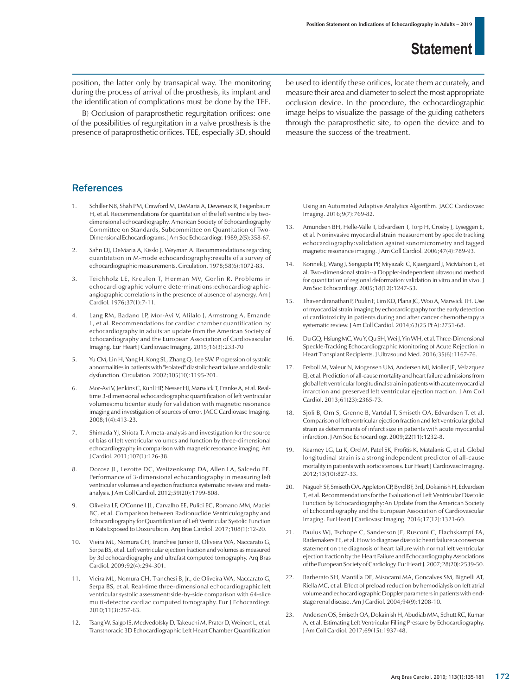position, the latter only by transapical way. The monitoring during the process of arrival of the prosthesis, its implant and the identification of complications must be done by the TEE.

B) Occlusion of paraprosthetic regurgitation orifices: one of the possibilities of regurgitation in a valve prosthesis is the presence of paraprosthetic orifices. TEE, especially 3D, should be used to identify these orifices, locate them accurately, and measure their area and diameter to select the most appropriate occlusion device. In the procedure, the echocardiographic image helps to visualize the passage of the guiding catheters through the paraprosthetic site, to open the device and to measure the success of the treatment.

### **References**

- Schiller NB, Shah PM, Crawford M, DeMaria A, Devereux R, Feigenbaum H, et al. Recommendations for quantitation of the left ventricle by twodimensional echocardiography. American Society of Echocardiography Committee on Standards, Subcommittee on Quantitation of Two-Dimensional Echocardiograms. J Am Soc Echocardiogr. 1989;2(5):358-67.
- 2. Sahn DJ, DeMaria A, Kisslo J, Weyman A. Recommendations regarding quantitation in M-mode echocardiography:results of a survey of echocardiographic measurements. Circulation. 1978;58(6):1072-83.
- 3. Teichholz LE, Kreulen T, Herman MV, Gorlin R. Problems in echocardiographic volume determinations:echocardiographicangiographic correlations in the presence of absence of asynergy. Am J Cardiol. 1976;37(1):7-11.
- 4. Lang RM, Badano LP, Mor-Avi V, Afilalo J, Armstrong A, Ernande L, et al. Recommendations for cardiac chamber quantification by echocardiography in adults:an update from the American Society of Echocardiography and the European Association of Cardiovascular Imaging. Eur Heart J Cardiovasc Imaging. 2015;16(3):233-70
- 5. Yu CM, Lin H, Yang H, Kong SL, Zhang Q, Lee SW. Progression of systolic abnormalities in patients with "isolated" diastolic heart failure and diastolic dysfunction. Circulation. 2002;105(10):1195-201.
- 6. Mor-Avi V, Jenkins C, Kuhl HP, Nesser HJ, Marwick T, Franke A, et al. Realtime 3-dimensional echocardiographic quantification of left ventricular volumes:multicenter study for validation with magnetic resonance imaging and investigation of sources of error. JACC Cardiovasc Imaging. 2008;1(4):413-23.
- 7. Shimada YJ, Shiota T. A meta-analysis and investigation for the source of bias of left ventricular volumes and function by three-dimensional echocardiography in comparison with magnetic resonance imaging. Am J Cardiol. 2011;107(1):126-38.
- 8. Dorosz JL, Lezotte DC, Weitzenkamp DA, Allen LA, Salcedo EE. Performance of 3-dimensional echocardiography in measuring left ventricular volumes and ejection fraction:a systematic review and metaanalysis. J Am Coll Cardiol. 2012;59(20):1799-808.
- 9. Oliveira LF, O'Connell JL, Carvalho EE, Pulici EC, Romano MM, Maciel BC, et al. Comparison between Radionuclide Ventriculography and Echocardiography for Quantification of Left Ventricular Systolic Function in Rats Exposed to Doxorubicin. Arq Bras Cardiol. 2017;108(1):12-20.
- 10. Vieira ML, Nomura CH, Tranchesi Junior B, Oliveira WA, Naccarato G, Serpa BS, et al. Left ventricular ejection fraction and volumes as measured by 3d echocardiography and ultrafast computed tomography. Arq Bras Cardiol. 2009;92(4):294-301.
- Vieira ML, Nomura CH, Tranchesi B, Jr., de Oliveira WA, Naccarato G, Serpa BS, et al. Real-time three-dimensional echocardiographic left ventricular systolic assessment:side-by-side comparison with 64-slice multi-detector cardiac computed tomography. Eur J Echocardiogr. 2010;11(3):257-63.
- 12. Tsang W, Salgo IS, Medvedofsky D, Takeuchi M, Prater D, Weinert L, et al. Transthoracic 3D Echocardiographic Left Heart Chamber Quantification

Using an Automated Adaptive Analytics Algorithm. JACC Cardiovasc Imaging. 2016;9(7):769-82.

- 13. Amundsen BH, Helle-Valle T, Edvardsen T, Torp H, Crosby J, Lyseggen E, et al. Noninvasive myocardial strain measurement by speckle tracking echocardiography:validation against sonomicrometry and tagged magnetic resonance imaging. J Am Coll Cardiol. 2006;47(4):789-93.
- 14. Korinek J, Wang J, Sengupta PP, Miyazaki C, Kjaergaard J, McMahon E, et al. Two-dimensional strain--a Doppler-independent ultrasound method for quantitation of regional deformation:validation in vitro and in vivo. J Am Soc Echocardiogr. 2005;18(12):1247-53.
- 15. Thavendiranathan P, Poulin F, Lim KD, Plana JC, Woo A, Marwick TH. Use of myocardial strain imaging by echocardiography for the early detection of cardiotoxicity in patients during and after cancer chemotherapy:a systematic review. J Am Coll Cardiol. 2014;63(25 Pt A):2751-68.
- 16. Du GQ, Hsiung MC, Wu Y, Qu SH, Wei J, Yin WH, et al. Three-Dimensional Speckle-Tracking Echocardiographic Monitoring of Acute Rejection in Heart Transplant Recipients. J Ultrasound Med. 2016;35(6):1167-76.
- 17. Ersboll M, Valeur N, Mogensen UM, Andersen MJ, Moller JE, Velazquez EJ, et al. Prediction of all-cause mortality and heart failure admissions from global left ventricular longitudinal strain in patients with acute myocardial infarction and preserved left ventricular ejection fraction. J Am Coll Cardiol. 2013;61(23):2365-73.
- 18. Sjoli B, Orn S, Grenne B, Vartdal T, Smiseth OA, Edvardsen T, et al. Comparison of left ventricular ejection fraction and left ventricular global strain as determinants of infarct size in patients with acute myocardial infarction. J Am Soc Echocardiogr. 2009;22(11):1232-8.
- 19. Kearney LG, Lu K, Ord M, Patel SK, Profitis K, Matalanis G, et al. Global longitudinal strain is a strong independent predictor of all-cause mortality in patients with aortic stenosis. Eur Heart J Cardiovasc Imaging. 2012;13(10):827-33.
- 20. Nagueh SF, Smiseth OA, Appleton CP, Byrd BF, 3rd, Dokainish H, Edvardsen T, et al. Recommendations for the Evaluation of Left Ventricular Diastolic Function by Echocardiography:An Update from the American Society of Echocardiography and the European Association of Cardiovascular Imaging. Eur Heart J Cardiovasc Imaging. 2016;17(12):1321-60.
- 21. Paulus WJ, Tschope C, Sanderson JE, Rusconi C, Flachskampf FA, Rademakers FE, et al. How to diagnose diastolic heart failure:a consensus statement on the diagnosis of heart failure with normal left ventricular ejection fraction by the Heart Failure and Echocardiography Associations of the European Society of Cardiology. Eur Heart J. 2007;28(20):2539-50.
- 22. Barberato SH, Mantilla DE, Misocami MA, Goncalves SM, Bignelli AT, Riella MC, et al. Effect of preload reduction by hemodialysis on left atrial volume and echocardiographic Doppler parameters in patients with endstage renal disease. Am J Cardiol. 2004;94(9):1208-10.
- 23. Andersen OS, Smiseth OA, Dokainish H, Abudiab MM, Schutt RC, Kumar A, et al. Estimating Left Ventricular Filling Pressure by Echocardiography. J Am Coll Cardiol. 2017;69(15):1937-48.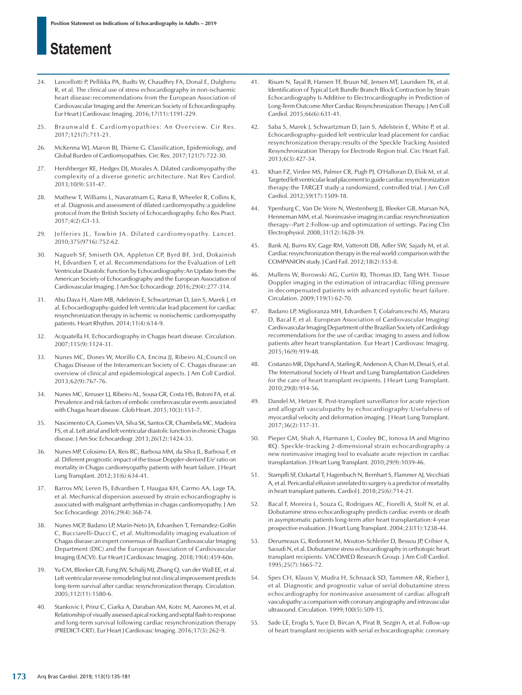- 24. Lancellotti P, Pellikka PA, Budts W, Chaudhry FA, Donal E, Dulgheru R, et al. The clinical use of stress echocardiography in non-ischaemic heart disease:recommendations from the European Association of Cardiovascular Imaging and the American Society of Echocardiography. Eur Heart J Cardiovasc Imaging. 2016;17(11):1191-229.
- 25. Braunwald E. Cardiomyopathies: An Overview. Cir Res. 2017;121(7):711-21.
- 26. McKenna WJ, Maron BJ, Thiene G. Classification, Epidemiology, and Global Burden of Cardiomyopathies. Circ Res. 2017;121(7):722-30.
- 27. Hershberger RE, Hedges DJ, Morales A. Dilated cardiomyopathy:the complexity of a diverse genetic architecture. Nat Rev Cardiol. 2013;10(9):531-47.
- 28. Mathew T, Williams L, Navaratnam G, Rana B, Wheeler R, Collins K, et al. Diagnosis and assessment of dilated cardiomyopathy:a guideline protocol from the British Society of Echocardiography. Echo Res Pract. 2017;4(2):G1-13.
- 29. Jefferies JL, Towbin JA. Dilated cardiomyopathy. Lancet. 2010;375(9716):752-62.
- 30. Nagueh SF, Smiseth OA, Appleton CP, Byrd BF, 3rd, Dokainish H, Edvardsen T, et al. Recommendations for the Evaluation of Left Ventricular Diastolic Function by Echocardiography:An Update from the American Society of Echocardiography and the European Association of Cardiovascular Imaging. J Am Soc Echocardiogr. 2016;29(4):277-314.
- 31. Abu Daya H, Alam MB, Adelstein E, Schwartzman D, Jain S, Marek J, et al. Echocardiography-guided left ventricular lead placement for cardiac resynchronization therapy in ischemic vs nonischemic cardiomyopathy patients. Heart Rhythm. 2014;11(4):614-9.
- 32. Acquatella H. Echocardiography in Chagas heart disease. Circulation. 2007;115(9):1124-31.
- 33. Nunes MC, Dones W, Morillo CA, Encina JJ, Ribeiro AL;Council on Chagas Disease of the Interamerican Society of C. Chagas disease:an overview of clinical and epidemiological aspects. J Am Coll Cardiol. 2013;62(9):767-76.
- 34. Nunes MC, Kreuser LJ, Ribeiro AL, Sousa GR, Costa HS, Botoni FA, et al. Prevalence and risk factors of embolic cerebrovascular events associated with Chagas heart disease. Glob Heart. 2015;10(3):151-7.
- 35. Nascimento CA, Gomes VA, Silva SK, Santos CR, Chambela MC, Madeira FS, et al. Left atrial and left ventricular diastolic function in chronic Chagas disease. J Am Soc Echocardiogr. 2013;26(12):1424-33.
- 36. Nunes MP, Colosimo EA, Reis RC, Barbosa MM, da Silva JL, Barbosa F, et al. Different prognostic impact of the tissue Doppler-derived E/e' ratio on mortality in Chagas cardiomyopathy patients with heart failure. J Heart Lung Transplant. 2012;31(6):634-41.
- 37. Barros MV, Leren IS, Edvardsen T, Haugaa KH, Carmo AA, Lage TA, et al. Mechanical dispersion assessed by strain echocardiography is associated with malignant arrhythmias in chagas cardiomyopathy. J Am Soc Echocardiogr. 2016;29(4):368-74.
- 38. Nunes MCP, Badano LP, Marin-Neto JA, Edvardsen T, Fernandez-Golfin C, Bucciarelli-Ducci C, et al. Multimodality imaging evaluation of Chagas disease:an expert consensus of Brazilian Cardiovascular Imaging Department (DIC) and the European Association of Cardiovascular Imaging (EACVI). Eur Heart J Cardiovasc Imaging. 2018;19(4):459-60n.
- 39. Yu CM, Bleeker GB, Fung JW, Schalij MJ, Zhang Q, van der Wall EE, et al. Left ventricular reverse remodeling but not clinical improvement predicts long-term survival after cardiac resynchronization therapy. Circulation. 2005;112(11):1580-6.
- 40. Stankovic I, Prinz C, Ciarka A, Daraban AM, Kotrc M, Aarones M, et al. Relationship of visually assessed apical rocking and septal flash to response and long-term survival following cardiac resynchronization therapy (PREDICT-CRT). Eur Heart J Cardiovasc Imaging. 2016;17(3):262-9.
- 41. Risum N, Tayal B, Hansen TF, Bruun NE, Jensen MT, Lauridsen TK, et al. Identification of Typical Left Bundle Branch Block Contraction by Strain Echocardiography Is Additive to Electrocardiography in Prediction of Long-Term Outcome After Cardiac Resynchronization Therapy. J Am Coll Cardiol. 2015;66(6):631-41.
- 42. Saba S, Marek J, Schwartzman D, Jain S, Adelstein E, White P, et al. Echocardiography-guided left ventricular lead placement for cardiac resynchronization therapy:results of the Speckle Tracking Assisted Resynchronization Therapy for Electrode Region trial. Circ Heart Fail. 2013;6(3):427-34.
- 43. Khan FZ, Virdee MS, Palmer CR, Pugh PJ, O'Halloran D, Elsik M, et al. Targeted left ventricular lead placement to guide cardiac resynchronization therapy:the TARGET study:a randomized, controlled trial. J Am Coll Cardiol. 2012;59(17):1509-18.
- 44. Ypenburg C, Van De Veire N, Westenberg JJ, Bleeker GB, Marsan NA, Henneman MM, et al. Noninvasive imaging in cardiac resynchronization therapy--Part 2:Follow-up and optimization of settings. Pacing Clin Electrophysiol. 2008;31(12):1628-39.
- 45. Bank AJ, Burns KV, Gage RM, Vatterott DB, Adler SW, Sajady M, et al. Cardiac resynchronization therapy in the real world:comparison with the COMPANION study. J Card Fail. 2012;18(2):153-8.
- 46. Mullens W, Borowski AG, Curtin RJ, Thomas JD, Tang WH. Tissue Doppler imaging in the estimation of intracardiac filling pressure in decompensated patients with advanced systolic heart failure. Circulation. 2009;119(1):62-70.
- 47. Badano LP, Miglioranza MH, Edvardsen T, Colafranceschi AS, Muraru D, Bacal F, et al. European Association of Cardiovascular Imaging/ Cardiovascular Imaging Department of the Brazilian Society of Cardiology recommendations for the use of cardiac imaging to assess and follow patients after heart transplantation. Eur Heart J Cardiovasc Imaging. 2015;16(9):919-48.
- 48. Costanzo MR, Dipchand A, Starling R, Anderson A, Chan M, Desai S, et al. The International Society of Heart and Lung Transplantation Guidelines for the care of heart transplant recipients. J Heart Lung Transplant. 2010;29(8):914-56.
- 49. Dandel M, Hetzer R. Post-transplant surveillance for acute rejection and allograft vasculopathy by echocardiography:Usefulness of myocardial velocity and deformation imaging. J Heart Lung Transplant. 2017;36(2):117-31.
- 50. Pieper GM, Shah A, Harmann L, Cooley BC, Ionova IA and Migrino RQ. Speckle-tracking 2-dimensional strain echocardiography:a new noninvasive imaging tool to evaluate acute rejection in cardiac transplantation. J Heart Lung Transplant. 2010;29(9):1039-46.
- 51. Stampfli SF, Ozkartal T, Hagenbuch N, Bernhart S, Flammer AJ, Vecchiati A, et al. Pericardial effusion unrelated to surgery is a predictor of mortality in heart transplant patients. Cardiol J. 2018;25(6):714-21.
- 52. Bacal F, Moreira L, Souza G, Rodrigues AC, Fiorelli A, Stolf N, et al. Dobutamine stress echocardiography predicts cardiac events or death in asymptomatic patients long-term after heart transplantation:4-year prospective evaluation. J Heart Lung Transplant. 2004;23(11):1238-44.
- 53. Derumeaux G, Redonnet M, Mouton-Schleifer D, Bessou JP, Cribier A, Saoudi N, et al. Dobutamine stress echocardiography in orthotopic heart transplant recipients. VACOMED Research Group. J Am Coll Cardiol. 1995;25(7):1665-72.
- 54. Spes CH, Klauss V, Mudra H, Schnaack SD, Tammen AR, Rieber J, et al. Diagnostic and prognostic value of serial dobutamine stress echocardiography for noninvasive assessment of cardiac allograft vasculopathy:a comparison with coronary angiography and intravascular ultrasound. Circulation. 1999;100(5):509-15.
- 55. Sade LE, Eroglu S, Yuce D, Bircan A, Pirat B, Sezgin A, et al. Follow-up of heart transplant recipients with serial echocardiographic coronary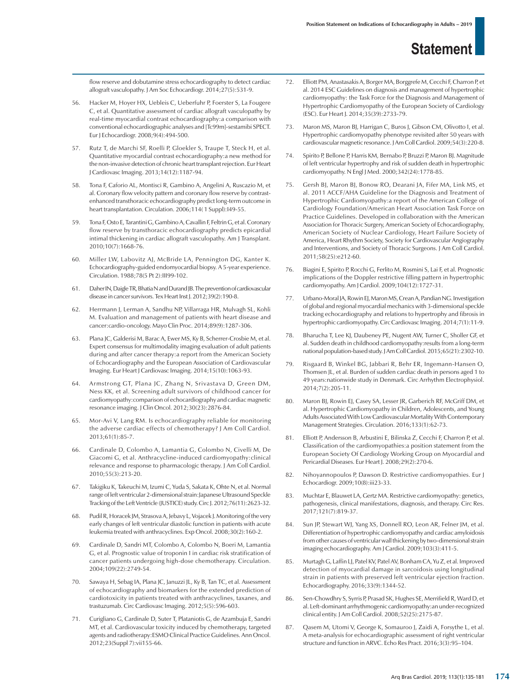flow reserve and dobutamine stress echocardiography to detect cardiac allograft vasculopathy. J Am Soc Echocardiogr. 2014;27(5):531-9.

- 56. Hacker M, Hoyer HX, Uebleis C, Ueberfuhr P, Foerster S, La Fougere C, et al. Quantitative assessment of cardiac allograft vasculopathy by real-time myocardial contrast echocardiography:a comparison with conventional echocardiographic analyses and [Tc99m]-sestamibi SPECT. Eur J Echocardiogr. 2008;9(4):494-500.
- 57. Rutz T, de Marchi SF, Roelli P, Gloekler S, Traupe T, Steck H, et al. Quantitative myocardial contrast echocardiography:a new method for the non-invasive detection of chronic heart transplant rejection. Eur Heart J Cardiovasc Imaging. 2013;14(12):1187-94.
- 58. Tona F, Caforio AL, Montisci R, Gambino A, Angelini A, Ruscazio M, et al. Coronary flow velocity pattern and coronary flow reserve by contrastenhanced transthoracic echocardiography predict long-term outcome in heart transplantation. Circulation. 2006;114(1 Suppl): 149-55.
- 59. Tona F, Osto E, Tarantini G, Gambino A, Cavallin F, Feltrin G, et al. Coronary flow reserve by transthoracic echocardiography predicts epicardial intimal thickening in cardiac allograft vasculopathy. Am J Transplant. 2010;10(7):1668-76.
- 60. Miller LW, Labovitz AJ, McBride LA, Pennington DG, Kanter K. Echocardiography-guided endomyocardial biopsy. A 5-year experience. Circulation. 1988;78(5 Pt 2):III99-102.
- 61. Daher IN, Daigle TR, Bhatia N and Durand JB. The prevention of cardiovascular disease in cancer survivors. Tex Heart Inst J. 2012;39(2):190-8.
- 62. Herrmann J, Lerman A, Sandhu NP, Villarraga HR, Mulvagh SL, Kohli M. Evaluation and management of patients with heart disease and cancer:cardio-oncology. Mayo Clin Proc. 2014;89(9):1287-306.
- 63. Plana JC, Galderisi M, Barac A, Ewer MS, Ky B, Scherrer-Crosbie M, et al. Expert consensus for multimodality imaging evaluation of adult patients during and after cancer therapy:a report from the American Society of Echocardiography and the European Association of Cardiovascular Imaging. Eur Heart J Cardiovasc Imaging. 2014;15(10):1063-93.
- 64. Armstrong GT, Plana JC, Zhang N, Srivastava D, Green DM, Ness KK, et al. Screening adult survivors of childhood cancer for cardiomyopathy:comparison of echocardiography and cardiac magnetic resonance imaging. J Clin Oncol. 2012;30(23):2876-84.
- 65. Mor-Avi V, Lang RM. Is echocardiography reliable for monitoring the adverse cardiac effects of chemotherapy? J Am Coll Cardiol. 2013;61(1):85-7.
- 66. Cardinale D, Colombo A, Lamantia G, Colombo N, Civelli M, De Giacomi G, et al. Anthracycline-induced cardiomyopathy:clinical relevance and response to pharmacologic therapy. J Am Coll Cardiol. 2010;55(3):213-20.
- 67. Takigiku K, Takeuchi M, Izumi C, Yuda S, Sakata K, Ohte N, et al. Normal range of left ventricular 2-dimensional strain:Japanese Ultrasound Speckle Tracking of the Left Ventricle (JUSTICE) study. Circ J. 2012;76(11):2623-32.
- 68. Pudil R, Horacek JM, Strasova A, Jebavy L, Vojacek J. Monitoring of the very early changes of left ventricular diastolic function in patients with acute leukemia treated with anthracyclines. Exp Oncol. 2008;30(2):160-2.
- 69. Cardinale D, Sandri MT, Colombo A, Colombo N, Boeri M, Lamantia G, et al. Prognostic value of troponin I in cardiac risk stratification of cancer patients undergoing high-dose chemotherapy. Circulation. 2004;109(22):2749-54.
- 70. Sawaya H, Sebag IA, Plana JC, Januzzi JL, Ky B, Tan TC, et al. Assessment of echocardiography and biomarkers for the extended prediction of cardiotoxicity in patients treated with anthracyclines, taxanes, and trastuzumab. Circ Cardiovasc Imaging. 2012;5(5):596-603.
- 71. Curigliano G, Cardinale D, Suter T, Plataniotis G, de Azambuja E, Sandri MT, et al. Cardiovascular toxicity induced by chemotherapy, targeted agents and radiotherapy:ESMO Clinical Practice Guidelines. Ann Oncol. 2012;23(Suppl 7):vii155-66.
- 72. Elliott PM, Anastasakis A, Borger MA, Borggrefe M, Cecchi F, Charron P, et al. 2014 ESC Guidelines on diagnosis and management of hypertrophic cardiomyopathy: the Task Force for the Diagnosis and Management of Hypertrophic Cardiomyopathy of the European Society of Cardiology (ESC). Eur Heart J. 2014;35(39):2733-79.
- 73. Maron MS, Maron BJ, Harrigan C, Buros J, Gibson CM, Olivotto I, et al. Hypertrophic cardiomyopathy phenotype revisited after 50 years with cardiovascular magnetic resonance. J Am Coll Cardiol. 2009;54(3):220-8.
- 74. Spirito P, Bellone P, Harris KM, Bernabo P, Bruzzi P, Maron BJ. Magnitude of left ventricular hypertrophy and risk of sudden death in hypertrophic cardiomyopathy. N Engl J Med. 2000;342(24):1778-85.
- 75. Gersh BJ, Maron BJ, Bonow RO, Dearani JA, Fifer MA, Link MS, et al. 2011 ACCF/AHA Guideline for the Diagnosis and Treatment of Hypertrophic Cardiomyopathy:a report of the American College of Cardiology Foundation/American Heart Association Task Force on Practice Guidelines. Developed in collaboration with the American Association for Thoracic Surgery, American Society of Echocardiography, American Society of Nuclear Cardiology, Heart Failure Society of America, Heart Rhythm Society, Society for Cardiovascular Angiography and Interventions, and Society of Thoracic Surgeons. J Am Coll Cardiol. 2011;58(25):e212-60.
- 76. Biagini E, Spirito P, Rocchi G, Ferlito M, Rosmini S, Lai F, et al. Prognostic implications of the Doppler restrictive filling pattern in hypertrophic cardiomyopathy. Am J Cardiol. 2009;104(12):1727-31.
- 77. Urbano-Moral JA, Rowin EJ, Maron MS, Crean A, Pandian NG. Investigation of global and regional myocardial mechanics with 3-dimensional speckle tracking echocardiography and relations to hypertrophy and fibrosis in hypertrophic cardiomyopathy. Circ Cardiovasc Imaging. 2014;7(1):11-9.
- 78. Bharucha T, Lee KJ, Daubeney PE, Nugent AW, Turner C, Sholler GF, et al. Sudden death in childhood cardiomyopathy:results from a long-term national population-based study. J Am Coll Cardiol. 2015;65(21):2302-10.
- 79. Risgaard B, Winkel BG, Jabbari R, Behr ER, Ingemann-Hansen O, Thomsen JL, et al. Burden of sudden cardiac death in persons aged 1 to 49 years:nationwide study in Denmark. Circ Arrhythm Electrophysiol. 2014;7(2):205-11.
- 80. Maron BJ, Rowin EJ, Casey SA, Lesser JR, Garberich RF, McGriff DM, et al. Hypertrophic Cardiomyopathy in Children, Adolescents, and Young Adults Associated With Low Cardiovascular Mortality With Contemporary Management Strategies. Circulation. 2016;133(1):62-73.
- 81. Elliott P, Andersson B, Arbustini E, Bilinska Z, Cecchi F, Charron P, et al. Classification of the cardiomyopathies:a position statement from the European Society Of Cardiology Working Group on Myocardial and Pericardial Diseases. Eur Heart J. 2008;29(2):270-6.
- 82. Nihoyannopoulos P, Dawson D. Restrictive cardiomyopathies. Eur J Echocardiogr. 2009;10(8):iii23-33.
- 83. Muchtar E, Blauwet LA, Gertz MA. Restrictive cardiomyopathy: genetics, pathogenesis, clinical manifestations, diagnosis, and therapy. Circ Res. 2017;121(7):819-37.
- 84. Sun JP, Stewart WJ, Yang XS, Donnell RO, Leon AR, Felner JM, et al. Differentiation of hypertrophic cardiomyopathy and cardiac amyloidosis from other causes of ventricular wall thickening by two-dimensional strain imaging echocardiography. Am J Cardiol. 2009;103(3):411-5.
- 85. Murtagh G, Laffin LJ, Patel KV, Patel AV, Bonham CA, Yu Z, et al. Improved detection of myocardial damage in sarcoidosis using longitudinal strain in patients with preserved left ventricular ejection fraction. Echocardiography. 2016;33(9):1344-52.
- 86. Sen-Chowdhry S, Syrris P, Prasad SK, Hughes SE, Merrifield R, Ward D, et al. Left-dominant arrhythmogenic cardiomyopathy:an under-recognized clinical entity. J Am Coll Cardiol. 2008;52(25):2175-87.
- 87. Qasem M, Utomi V, George K, Somauroo J, Zaidi A, Forsythe L, et al. A meta-analysis for echocardiographic assessment of right ventricular structure and function in ARVC. Echo Res Pract. 2016;3(3):95–104.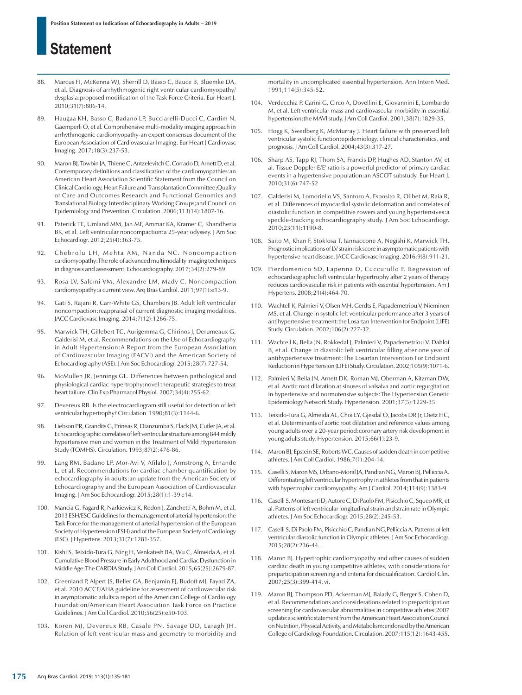- 88. Marcus FL McKenna WL Sherrill D, Basso C, Bauce B, Bluemke DA et al. Diagnosis of arrhythmogenic right ventricular cardiomyopathy/ dysplasia:proposed modification of the Task Force Criteria. Eur Heart J. 2010;31(7):806-14.
- 89. Haugaa KH, Basso C, Badano LP, Bucciarelli-Ducci C, Cardim N, Gaemperli O, et al. Comprehensive multi-modality imaging approach in arrhythmogenic cardiomyopathy-an expert consensus document of the European Association of Cardiovascular Imaging. Eur Heart J Cardiovasc Imaging. 2017;18(3):237-53.
- 90. Maron BJ, Towbin JA, Thiene G, Antzelevitch C, Corrado D, Arnett D, et al. Contemporary definitions and classification of the cardiomyopathies:an American Heart Association Scientific Statement from the Council on Clinical Cardiology, Heart Failure and Transplantation Committee;Quality of Care and Outcomes Research and Functional Genomics and Translational Biology Interdisciplinary Working Groups;and Council on Epidemiology and Prevention. Circulation. 2006;113(14):1807-16.
- 91. Paterick TE, Umland MM, Jan MF, Ammar KA, Kramer C, Khandheria BK, et al. Left ventricular noncompaction:a 25-year odyssey. J Am Soc Echocardiogr. 2012;25(4):363-75.
- 92. Chebrolu LH, Mehta AM, Nanda NC. Noncompaction cardiomyopathy:The role of advanced multimodality imaging techniques in diagnosis and assessment. Echocardiography. 2017;34(2):279-89.
- 93. Rosa LV, Salemi VM, Alexandre LM, Mady C. Noncompaction cardiomyopathy:a current view. Arq Bras Cardiol. 2011;97(1):e13-9.
- 94. Gati S, Rajani R, Carr-White GS, Chambers JB. Adult left ventricular noncompaction:reappraisal of current diagnostic imaging modalities. JACC Cardiovasc Imaging. 2014;7(12):1266-75.
- 95. Marwick TH, Gillebert TC, Aurigemma G, Chirinos J, Derumeaux G, Galderisi M, et al. Recommendations on the Use of Echocardiography in Adult Hypertension:A Report from the European Association of Cardiovascular Imaging (EACVI) and the American Society of Echocardiography (ASE). J Am Soc Echocardiogr. 2015;28(7):727-54.
- 96. McMullen JR, Jennings GL. Differences between pathological and physiological cardiac hypertrophy:novel therapeutic strategies to treat heart failure. Clin Exp Pharmacol Physiol. 2007;34(4):255-62.
- 97. Devereux RB. Is the electrocardiogram still useful for detection of left ventricular hypertrophy? Circulation. 1990;81(3):1144-6.
- 98. Liebson PR, Grandits G, Prineas R, Dianzumba S, Flack JM, Cutler JA, et al. Echocardiographic correlates of left ventricular structure among 844 mildly hypertensive men and women in the Treatment of Mild Hypertension Study (TOMHS). Circulation. 1993;87(2):476-86.
- 99. Lang RM, Badano LP, Mor-Avi V, Afilalo J, Armstrong A, Ernande L, et al. Recommendations for cardiac chamber quantification by echocardiography in adults:an update from the American Society of Echocardiography and the European Association of Cardiovascular Imaging. J Am Soc Echocardiogr. 2015;28(1):1-39 e14.
- 100. Mancia G, Fagard R, Narkiewicz K, Redon J, Zanchetti A, Bohm M, et al. 2013 ESH/ESC Guidelines for the management of arterial hypertension:the Task Force for the management of arterial hypertension of the European Society of Hypertension (ESH) and of the European Society of Cardiology (ESC). J Hypertens. 2013;31(7):1281-357.
- 101. Kishi S, Teixido-Tura G, Ning H, Venkatesh BA, Wu C, Almeida A, et al. Cumulative Blood Pressure in Early Adulthood and Cardiac Dysfunction in Middle Age:The CARDIA Study. J Am Coll Cardiol. 2015;65(25):2679-87.
- 102. Greenland P, Alpert JS, Beller GA, Benjamin EJ, Budoff MJ, Fayad ZA, et al. 2010 ACCF/AHA guideline for assessment of cardiovascular risk in asymptomatic adults:a report of the American College of Cardiology Foundation/American Heart Association Task Force on Practice Guidelines. J Am Coll Cardiol. 2010;56(25):e50-103.
- 103. Koren MJ, Devereux RB, Casale PN, Savage DD, Laragh JH. Relation of left ventricular mass and geometry to morbidity and

mortality in uncomplicated essential hypertension. Ann Intern Med. 1991;114(5):345-52.

- 104. Verdecchia P, Carini G, Circo A, Dovellini E, Giovannini E, Lombardo M, et al. Left ventricular mass and cardiovascular morbidity in essential hypertension:the MAVI study. J Am Coll Cardiol. 2001;38(7):1829-35.
- 105. Hogg K, Swedberg K, McMurray J. Heart failure with preserved left ventricular systolic function;epidemiology, clinical characteristics, and prognosis. J Am Coll Cardiol. 2004;43(3):317-27.
- 106. Sharp AS, Tapp RJ, Thom SA, Francis DP, Hughes AD, Stanton AV, et al. Tissue Doppler E/E' ratio is a powerful predictor of primary cardiac events in a hypertensive population:an ASCOT substudy. Eur Heart J. 2010;31(6):747-52
- 107. Galderisi M, Lomoriello VS, Santoro A, Esposito R, Olibet M, Raia R, et al. Differences of myocardial systolic deformation and correlates of diastolic function in competitive rowers and young hypertensives:a speckle-tracking echocardiography study. J Am Soc Echocardiogr. 2010;23(11):1190-8.
- 108. Saito M, Khan F, Stoklosa T, Iannaccone A, Negishi K, Marwick TH. Prognostic implications of LV strain risk score in asymptomatic patients with hypertensive heart disease. JACC Cardiovasc Imaging. 2016;9(8):911-21.
- 109. Pierdomenico SD, Lapenna D, Cuccurullo F. Regression of echocardiographic left ventricular hypertrophy after 2 years of therapy reduces cardiovascular risk in patients with essential hypertension. Am J Hypertens. 2008;21(4):464-70.
- 110. Wachtell K, Palmieri V, Olsen MH, Gerdts E, Papademetriou V, Nieminen MS, et al. Change in systolic left ventricular performance after 3 years of antihypertensive treatment:the Losartan Intervention for Endpoint (LIFE) Study. Circulation. 2002;106(2):227-32.
- 111. Wachtell K, Bella JN, Rokkedal J, Palmieri V, Papademetriou V, Dahlof B, et al. Change in diastolic left ventricular filling after one year of antihypertensive treatment:The Losartan Intervention For Endpoint Reduction in Hypertension (LIFE) Study. Circulation. 2002;105(9):1071-6.
- 112. Palmieri V, Bella JN, Arnett DK, Roman MJ, Oberman A, Kitzman DW, et al. Aortic root dilatation at sinuses of valsalva and aortic regurgitation in hypertensive and normotensive subjects:The Hypertension Genetic Epidemiology Network Study. Hypertension. 2001;37(5):1229-35.
- 113. Teixido-Tura G, Almeida AL, Choi EY, Gjesdal O, Jacobs DR Jr, Dietz HC, et al. Determinants of aortic root dilatation and reference values among young adults over a 20-year period:coronary artery risk development in young adults study. Hypertension. 2015;66(1):23-9.
- 114. Maron BJ, Epstein SE, Roberts WC. Causes of sudden death in competitive athletes. J Am Coll Cardiol. 1986;7(1):204-14.
- 115. Caselli S, Maron MS, Urbano-Moral JA, Pandian NG, Maron BJ, Pelliccia A. Differentiating left ventricular hypertrophy in athletes from that in patients with hypertrophic cardiomyopathy. Am J Cardiol. 2014;114(9):1383-9.
- 116. Caselli S, Montesanti D, Autore C, Di Paolo FM, Pisicchio C, Squeo MR, et al. Patterns of left ventricular longitudinal strain and strain rate in Olympic athletes. J Am Soc Echocardiogr. 2015;28(2):245-53.
- 117. Caselli S, Di Paolo FM, Pisicchio C, Pandian NG,Pelliccia A. Patterns of left ventricular diastolic function in Olympic athletes. J Am Soc Echocardiogr. 2015;28(2):236-44.
- 118. Maron BJ. Hypertrophic cardiomyopathy and other causes of sudden cardiac death in young competitive athletes, with considerations for preparticipation screening and criteria for disqualification. Cardiol Clin. 2007;25(3):399-414, vi.
- 119. Maron BJ, Thompson PD, Ackerman MJ, Balady G, Berger S, Cohen D, et al. Recommendations and considerations related to preparticipation screening for cardiovascular abnormalities in competitive athletes:2007 update:a scientific statement from the American Heart Association Council on Nutrition, Physical Activity, and Metabolism:endorsed by the American College of Cardiology Foundation. Circulation. 2007;115(12):1643-455.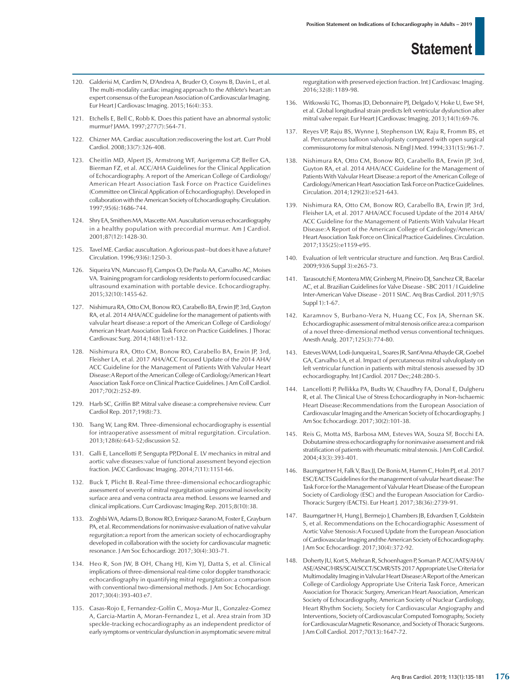- 120. Galderisi M, Cardim N, D'Andrea A, Bruder O, Cosyns B, Davin L, et al. The multi-modality cardiac imaging approach to the Athlete's heart:an expert consensus of the European Association of Cardiovascular Imaging. Eur Heart J Cardiovasc Imaging. 2015;16(4):353.
- 121. Etchells E, Bell C, Robb K. Does this patient have an abnormal systolic murmur? JAMA. 1997;277(7):564-71.
- 122. Chizner MA. Cardiac auscultation:rediscovering the lost art. Curr Probl Cardiol. 2008;33(7):326-408.
- 123. Cheitlin MD, Alpert JS, Armstrong WF, Aurigemma GP, Beller GA, Bierman FZ, et al. ACC/AHA Guidelines for the Clinical Application of Echocardiography. A report of the American College of Cardiology/ American Heart Association Task Force on Practice Guidelines (Committee on Clinical Application of Echocardiography). Developed in collaboration with the American Society of Echocardiography. Circulation. 1997;95(6):1686-744.
- 124. Shry EA, Smithers MA, Mascette AM. Auscultation versus echocardiography in a healthy population with precordial murmur. Am J Cardiol. 2001;87(12):1428-30.
- 125. Tavel ME. Cardiac auscultation. A glorious past--but does it have a future? Circulation. 1996;93(6):1250-3.
- 126. Siqueira VN, Mancuso FJ, Campos O, De Paola AA, Carvalho AC, Moises VA. Training program for cardiology residents to perform focused cardiac ultrasound examination with portable device. Echocardiography. 2015;32(10):1455-62.
- 127. Nishimura RA, Otto CM, Bonow RO, Carabello BA, Erwin JP, 3rd, Guyton RA, et al. 2014 AHA/ACC guideline for the management of patients with valvular heart disease:a report of the American College of Cardiology/ American Heart Association Task Force on Practice Guidelines. J Thorac Cardiovasc Surg. 2014;148(1):e1-132.
- 128. Nishimura RA, Otto CM, Bonow RO, Carabello BA, Erwin JP, 3rd, Fleisher LA, et al. 2017 AHA/ACC Focused Update of the 2014 AHA/ ACC Guideline for the Management of Patients With Valvular Heart Disease:A Report of the American College of Cardiology/American Heart Association Task Force on Clinical Practice Guidelines. J Am Coll Cardiol. 2017;70(2):252-89.
- 129. Harb SC, Griffin BP. Mitral valve disease:a comprehensive review. Curr Cardiol Rep. 2017;19(8):73.
- 130. Tsang W, Lang RM. Three-dimensional echocardiography is essential for intraoperative assessment of mitral regurgitation. Circulation. 2013;128(6):643-52;discussion 52.
- 131. Galli E, Lancellotti P, Sengupta PP,Donal E. LV mechanics in mitral and aortic valve diseases:value of functional assessment beyond ejection fraction. JACC Cardiovasc Imaging. 2014;7(11):1151-66.
- 132. Buck T, Plicht B. Real-Time three-dimensional echocardiographic assessment of severity of mitral regurgitation using proximal isovelocity surface area and vena contracta area method. Lessons we learned and clinical implications. Curr Cardiovasc Imaging Rep. 2015;8(10):38.
- 133. Zoghbi WA, Adams D, Bonow RO, Enriquez-Sarano M, Foster E, Grayburn PA, et al. Recommendations for noninvasive evaluation of native valvular regurgitation:a report from the american society of echocardiography developed in collaboration with the society for cardiovascular magnetic resonance. J Am Soc Echocardiogr. 2017;30(4):303-71.
- 134. Heo R, Son JW, B OH, Chang HJ, Kim YJ, Datta S, et al. Clinical implications of three-dimensional real-time color doppler transthoracic echocardiography in quantifying mitral regurgitation:a comparison with conventional two-dimensional methods. J Am Soc Echocardiogr. 2017;30(4):393-403 e7.
- 135. Casas-Rojo E, Fernandez-Golfin C, Moya-Mur JL, Gonzalez-Gomez A, Garcia-Martin A, Moran-Fernandez L, et al. Area strain from 3D speckle-tracking echocardiography as an independent predictor of early symptoms or ventricular dysfunction in asymptomatic severe mitral

regurgitation with preserved ejection fraction. Int J Cardiovasc Imaging. 2016;32(8):1189-98.

- 136. Witkowski TG, Thomas JD, Debonnaire PJ, Delgado V, Hoke U, Ewe SH, et al. Global longitudinal strain predicts left ventricular dysfunction after mitral valve repair. Eur Heart J Cardiovasc Imaging. 2013;14(1):69-76.
- 137. Reyes VP, Raju BS, Wynne J, Stephenson LW, Raju R, Fromm BS, et al. Percutaneous balloon valvuloplasty compared with open surgical commissurotomy for mitral stenosis. N Engl J Med. 1994;331(15):961-7.
- 138. Nishimura RA, Otto CM, Bonow RO, Carabello BA, Erwin JP, 3rd, Guyton RA, et al. 2014 AHA/ACC Guideline for the Management of Patients With Valvular Heart Disease:a report of the American College of Cardiology/American Heart Association Task Force on Practice Guidelines. Circulation. 2014;129(23):e521-643.
- 139. Nishimura RA, Otto CM, Bonow RO, Carabello BA, Erwin JP, 3rd, Fleisher LA, et al. 2017 AHA/ACC Focused Update of the 2014 AHA/ ACC Guideline for the Management of Patients With Valvular Heart Disease:A Report of the American College of Cardiology/American Heart Association Task Force on Clinical Practice Guidelines. Circulation. 2017;135(25):e1159-e95.
- 140. Evaluation of left ventricular structure and function. Arq Bras Cardiol. 2009;93(6 Suppl 3):e265-73.
- 141. Tarasoutchi F, Montera MW, Grinberg M, Pineiro DJ, Sanchez CR, Bacelar AC, et al. Brazilian Guidelines for Valve Disease - SBC 2011 / I Guideline Inter-American Valve Disease - 2011 SIAC. Arq Bras Cardiol. 2011;97(5 Suppl 1):1-67.
- 142. Karamnov S, Burbano-Vera N, Huang CC, Fox JA, Shernan SK. Echocardiographic assessment of mitral stenosis orifice area:a comparison of a novel three-dimensional method versus conventional techniques. Anesth Analg. 2017;125(3):774-80.
- 143. Esteves WAM, Lodi-Junqueira L, Soares JR, Sant'Anna Athayde GR, Goebel GA, Carvalho LA, et al. Impact of percutaneous mitral valvuloplasty on left ventricular function in patients with mitral stenosis assessed by 3D echocardiography. Int J Cardiol. 2017 Dec;248:280-5.
- 144. Lancellotti P, Pellikka PA, Budts W, Chaudhry FA, Donal E, Dulgheru R, et al. The Clinical Use of Stress Echocardiography in Non-Ischaemic Heart Disease:Recommendations from the European Association of Cardiovascular Imaging and the American Society of Echocardiography. J Am Soc Echocardiogr. 2017;30(2):101-38.
- 145. Reis G, Motta MS, Barbosa MM, Esteves WA, Souza SF, Bocchi EA. Dobutamine stress echocardiography for noninvasive assessment and risk stratification of patients with rheumatic mitral stenosis. J Am Coll Cardiol. 2004;43(3):393-401.
- 146. Baumgartner H, Falk V, Bax JJ, De Bonis M, Hamm C, Holm PJ, et al. 2017 ESC/EACTS Guidelines for the management of valvular heart disease:The Task Force for the Management of Valvular Heart Disease of the European Society of Cardiology (ESC) and the European Association for Cardio-Thoracic Surgery (EACTS). Eur Heart J. 2017;38(36):2739-91.
- 147. Baumgartner H, Hung J, Bermejo J, Chambers JB, Edvardsen T, Goldstein S, et al. Recommendations on the Echocardiographic Assessment of Aortic Valve Stenosis:A Focused Update from the European Association of Cardiovascular Imaging and the American Society of Echocardiography. J Am Soc Echocardiogr. 2017;30(4):372-92.
- 148. Doherty JU, Kort S, Mehran R, Schoenhagen P, Soman P. ACC/AATS/AHA/ ASE/ASNC/HRS/SCAI/SCCT/SCMR/STS 2017 Appropriate Use Criteria for Multimodality Imaging in Valvular Heart Disease:A Report of the American College of Cardiology Appropriate Use Criteria Task Force, American Association for Thoracic Surgery, American Heart Association, American Society of Echocardiography, American Society of Nuclear Cardiology, Heart Rhythm Society, Society for Cardiovascular Angiography and Interventions, Society of Cardiovascular Computed Tomography, Society for Cardiovascular Magnetic Resonance, and Society of Thoracic Surgeons. J Am Coll Cardiol. 2017;70(13):1647-72.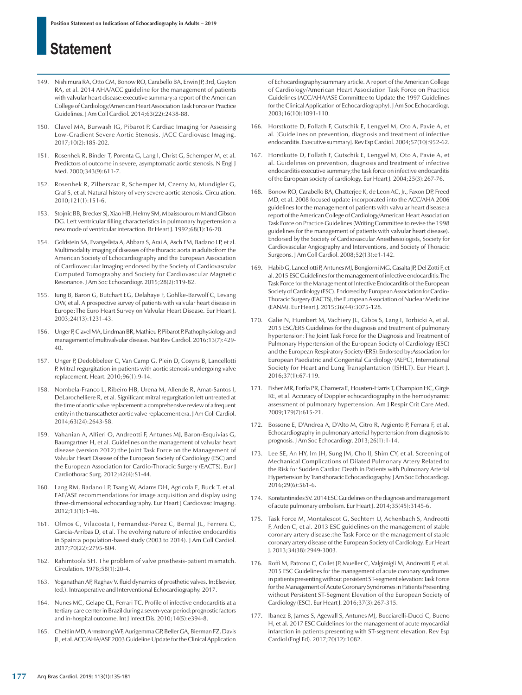- 149. Nishimura RA, Otto CM, Bonow RO, Carabello BA, Erwin JP, 3rd, Guyton RA, et al. 2014 AHA/ACC guideline for the management of patients with valvular heart disease:executive summary:a report of the American College of Cardiology/American Heart Association Task Force on Practice Guidelines. J Am Coll Cardiol. 2014;63(22):2438-88.
- 150. Clavel MA, Burwash IG, Pibarot P. Cardiac Imaging for Assessing Low-Gradient Severe Aortic Stenosis. JACC Cardiovasc Imaging. 2017;10(2):185-202.
- 151. Rosenhek R, Binder T, Porenta G, Lang I, Christ G, Schemper M, et al. Predictors of outcome in severe, asymptomatic aortic stenosis. N Engl J Med. 2000;343(9):611-7.
- 152. Rosenhek R, Zilberszac R, Schemper M, Czerny M, Mundigler G, Graf S, et al. Natural history of very severe aortic stenosis. Circulation. 2010;121(1):151-6.
- 153. Stojnic BB, Brecker SJ, Xiao HB, Helmy SM, Mbaissouroum M and Gibson DG. Left ventricular filling characteristics in pulmonary hypertension:a new mode of ventricular interaction. Br Heart J. 1992;68(1):16-20.
- 154. Goldstein SA, Evangelista A, Abbara S, Arai A, Asch FM, Badano LP, et al. Multimodality imaging of diseases of the thoracic aorta in adults:from the American Society of Echocardiography and the European Association of Cardiovascular Imaging:endorsed by the Society of Cardiovascular Computed Tomography and Society for Cardiovascular Magnetic Resonance. J Am Soc Echocardiogr. 2015;28(2):119-82.
- 155. Iung B, Baron G, Butchart EG, Delahaye F, Gohlke-Barwolf C, Levang OW, et al. A prospective survey of patients with valvular heart disease in Europe:The Euro Heart Survey on Valvular Heart Disease. Eur Heart J. 2003;24(13):1231-43.
- 156. Unger P, Clavel MA, Lindman BR, Mathieu P, Pibarot P. Pathophysiology and management of multivalvular disease. Nat Rev Cardiol. 2016;13(7):429- 40.
- 157. Unger P, Dedobbeleer C, Van Camp G, Plein D, Cosyns B, Lancellotti P. Mitral regurgitation in patients with aortic stenosis undergoing valve replacement. Heart. 2010;96(1):9-14.
- 158. Nombela-Franco L, Ribeiro HB, Urena M, Allende R, Amat-Santos I, DeLarochelliere R, et al. Significant mitral regurgitation left untreated at the time of aortic valve replacement:a comprehensive review of a frequent entity in the transcatheter aortic valve replacement era. J Am Coll Cardiol. 2014;63(24):2643-58.
- 159. Vahanian A, Alfieri O, Andreotti F, Antunes MJ, Baron-Esquivias G, Baumgartner H, et al. Guidelines on the management of valvular heart disease (version 2012):the Joint Task Force on the Management of Valvular Heart Disease of the European Society of Cardiology (ESC) and the European Association for Cardio-Thoracic Surgery (EACTS). Eur J Cardiothorac Surg. 2012;42(4):S1-44.
- 160. Lang RM, Badano LP, Tsang W, Adams DH, Agricola E, Buck T, et al. EAE/ASE recommendations for image acquisition and display using three-dimensional echocardiography. Eur Heart J Cardiovasc Imaging. 2012;13(1):1-46.
- 161. Olmos C, Vilacosta I, Fernandez-Perez C, Bernal JL, Ferrera C, Garcia-Arribas D, et al. The evolving nature of infective endocarditis in Spain:a population-based study (2003 to 2014). J Am Coll Cardiol. 2017;70(22):2795-804.
- 162. Rahimtoola SH. The problem of valve prosthesis-patient mismatch. Circulation. 1978;58(1):20-4.
- 163. Yoganathan AP, Raghav V. fluid dynamics of prosthetic valves. In:Elsevier, (ed.). Intraoperative and Interventional Echocardiography. 2017.
- 164. Nunes MC, Gelape CL, Ferrari TC. Profile of infective endocarditis at a tertiary care center in Brazil during a seven-year period:prognostic factors and in-hospital outcome. Int J Infect Dis. 2010;14(5):e394-8.
- 165. Cheitlin MD, Armstrong WF, Aurigemma GP, Beller GA, Bierman FZ, Davis JL, et al. ACC/AHA/ASE 2003 Guideline Update for the Clinical Application

of Echocardiography:summary article. A report of the American College of Cardiology/American Heart Association Task Force on Practice Guidelines (ACC/AHA/ASE Committee to Update the 1997 Guidelines for the Clinical Application of Echocardiography). J Am Soc Echocardiogr. 2003;16(10):1091-110.

- 166. Horstkotte D, Follath F, Gutschik E, Lengyel M, Oto A, Pavie A, et al. [Guidelines on prevention, diagnosis and treatment of infective endocarditis. Executive summary]. Rev Esp Cardiol. 2004;57(10):952-62.
- 167. Horstkotte D, Follath F, Gutschik E, Lengyel M, Oto A, Pavie A, et al. Guidelines on prevention, diagnosis and treatment of infective endocarditis executive summary;the task force on infective endocarditis of the European society of cardiology. Eur Heart J. 2004;25(3):267-76.
- 168. Bonow RO, Carabello BA, Chatterjee K, de Leon AC, Jr., Faxon DP, Freed MD, et al. 2008 focused update incorporated into the ACC/AHA 2006 guidelines for the management of patients with valvular heart disease:a report of the American College of Cardiology/American Heart Association Task Force on Practice Guidelines (Writing Committee to revise the 1998 guidelines for the management of patients with valvular heart disease). Endorsed by the Society of Cardiovascular Anesthesiologists, Society for Cardiovascular Angiography and Interventions, and Society of Thoracic Surgeons. J Am Coll Cardiol. 2008;52(13):e1-142.
- 169. Habib G, Lancellotti P, Antunes MJ, Bongiorni MG, Casalta JP, Del Zotti F, et al. 2015 ESC Guidelines for the management of infective endocarditis:The Task Force for the Management of Infective Endocarditis of the European Society of Cardiology (ESC). Endorsed by:European Association for Cardio-Thoracic Surgery (EACTS), the European Association of Nuclear Medicine (EANM). Eur Heart J. 2015;36(44):3075-128.
- 170. Galie N, Humbert M, Vachiery JL, Gibbs S, Lang I, Torbicki A, et al. 2015 ESC/ERS Guidelines for the diagnosis and treatment of pulmonary hypertension:The Joint Task Force for the Diagnosis and Treatment of Pulmonary Hypertension of the European Society of Cardiology (ESC) and the European Respiratory Society (ERS):Endorsed by:Association for European Paediatric and Congenital Cardiology (AEPC), International Society for Heart and Lung Transplantation (ISHLT). Eur Heart J. 2016;37(1):67-119.
- 171. Fisher MR, Forfia PR, Chamera E, Housten-Harris T, Champion HC, Girgis RE, et al. Accuracy of Doppler echocardiography in the hemodynamic assessment of pulmonary hypertension. Am J Respir Crit Care Med. 2009;179(7):615-21.
- 172. Bossone E, D'Andrea A, D'Alto M, Citro R, Argiento P, Ferrara F, et al. Echocardiography in pulmonary arterial hypertension:from diagnosis to prognosis. J Am Soc Echocardiogr. 2013;26(1):1-14.
- 173. Lee SE, An HY, Im JH, Sung JM, Cho IJ, Shim CY, et al. Screening of Mechanical Complications of Dilated Pulmonary Artery Related to the Risk for Sudden Cardiac Death in Patients with Pulmonary Arterial Hypertension by Transthoracic Echocardiography. J Am Soc Echocardiogr. 2016;29(6):561-6.
- 174. Konstantinides SV. 2014 ESC Guidelines on the diagnosis and management of acute pulmonary embolism. Eur Heart J. 2014;35(45):3145-6.
- 175. Task Force M, Montalescot G, Sechtem U, Achenbach S, Andreotti F, Arden C, et al. 2013 ESC guidelines on the management of stable coronary artery disease:the Task Force on the management of stable coronary artery disease of the European Society of Cardiology. Eur Heart J. 2013;34(38):2949-3003.
- 176. Roffi M, Patrono C, Collet JP, Mueller C, Valgimigli M, Andreotti F, et al. 2015 ESC Guidelines for the management of acute coronary syndromes in patients presenting without persistent ST-segment elevation:Task Force for the Management of Acute Coronary Syndromes in Patients Presenting without Persistent ST-Segment Elevation of the European Society of Cardiology (ESC). Eur Heart J. 2016;37(3):267-315.
- 177. Ibanez B, James S, Agewall S, Antunes MJ, Bucciarelli-Ducci C, Bueno H, et al. 2017 ESC Guidelines for the management of acute myocardial infarction in patients presenting with ST-segment elevation. Rev Esp Cardiol (Engl Ed). 2017;70(12):1082.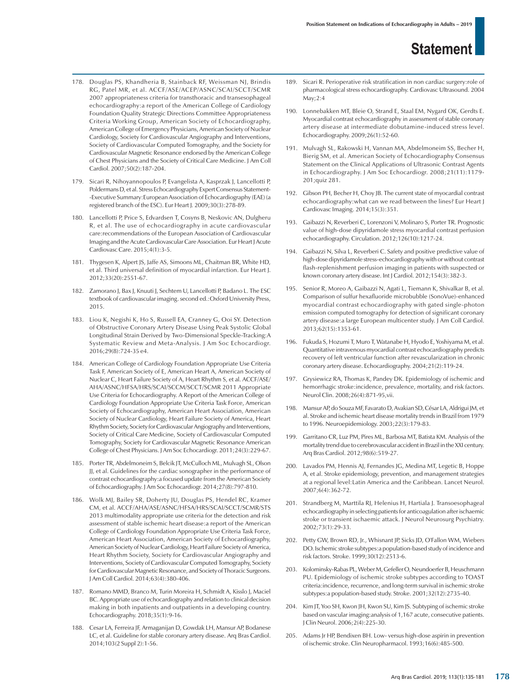- 178. Douglas PS, Khandheria B, Stainback RF, Weissman NJ, Brindis RG, Patel MR, et al. ACCF/ASE/ACEP/ASNC/SCAI/SCCT/SCMR 2007 appropriateness criteria for transthoracic and transesophageal echocardiography:a report of the American College of Cardiology Foundation Quality Strategic Directions Committee Appropriateness Criteria Working Group, American Society of Echocardiography, American College of Emergency Physicians, American Society of Nuclear Cardiology, Society for Cardiovascular Angiography and Interventions, Society of Cardiovascular Computed Tomography, and the Society for Cardiovascular Magnetic Resonance endorsed by the American College of Chest Physicians and the Society of Critical Care Medicine. J Am Coll Cardiol. 2007;50(2):187-204.
- 179. Sicari R, Nihoyannopoulos P, Evangelista A, Kasprzak J, Lancellotti P, Poldermans D, et al. Stress Echocardiography Expert Consensus Statement- -Executive Summary:European Association of Echocardiography (EAE) (a registered branch of the ESC). Eur Heart J. 2009;30(3):278-89.
- 180. Lancellotti P, Price S, Edvardsen T, Cosyns B, Neskovic AN, Dulgheru R, et al. The use of echocardiography in acute cardiovascular care:recommendations of the European Association of Cardiovascular Imaging and the Acute Cardiovascular Care Association. Eur Heart J Acute Cardiovasc Care. 2015;4(1):3-5.
- 181. Thygesen K, Alpert JS, Jaffe AS, Simoons ML, Chaitman BR, White HD, et al. Third universal definition of myocardial infarction. Eur Heart J. 2012;33(20):2551-67.
- 182. Zamorano J, Bax J, Knuuti J, Sechtem U, Lancellotti P, Badano L. The ESC textbook of cardiovascular imaging. second ed.:Oxford University Press, 2015.
- 183. Liou K, Negishi K, Ho S, Russell EA, Cranney G, Ooi SY. Detection of Obstructive Coronary Artery Disease Using Peak Systolic Global Longitudinal Strain Derived by Two-Dimensional Speckle-Tracking:A Systematic Review and Meta-Analysis. J Am Soc Echocardiogr. 2016;29(8):724-35 e4.
- 184. American College of Cardiology Foundation Appropriate Use Criteria Task F, American Society of E, American Heart A, American Society of Nuclear C, Heart Failure Society of A, Heart Rhythm S, et al. ACCF/ASE/ AHA/ASNC/HFSA/HRS/SCAI/SCCM/SCCT/SCMR 2011 Appropriate Use Criteria for Echocardiography. A Report of the American College of Cardiology Foundation Appropriate Use Criteria Task Force, American Society of Echocardiography, American Heart Association, American Society of Nuclear Cardiology, Heart Failure Society of America, Heart Rhythm Society, Society for Cardiovascular Angiography and Interventions, Society of Critical Care Medicine, Society of Cardiovascular Computed Tomography, Society for Cardiovascular Magnetic Resonance American College of Chest Physicians. J Am Soc Echocardiogr. 2011;24(3):229-67.
- 185. Porter TR, Abdelmoneim S, Belcik JT, McCulloch ML, Mulvagh SL, Olson JJ, et al. Guidelines for the cardiac sonographer in the performance of contrast echocardiography:a focused update from the American Society of Echocardiography. J Am Soc Echocardiogr. 2014;27(8):797-810.
- 186. Wolk MJ, Bailey SR, Doherty JU, Douglas PS, Hendel RC, Kramer CM, et al. ACCF/AHA/ASE/ASNC/HFSA/HRS/SCAI/SCCT/SCMR/STS 2013 multimodality appropriate use criteria for the detection and risk assessment of stable ischemic heart disease:a report of the American College of Cardiology Foundation Appropriate Use Criteria Task Force, American Heart Association, American Society of Echocardiography, American Society of Nuclear Cardiology, Heart Failure Society of America, Heart Rhythm Society, Society for Cardiovascular Angiography and Interventions, Society of Cardiovascular Computed Tomography, Society for Cardiovascular Magnetic Resonance, and Society of Thoracic Surgeons. J Am Coll Cardiol. 2014;63(4):380-406.
- 187. Romano MMD, Branco M, Turin Moreira H, Schmidt A, Kisslo J, Maciel BC. Appropriate use of echocardiography and relation to clinical decision making in both inpatients and outpatients in a developing country. Echocardiography. 2018;35(1):9-16.
- 188. Cesar LA, Ferreira JF, Armaganijan D, Gowdak LH, Mansur AP, Bodanese LC, et al. Guideline for stable coronary artery disease. Arq Bras Cardiol. 2014;103(2 Suppl 2):1-56.
- 189. Sicari R. Perioperative risk stratification in non cardiac surgery:role of pharmacological stress echocardiography. Cardiovasc Ultrasound. 2004 May;2:4
- 190. Lonnebakken MT, Bleie O, Strand E, Staal EM, Nygard OK, Gerdts E. Myocardial contrast echocardiography in assessment of stable coronary artery disease at intermediate dobutamine-induced stress level. Echocardiography. 2009;26(1):52-60.
- 191. Mulvagh SL, Rakowski H, Vannan MA, Abdelmoneim SS, Becher H, Bierig SM, et al. American Society of Echocardiography Consensus Statement on the Clinical Applications of Ultrasonic Contrast Agents in Echocardiography. J Am Soc Echocardiogr. 2008;21(11):1179- 201;quiz 281.
- 192. Gibson PH, Becher H, Choy JB. The current state of myocardial contrast echocardiography:what can we read between the lines? Eur Heart J Cardiovasc Imaging. 2014;15(3):351.
- 193. Gaibazzi N, Reverberi C, Lorenzoni V, Molinaro S, Porter TR. Prognostic value of high-dose dipyridamole stress myocardial contrast perfusion echocardiography. Circulation. 2012;126(10):1217-24.
- 194. Gaibazzi N, Silva L, Reverberi C. Safety and positive predictive value of high-dose dipyridamole stress-echocardiography with or without contrast flash-replenishment perfusion imaging in patients with suspected or known coronary artery disease. Int J Cardiol. 2012;154(3):382-3.
- 195. Senior R, Moreo A, Gaibazzi N, Agati L, Tiemann K, Shivalkar B, et al. Comparison of sulfur hexafluoride microbubble (SonoVue)-enhanced myocardial contrast echocardiography with gated single-photon emission computed tomography for detection of significant coronary artery disease:a large European multicenter study. J Am Coll Cardiol. 2013;62(15):1353-61.
- 196. Fukuda S, Hozumi T, Muro T, Watanabe H, Hyodo E, Yoshiyama M, et al. Quantitative intravenous myocardial contrast echocardiography predicts recovery of left ventricular function after revascularization in chronic coronary artery disease. Echocardiography. 2004;21(2):119-24.
- 197. Grysiewicz RA, Thomas K, Pandey DK. Epidemiology of ischemic and hemorrhagic stroke:incidence, prevalence, mortality, and risk factors. Neurol Clin. 2008;26(4):871-95,vii.
- 198. Mansur AP, do Souza MF, Favarato D, Avakian SD, César LA, Aldrigui JM, et al. Stroke and ischemic heart disease mortality trends in Brazil from 1979 to 1996. Neuroepidemiology. 2003;22(3):179-83.
- 199. Garritano CR, Luz PM, Pires ML, Barbosa MT, Batista KM. Analysis of the mortality trend due to cerebrovascular accident in Brazil in the XXI century. Arq Bras Cardiol. 2012;98(6):519-27.
- 200. Lavados PM, Hennis AJ, Fernandes JG, Medina MT, Legetic B, Hoppe A, et al. Stroke epidemiology, prevention, and management strategies at a regional level:Latin America and the Caribbean. Lancet Neurol. 2007;6(4):362-72.
- 201. Strandberg M, Marttila RJ, Helenius H, Hartiala J. Transoesophageal echocardiography in selecting patients for anticoagulation after ischaemic stroke or transient ischaemic attack. J Neurol Neurosurg Psychiatry. 2002;73(1):29-33.
- 202. Petty GW, Brown RD, Jr., Whisnant JP, Sicks JD, O'Fallon WM, Wiebers DO. Ischemic stroke subtypes:a population-based study of incidence and risk factors. Stroke. 1999;30(12):2513-6.
- 203. Kolominsky-Rabas PL, Weber M, Gefeller O, Neundoerfer B, Heuschmann PU. Epidemiology of ischemic stroke subtypes according to TOAST criteria:incidence, recurrence, and long-term survival in ischemic stroke subtypes:a population-based study. Stroke. 2001;32(12):2735-40.
- 204. Kim JT, Yoo SH, Kwon JH, Kwon SU, Kim JS. Subtyping of ischemic stroke based on vascular imaging:analysis of 1,167 acute, consecutive patients. J Clin Neurol. 2006;2(4):225-30.
- 205. Adams Jr HP, Bendixen BH. Low- versus high-dose aspirin in prevention of ischemic stroke. Clin Neuropharmacol. 1993;16(6):485-500.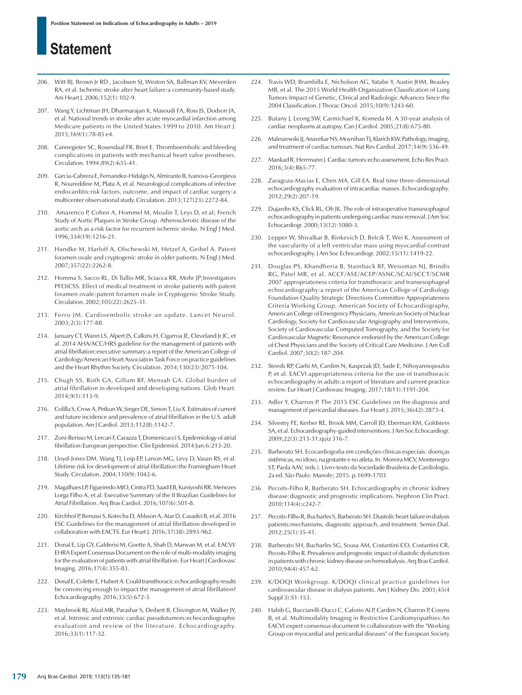- 206. Witt BJ, Brown Jr RD , Jacobsen SJ, Weston SA, Ballman KV, Meverden RA, et al. Ischemic stroke after heart failure:a community-based study. Am Heart J. 2006;152(1):102-9.
- 207. Wang Y, Lichtman JH, Dharmarajan K, Masoudi FA, Ross JS, Dodson JA, et al. National trends in stroke after acute myocardial infarction among Medicare patients in the United States:1999 to 2010. Am Heart J. 2015;169(1):78-85 e4.
- 208. Cannegieter SC, Rosendaal FR, Briet E. Thromboembolic and bleeding complications in patients with mechanical heart valve prostheses. Circulation. 1994;89(2):635-41.
- 209. Garcia-Cabrera E, Fernandez-Hidalgo N, Almirante B, Ivanova-Georgieva R, Noureddine M, Plata A, et al. Neurological complications of infective endocarditis:risk factors, outcome, and impact of cardiac surgery:a multicenter observational study. Circulation. 2013;127(23):2272-84.
- Amarenco P, Cohen A, Hommel M, Moulin T, Leys D, et al; French Study of Aortic Plaques in Stroke Group. Atherosclerotic disease of the aortic arch as a risk factor for recurrent ischemic stroke. N Engl J Med. 1996;334(19):1216-21.
- 211. Handke M, Harloff A, Olschewski M, Hetzel A, Geibel A. Patent foramen ovale and cryptogenic stroke in older patients. N Engl J Med. 2007;357(22):2262-8.
- 212. Homma S, Sacco RL, Di Tullio MR, Sciacca RR, Mohr JP;Investigators PFOiCSS. Effect of medical treatment in stroke patients with patent foramen ovale:patent foramen ovale in Cryptogenic Stroke Study. Circulation. 2002;105(22):2625-31.
- 213. Ferro JM. Cardioembolic stroke:an update. Lancet Neurol. 2003;2(3):177-88.
- 214. January CT, Wann LS, Alpert JS, Calkins H, Cigarroa JE, Cleveland Jr JC, et al. 2014 AHA/ACC/HRS guideline for the management of patients with atrial fibrillation:executive summary:a report of the American College of Cardiology/American Heart Association Task Force on practice guidelines and the Heart Rhythm Society. Circulation. 2014;130(23):2071-104.
- 215. Chugh SS, Roth GA, Gillum RF, Mensah GA. Global burden of atrial fibrillation in developed and developing nations. Glob Heart. 2014;9(1):113-9.
- 216. Colilla S, Crow A, Petkun W, Singer DE, Simon T, Liu X. Estimates of current and future incidence and prevalence of atrial fibrillation in the U.S. adult population. Am J Cardiol. 2013;112(8):1142-7.
- 217. Zoni-Berisso M, Lercari F, Carazza T, Domenicucci S. Epidemiology of atrial fibrillation:European perspective. Clin Epidemiol. 2014 Jun;6:213-20.
- 218. Lloyd-Jones DM, Wang TJ, Leip EP, Larson MG, Levy D, Vasan RS, et al. Lifetime risk for development of atrial fibrillation:the Framingham Heart Study. Circulation. 2004;110(9):1042-6.
- 219. Magalhaes LP, Figueiredo MJO, Cintra FD, Saad EB, Kuniyoshi RR, Menezes Lorga Filho A, et al. Executive Summary of the II Brazilian Guidelines for Atrial Fibrillation. Arq Bras Cardiol. 2016;107(6):501-8.
- 220. Kirchhof P, Benussi S, Kotecha D, Ahlsson A, Atar D, Casadei B, et al. 2016 ESC Guidelines for the management of atrial fibrillation developed in collaboration with EACTS. Eur Heart J. 2016;37(38):2893-962.
- 221. Donal E, Lip GY, Galderisi M, Goette A, Shah D, Marwan M, et al. EACVI/ EHRA Expert Consensus Document on the role of multi-modality imaging for the evaluation of patients with atrial fibrillation. Eur Heart J Cardiovasc Imaging. 2016;17(4):355-83.
- 222. Donal E, Colette E, Hubert A. Could transthoracic echocardiography results be convincing enough to impact the management of atrial fibrillation? Echocardiography. 2016;33(5):672-3.
- 223. Maybrook RJ, Afzal MR, Parashar S, Deibert B, Chivington M, Walker JY, et al. Intrinsic and extrinsic cardiac pseudotumors:echocardiographic evaluation and review of the literature. Echocardiography. 2016;33(1):117-32.
- 224. Travis WD, Brambilla E, Nicholson AG, Yatabe Y, Austin JHM, Beasley MB, et al. The 2015 World Health Organization Classification of Lung Tumors:Impact of Genetic, Clinical and Radiologic Advances Since the 2004 Classification. J Thorac Oncol. 2015;10(9):1243-60.
- 225. Butany J, Leong SW, Carmichael K, Komeda M. A 30-year analysis of cardiac neoplasms at autopsy. Can J Cardiol. 2005;21(8):675-80.
- 226. Maleszewski JJ, Anavekar NS, Moynihan TJ, Klarich KW. Pathology, imaging, and treatment of cardiac tumours. Nat Rev Cardiol. 2017;14(9):536-49.
- 227. Mankad R, Herrmann J. Cardiac tumors:echo assessment. Echo Res Pract. 2016;3(4):R65-77.
- 228. Zaragoza-Macias E, Chen MA, Gill EA. Real time three-dimensional echocardiography evaluation of intracardiac masses. Echocardiography. 2012;29(2):207-19.
- 229. Dujardin KS, Click RL, Oh JK. The role of intraoperative transesophageal echocardiography in patients undergoing cardiac mass removal. J Am Soc Echocardiogr. 2000;13(12):1080-3.
- 230. Lepper W, Shivalkar B, Rinkevich D, Belcik T, Wei K. Assessment of the vascularity of a left ventricular mass using myocardial contrast echocardiography. J Am Soc Echocardiogr. 2002;15(11):1419-22.
- 231. Douglas PS, Khandheria B, Stainback RF, Weissman NJ, Brindis RG, Patel MR, et al. ACCF/ASE/ACEP/ASNC/SCAI/SCCT/SCMR 2007 appropriateness criteria for transthoracic and transesophageal echocardiography:a report of the American College of Cardiology Foundation Quality Strategic Directions Committee Appropriateness Criteria Working Group, American Society of Echocardiography, American College of Emergency Physicians, American Society of Nuclear Cardiology, Society for Cardiovascular Angiography and Interventions, Society of Cardiovascular Computed Tomography, and the Society for Cardiovascular Magnetic Resonance endorsed by the American College of Chest Physicians and the Society of Critical Care Medicine. J Am Coll Cardiol. 2007;50(2):187-204.
- 232. Steeds RP, Garbi M, Cardim N, Kasprzak JD, Sade E, Nihoyannopoulos P, et al. EACVI appropriateness criteria for the use of transthoracic echocardiography in adults:a report of literature and current practice review. Eur Heart J Cardiovasc Imaging. 2017;18(11):1191-204.
- 233. Adler Y, Charron P. The 2015 ESC Guidelines on the diagnosis and management of pericardial diseases. Eur Heart J. 2015;36(42):2873-4.
- 234. Silvestry FE, Kerber RE, Brook MM, Carroll JD, Eberman KM, Goldstein SA, et al. Echocardiography-guided interventions. J Am Soc Echocardiogr. 2009;22(3):213-31;quiz 316-7.
- 235. Barberato SH. Ecocardiografia em condições clínicas especiais: doenças sistêmicas, no idoso, na gestante e no atleta. In: Moreira MCV, Montenegro ST, Paola AAV, (eds.). Livro-texto da Sociedade Brasileira de Cardiologia. 2a ed. São Paulo: Manole; 2015. p.1699-1703
- Pecoits-Filho R, Barberato SH. Echocardiography in chronic kidney disease:diagnostic and prognostic implications. Nephron Clin Pract. 2010;114(4):c242-7.
- 237. Pecoits-Filho R, Bucharles S, Barberato SH. Diastolic heart failure in dialysis patients:mechanisms, diagnostic approach, and treatment. Semin Dial. 2012;25(1):35-41.
- 238. Barberato SH, Bucharles SG, Sousa AM, Costantini CO, Costantini CR, Pecoits-Filho R. Prevalence and prognostic impact of diastolic dysfunction in patients with chronic kidney disease on hemodialysis. Arq Bras Cardiol. 2010;94(4):457-62.
- 239. K/DOQI Workgroup. K/DOQI clinical practice guidelines for cardiovascular disease in dialysis patients. Am J Kidney Dis. 2005;45(4 Suppl 3):S1-153.
- 240. Habib G, Bucciarelli-Ducci C, Caforio ALP, Cardim N, Charron P, Cosyns B, et al. Multimodality Imaging in Restrictive Cardiomyopathies:An EACVI expert consensus document In collaboration with the "Working Group on myocardial and pericardial diseases" of the European Society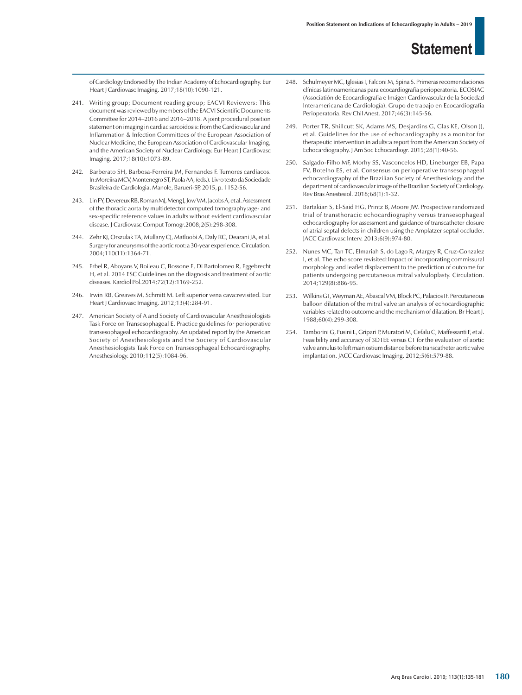of Cardiology Endorsed by The Indian Academy of Echocardiography. Eur Heart J Cardiovasc Imaging. 2017;18(10):1090-121.

- 241. Writing group; Document reading group; EACVI Reviewers: This document was reviewed by members of the EACVI Scientific Documents Committee for 2014–2016 and 2016–2018. A joint procedural position statement on imaging in cardiac sarcoidosis: from the Cardiovascular and Inflammation & Infection Committees of the European Association of Nuclear Medicine, the European Association of Cardiovascular Imaging, and the American Society of Nuclear Cardiology. Eur Heart J Cardiovasc Imaging. 2017;18(10):1073-89.
- 242. Barberato SH, Barbosa-Ferreira JM, Fernandes F. Tumores cardíacos. In:Moreiira MCV, Montenegro ST, Paola AA, (eds.). Livro texto da Sociedade Brasileira de Cardiologia. Manole, Barueri-SP, 2015, p. 1152-56.
- 243. Lin FY, Devereux RB, Roman MJ, MengJ, Jow VM, Jacobs A, et al. Assessment of the thoracic aorta by multidetector computed tomography:age- and sex-specific reference values in adults without evident cardiovascular disease. J Cardiovasc Comput Tomogr.2008;2(5):298-308.
- 244. Zehr KJ, Orszulak TA, Mullany CJ, Matloobi A, Daly RC, Dearani JA, et al. Surgery for aneurysms of the aortic root:a 30-year experience. Circulation. 2004;110(11):1364-71.
- 245. Erbel R, Aboyans V, Boileau C, Bossone E, Di Bartolomeo R, Eggebrecht H, et al. 2014 ESC Guidelines on the diagnosis and treatment of aortic diseases. Kardiol Pol.2014;72(12):1169-252.
- 246. Irwin RB, Greaves M, Schmitt M. Left superior vena cava:revisited. Eur Heart J Cardiovasc Imaging. 2012;13(4):284-91.
- 247. American Society of A and Society of Cardiovascular Anesthesiologists Task Force on Transesophageal E. Practice guidelines for perioperative transesophageal echocardiography. An updated report by the American Society of Anesthesiologists and the Society of Cardiovascular Anesthesiologists Task Force on Transesophageal Echocardiography. Anesthesiology. 2010;112(5):1084-96.
- 248. Schulmeyer MC, Iglesias I, Falconi M, Spina S. Primeras recomendaciones clínicas latinoamericanas para ecocardiografía perioperatoria. ECOSIAC (Associatión de Ecocardiografia e Imágen Cardiovascular de la Sociedad Interamericana de Cardiología). Grupo de trabajo en Ecocardiografia Perioperatoria. Rev Chil Anest. 2017;46(3):145-56.
- 249. Porter TR, Shillcutt SK, Adams MS, Desjardins G, Glas KE, Olson JJ, et al. Guidelines for the use of echocardiography as a monitor for therapeutic intervention in adults:a report from the American Society of Echocardiography. J Am Soc Echocardiogr. 2015;28(1):40-56.
- 250. Salgado-Filho MF, Morhy SS, Vasconcelos HD, Lineburger EB, Papa FV, Botelho ES, et al. Consensus on perioperative transesophageal echocardiography of the Brazilian Society of Anesthesiology and the department of cardiovascular image of the Brazilian Society of Cardiology. Rev Bras Anestesiol. 2018;68(1):1-32.
- 251. Bartakian S, El-Said HG, Printz B, Moore JW. Prospective randomized trial of transthoracic echocardiography versus transesophageal echocardiography for assessment and guidance of transcatheter closure of atrial septal defects in children using the Amplatzer septal occluder. JACC Cardiovasc Interv. 2013;6(9):974-80.
- 252. Nunes MC, Tan TC, Elmariah S, do Lago R, Margey R, Cruz-Gonzalez I, et al. The echo score revisited:Impact of incorporating commissural morphology and leaflet displacement to the prediction of outcome for patients undergoing percutaneous mitral valvuloplasty. Circulation. 2014;129(8):886-95.
- 253. Wilkins GT, Weyman AE, Abascal VM, Block PC, Palacios IF. Percutaneous balloon dilatation of the mitral valve:an analysis of echocardiographic variables related to outcome and the mechanism of dilatation. Br Heart J. 1988;60(4):299-308.
- 254. Tamborini G, Fusini L, Gripari P, Muratori M, Cefalu C, Maffessanti F, et al. Feasibility and accuracy of 3DTEE versus CT for the evaluation of aortic valve annulus to left main ostium distance before transcatheter aortic valve implantation. JACC Cardiovasc Imaging. 2012;5(6):579-88.